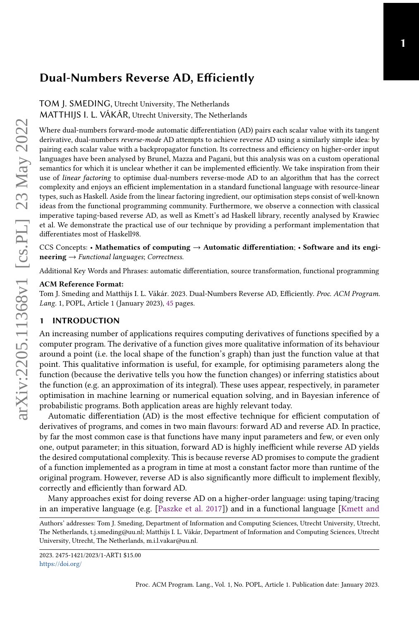# Dual-Numbers Reverse AD, Efficiently

TOM J. SMEDING, Utrecht University, The Netherlands MATTHIJS I. L. VÁKÁR, Utrecht University, The Netherlands

Where dual-numbers forward-mode automatic differentiation (AD) pairs each scalar value with its tangent derivative, dual-numbers reverse-mode AD attempts to achieve reverse AD using a similarly simple idea: by pairing each scalar value with a backpropagator function. Its correctness and efficiency on higher-order input languages have been analysed by Brunel, Mazza and Pagani, but this analysis was on a custom operational semantics for which it is unclear whether it can be implemented efficiently. We take inspiration from their use of linear factoring to optimise dual-numbers reverse-mode AD to an algorithm that has the correct complexity and enjoys an efficient implementation in a standard functional language with resource-linear types, such as Haskell. Aside from the linear factoring ingredient, our optimisation steps consist of well-known ideas from the functional programming community. Furthermore, we observe a connection with classical imperative taping-based reverse AD, as well as Kmett's ad Haskell library, recently analysed by Krawiec et al. We demonstrate the practical use of our technique by providing a performant implementation that differentiates most of Haskell98.

CCS Concepts: • Mathematics of computing  $\rightarrow$  Automatic differentiation; • Software and its engi- $\mathbf{n}$ eering  $\rightarrow$  Functional languages; Correctness.

Additional Key Words and Phrases: automatic differentiation, source transformation, functional programming

#### ACM Reference Format:

Tom J. Smeding and Matthijs I. L. Vákár. 2023. Dual-Numbers Reverse AD, Efficiently. Proc. ACM Program. Lang. 1, POPL, Article 1 (January 2023), [45](#page-44-0) pages.

# 1 INTRODUCTION

An increasing number of applications requires computing derivatives of functions specified by a computer program. The derivative of a function gives more qualitative information of its behaviour around a point (i.e. the local shape of the function's graph) than just the function value at that point. This qualitative information is useful, for example, for optimising parameters along the function (because the derivative tells you how the function changes) or inferring statistics about the function (e.g. an approximation of its integral). These uses appear, respectively, in parameter optimisation in machine learning or numerical equation solving, and in Bayesian inference of probabilistic programs. Both application areas are highly relevant today.

Automatic differentiation (AD) is the most effective technique for efficient computation of derivatives of programs, and comes in two main flavours: forward AD and reverse AD. In practice, by far the most common case is that functions have many input parameters and few, or even only one, output parameter; in this situation, forward AD is highly inefficient while reverse AD yields the desired computational complexity. This is because reverse AD promises to compute the gradient of a function implemented as a program in time at most a constant factor more than runtime of the original program. However, reverse AD is also significantly more difficult to implement flexibly, correctly and efficiently than forward AD.

Many approaches exist for doing reverse AD on a higher-order language: using taping/tracing in an imperative language (e.g. [\[Paszke et al.](#page-43-0) [2017\]](#page-43-0)) and in a functional language [\[Kmett and](#page-43-1)

[Authors' addresses: Tom J. Smeding, Department of Information and Computing Sciences, Utrecht University, Utrecht,](#page-43-1) [The Netherlands, t.j.smeding@uu.nl; Matthijs I. L. Vákár, Department of Information and Computing Sciences, Utrecht](#page-43-1) [University, Utrecht, The Netherlands, m.i.l.vakar@uu.nl.](#page-43-1)

[<sup>2023. 2475-1421/2023/1-</sup>ART1 \\$15.00](#page-43-1) [https://doi.org/](#page-43-1)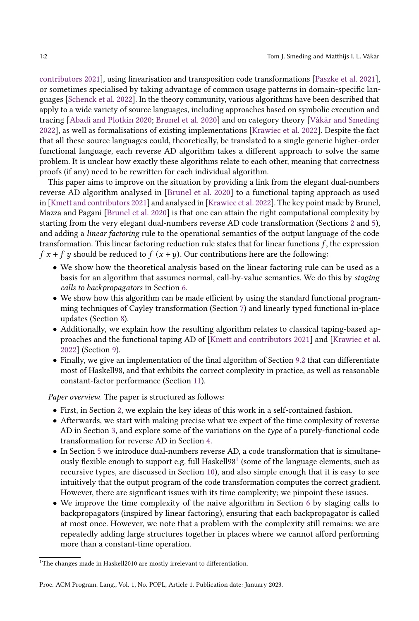[contributors](#page-43-1) [2021\]](#page-43-1), using linearisation and transposition code transformations [\[Paszke et al.](#page-43-2) [2021\]](#page-43-2), or sometimes specialised by taking advantage of common usage patterns in domain-specific languages [\[Schenck et al.](#page-43-3) [2022\]](#page-43-3). In the theory community, various algorithms have been described that apply to a wide variety of source languages, including approaches based on symbolic execution and tracing [\[Abadi and Plotkin](#page-42-0) [2020;](#page-42-0) [Brunel et al.](#page-42-1) [2020\]](#page-42-1) and on category theory [\[Vákár and Smeding](#page-43-4) [2022\]](#page-43-4), as well as formalisations of existing implementations [\[Krawiec et al.](#page-43-5) [2022\]](#page-43-5). Despite the fact that all these source languages could, theoretically, be translated to a single generic higher-order functional language, each reverse AD algorithm takes a different approach to solve the same problem. It is unclear how exactly these algorithms relate to each other, meaning that correctness proofs (if any) need to be rewritten for each individual algorithm.

This paper aims to improve on the situation by providing a link from the elegant dual-numbers reverse AD algorithm analysed in [\[Brunel et al.](#page-42-1) [2020\]](#page-42-1) to a functional taping approach as used in [\[Kmett and contributors](#page-43-1) [2021\]](#page-43-1) and analysed in [\[Krawiec et al.](#page-43-5) [2022\]](#page-43-5). The key point made by Brunel, Mazza and Pagani [\[Brunel et al.](#page-42-1) [2020\]](#page-42-1) is that one can attain the right computational complexity by starting from the very elegant dual-numbers reverse AD code transformation (Sections [2](#page-2-0) and [5\)](#page-10-0), and adding a linear factoring rule to the operational semantics of the output language of the code transformation. This linear factoring reduction rule states that for linear functions  $f$ , the expression  $f x + f y$  should be reduced to  $f (x + y)$ . Our contributions here are the following:

- We show how the theoretical analysis based on the linear factoring rule can be used as a basis for an algorithm that assumes normal, call-by-value semantics. We do this by staging calls to backpropagators in Section [6.](#page-16-0)
- We show how this algorithm can be made efficient by using the standard functional programming techniques of Cayley transformation (Section [7\)](#page-25-0) and linearly typed functional in-place updates (Section [8\)](#page-29-0).
- Additionally, we explain how the resulting algorithm relates to classical taping-based approaches and the functional taping AD of [\[Kmett and contributors](#page-43-1) [2021\]](#page-43-1) and [\[Krawiec et al.](#page-43-5) [2022\]](#page-43-5) (Section [9\)](#page-34-0).
- Finally, we give an implementation of the final algorithm of Section [9.2](#page-34-1) that can differentiate most of Haskell98, and that exhibits the correct complexity in practice, as well as reasonable constant-factor performance (Section [11\)](#page-38-0).

Paper overview. The paper is structured as follows:

- First, in Section [2,](#page-2-0) we explain the key ideas of this work in a self-contained fashion.
- Afterwards, we start with making precise what we expect of the time complexity of reverse AD in Section [3,](#page-5-0) and explore some of the variations on the type of a purely-functional code transformation for reverse AD in Section [4.](#page-6-0)
- In Section [5](#page-10-0) we introduce dual-numbers reverse AD, a code transformation that is simultaneously flexible enough to support e.g. full Haskell $98<sup>1</sup>$  $98<sup>1</sup>$  $98<sup>1</sup>$  (some of the language elements, such as recursive types, are discussed in Section [10\)](#page-37-0), and also simple enough that it is easy to see intuitively that the output program of the code transformation computes the correct gradient. However, there are significant issues with its time complexity; we pinpoint these issues.
- We improve the time complexity of the naive algorithm in Section [6](#page-16-0) by staging calls to backpropagators (inspired by linear factoring), ensuring that each backpropagator is called at most once. However, we note that a problem with the complexity still remains: we are repeatedly adding large structures together in places where we cannot afford performing more than a constant-time operation.

<span id="page-1-0"></span><sup>&</sup>lt;sup>1</sup>The changes made in Haskell2010 are mostly irrelevant to differentiation.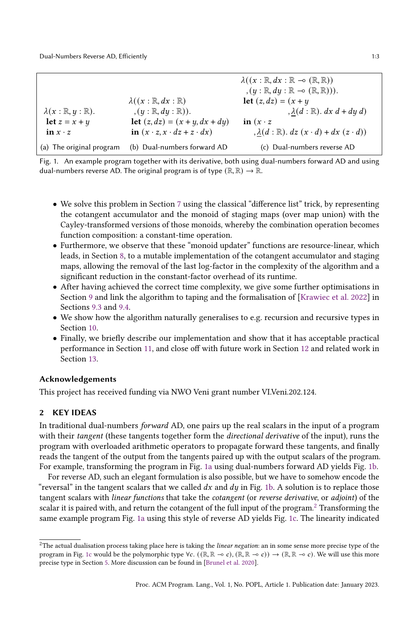|                                        |                                           | $\lambda((x:\mathbb{R},dx:\mathbb{R}\to(\mathbb{R},\mathbb{R}))$           |
|----------------------------------------|-------------------------------------------|----------------------------------------------------------------------------|
|                                        |                                           | $, (y : \mathbb{R}, dy : \mathbb{R} \multimap (\mathbb{R}, \mathbb{R}))).$ |
|                                        | $\lambda((x:\mathbb{R},dx:\mathbb{R}))$   | <b>let</b> $(z, dz) = (x + y)$                                             |
| $\lambda(x:\mathbb{R},y:\mathbb{R})$ . | $, (y : \mathbb{R}, dy : \mathbb{R})$ ).  | $\lambda(d : \mathbb{R})$ . $dx d + dy d$                                  |
| let $z = x + y$                        | <b>let</b> $(z, dz) = (x + y, dx + dy)$   | in $(x \cdot z)$                                                           |
| in $x \cdot z$                         | in $(x \cdot z, x \cdot dz + z \cdot dx)$ | $\lambda(d : \mathbb{R})$ . $dz(x \cdot d) + dx(z \cdot d)$                |
| (a) The original program               | (b) Dual-numbers forward AD               | (c) Dual-numbers reverse AD                                                |

<span id="page-2-2"></span><span id="page-2-1"></span>Fig. 1. An example program together with its derivative, both using dual-numbers forward AD and using dual-numbers reverse AD. The original program is of type  $(\mathbb{R}, \mathbb{R}) \to \mathbb{R}$ .

- <span id="page-2-4"></span>• We solve this problem in Section [7](#page-25-0) using the classical "difference list" trick, by representing the cotangent accumulator and the monoid of staging maps (over map union) with the Cayley-transformed versions of those monoids, whereby the combination operation becomes function composition: a constant-time operation.
- Furthermore, we observe that these "monoid updater" functions are resource-linear, which leads, in Section [8,](#page-29-0) to a mutable implementation of the cotangent accumulator and staging maps, allowing the removal of the last log-factor in the complexity of the algorithm and a significant reduction in the constant-factor overhead of its runtime.
- After having achieved the correct time complexity, we give some further optimisations in Section [9](#page-34-0) and link the algorithm to taping and the formalisation of [\[Krawiec et al.](#page-43-5) [2022\]](#page-43-5) in Sections [9.3](#page-35-0) and [9.4.](#page-35-1)
- We show how the algorithm naturally generalises to e.g. recursion and recursive types in Section [10.](#page-37-0)
- Finally, we briefly describe our implementation and show that it has acceptable practical performance in Section [11,](#page-38-0) and close off with future work in Section [12](#page-39-0) and related work in Section [13.](#page-40-0)

# Acknowledgements

This project has received funding via NWO Veni grant number VI.Veni.202.124.

# <span id="page-2-0"></span>2 KEY IDEAS

In traditional dual-numbers forward AD, one pairs up the real scalars in the input of a program with their tangent (these tangents together form the directional derivative of the input), runs the program with overloaded arithmetic operators to propagate forward these tangents, and finally reads the tangent of the output from the tangents paired up with the output scalars of the program. For example, transforming the program in Fig. [1a](#page-2-1) using dual-numbers forward AD yields Fig. [1b.](#page-2-2)

For reverse AD, such an elegant formulation is also possible, but we have to somehow encode the "reversal" in the tangent scalars that we called  $dx$  and  $dy$  in Fig. [1b.](#page-2-2) A solution is to replace those tangent scalars with linear functions that take the cotangent (or reverse derivative, or adjoint) of the scalar it is paired with, and return the cotangent of the full input of the program.<sup>[2](#page-2-3)</sup> Transforming the same example program Fig. [1a](#page-2-1) using this style of reverse AD yields Fig. [1c.](#page-2-4) The linearity indicated

<span id="page-2-3"></span> $2$ The actual dualisation process taking place here is taking the *linear negation*: an in some sense more precise type of the program in Fig. [1c](#page-2-4) would be the polymorphic type  $\forall c. ((\mathbb{R}, \mathbb{R} \to c), (\mathbb{R}, \mathbb{R} \to c)) \to (\mathbb{R}, \mathbb{R} \to c)$ . We will use this more precise type in Section [5.](#page-10-0) More discussion can be found in [\[Brunel et al.](#page-42-1) [2020\]](#page-42-1).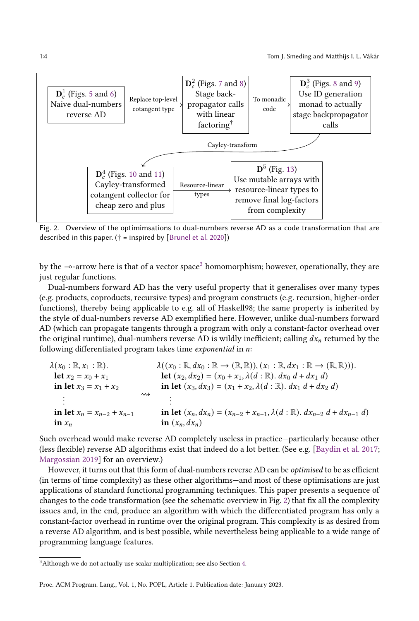<span id="page-3-1"></span>

Fig. 2. Overview of the optimimsations to dual-numbers reverse AD as a code transformation that are described in this paper.  $(\dagger =$  inspired by [\[Brunel et al.](#page-42-1) [2020\]](#page-42-1))

by the ⊸-arrow here is that of a vector space<sup>[3](#page-3-0)</sup> homomorphism; however, operationally, they are just regular functions.

Dual-numbers forward AD has the very useful property that it generalises over many types (e.g. products, coproducts, recursive types) and program constructs (e.g. recursion, higher-order functions), thereby being applicable to e.g. all of Haskell98; the same property is inherited by the style of dual-numbers reverse AD exemplified here. However, unlike dual-numbers forward AD (which can propagate tangents through a program with only a constant-factor overhead over the original runtime), dual-numbers reverse AD is wildly inefficient; calling  $dx_n$  returned by the following differentiated program takes time *exponential* in  $n$ .

| $\lambda(x_0:\mathbb{R},x_1:\mathbb{R})$ .    | $\lambda((x_0 : \mathbb{R}, dx_0 : \mathbb{R} \to (\mathbb{R}, \mathbb{R})), (x_1 : \mathbb{R}, dx_1 : \mathbb{R} \to (\mathbb{R}, \mathbb{R}))).$ |
|-----------------------------------------------|----------------------------------------------------------------------------------------------------------------------------------------------------|
| <b>let</b> $x_2 = x_0 + x_1$                  | <b>let</b> $(x_2, dx_2) = (x_0 + x_1, \lambda(d : \mathbb{R}). dx_0 d + dx_1 d)$                                                                   |
| in let $x_3 = x_1 + x_2$                      | in let $(x_3, dx_3) = (x_1 + x_2, \lambda(d : \mathbb{R}) \cdot dx_1 d + dx_2 d)$                                                                  |
| ∾<br>$\bullet$                                |                                                                                                                                                    |
| $\bullet$<br>in let $x_n = x_{n-2} + x_{n-1}$ | in let $(x_n, dx_n) = (x_{n-2} + x_{n-1}, \lambda(d : \mathbb{R}). dx_{n-2} d + dx_{n-1} d)$                                                       |
| in $x_n$                                      | in $(x_n, dx_n)$                                                                                                                                   |

Such overhead would make reverse AD completely useless in practice—particularly because other (less flexible) reverse AD algorithms exist that indeed do a lot better. (See e.g. [\[Baydin et al.](#page-42-2) [2017;](#page-42-2) [Margossian](#page-43-6) [2019\]](#page-43-6) for an overview.)

However, it turns out that this form of dual-numbers reverse AD can be optimised to be as efficient (in terms of time complexity) as these other algorithms—and most of these optimisations are just applications of standard functional programming techniques. This paper presents a sequence of changes to the code transformation (see the schematic overview in Fig. [2\)](#page-3-1) that fix all the complexity issues and, in the end, produce an algorithm with which the differentiated program has only a constant-factor overhead in runtime over the original program. This complexity is as desired from a reverse AD algorithm, and is best possible, while nevertheless being applicable to a wide range of programming language features.

<span id="page-3-0"></span><sup>3</sup>Although we do not actually use scalar multiplication; see also Section [4.](#page-6-0)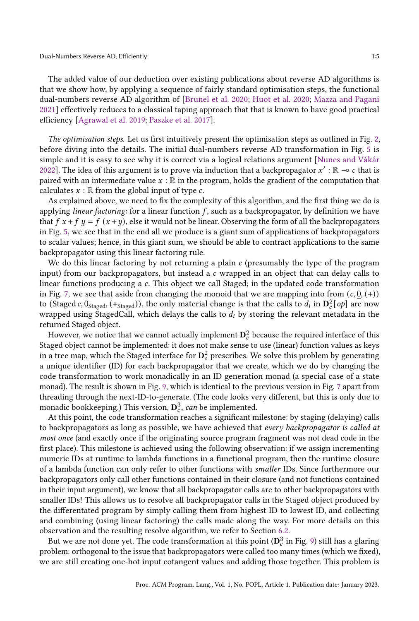#### Dual-Numbers Reverse AD, Efficiently 1:5

The added value of our deduction over existing publications about reverse AD algorithms is that we show how, by applying a sequence of fairly standard optimisation steps, the functional dual-numbers reverse AD algorithm of [\[Brunel et al.](#page-42-1) [2020;](#page-42-1) [Huot et al.](#page-42-3) [2020;](#page-42-3) [Mazza and Pagani](#page-43-7) [2021\]](#page-43-7) effectively reduces to a classical taping approach that that is known to have good practical efficiency [\[Agrawal et al.](#page-42-4) [2019;](#page-42-4) [Paszke et al.](#page-43-0) [2017\]](#page-43-0).

The optimisation steps. Let us first intuitively present the optimisation steps as outlined in Fig. [2,](#page-3-1) before diving into the details. The initial dual-numbers reverse AD transformation in Fig. [5](#page-13-0) is simple and it is easy to see why it is correct via a logical relations argument [\[Nunes and Vákár](#page-43-8) [2022\]](#page-43-8). The idea of this argument is to prove via induction that a backpropagator  $x' : \mathbb{R} \to c$  that is paired with an intermediate value  $x : \mathbb{R}$  in the program, holds the gradient of the computation that calculates  $x : \mathbb{R}$  from the global input of type  $c$ .

As explained above, we need to fix the complexity of this algorithm, and the first thing we do is applying linear factoring: for a linear function  $f$ , such as a backpropagator, by definition we have that  $f x + f y = f (x + y)$ , else it would not be linear. Observing the form of all the backpropagators in Fig. [5,](#page-13-0) we see that in the end all we produce is a giant sum of applications of backpropagators to scalar values; hence, in this giant sum, we should be able to contract applications to the same backpropagator using this linear factoring rule.

We do this linear factoring by not returning a plain  $c$  (presumably the type of the program input) from our backpropagators, but instead a  $c$  wrapped in an object that can delay calls to linear functions producing a c. This object we call Staged; in the updated code transformation in Fig. [7,](#page-18-0) we see that aside from changing the monoid that we are mapping into from  $(c, 0, (+))$ to (Staged c, O<sub>Staged</sub>, (+<sub>Staged</sub>)), the only material change is that the calls to  $d_i$  in  $\mathbf{D}_c^2[op]$  are now wrapped using StagedCall, which delays the calls to  $d_i$  by storing the relevant metadata in the returned Staged object.

However, we notice that we cannot actually implement  ${\bf D}_c^2$  because the required interface of this Staged object cannot be implemented: it does not make sense to use (linear) function values as keys in a tree map, which the Staged interface for  $\mathbf{D}^2_c$  prescribes. We solve this problem by generating a unique identifier (ID) for each backpropagator that we create, which we do by changing the code transformation to work monadically in an ID generation monad (a special case of a state monad). The result is shown in Fig. [9,](#page-22-0) which is identical to the previous version in Fig. [7](#page-18-0) apart from threading through the next-ID-to-generate. (The code looks very different, but this is only due to monadic bookkeeping.) This version,  $\mathbf{D}^3_c$ , can be implemented.

At this point, the code transformation reaches a significant milestone: by staging (delaying) calls to backpropagators as long as possible, we have achieved that every backpropagator is called at most once (and exactly once if the originating source program fragment was not dead code in the first place). This milestone is achieved using the following observation: if we assign incrementing numeric IDs at runtime to lambda functions in a functional program, then the runtime closure of a lambda function can only refer to other functions with smaller IDs. Since furthermore our backpropagators only call other functions contained in their closure (and not functions contained in their input argument), we know that all backpropagator calls are to other backpropagators with smaller IDs! This allows us to resolve all backpropagator calls in the Staged object produced by the differentated program by simply calling them from highest ID to lowest ID, and collecting and combining (using linear factoring) the calls made along the way. For more details on this observation and the resulting resolve algorithm, we refer to Section [6.2.](#page-20-1)

But we are not done yet. The code transformation at this point ( $\mathbf{D}_c^3$  in Fig. [9\)](#page-22-0) still has a glaring problem: orthogonal to the issue that backpropagators were called too many times (which we fixed), we are still creating one-hot input cotangent values and adding those together. This problem is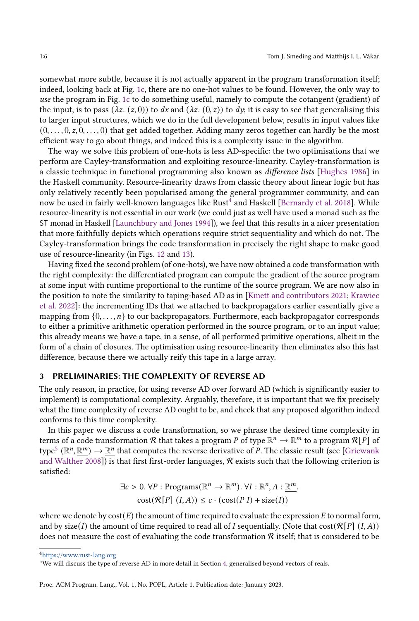somewhat more subtle, because it is not actually apparent in the program transformation itself; indeed, looking back at Fig. [1c,](#page-2-4) there are no one-hot values to be found. However, the only way to use the program in Fig. [1c](#page-2-4) to do something useful, namely to compute the cotangent (gradient) of the input, is to pass  $(\lambda z. (z, 0))$  to dx and  $(\lambda z. (0, z))$  to dy; it is easy to see that generalising this to larger input structures, which we do in the full development below, results in input values like  $(0, \ldots, 0, z, 0, \ldots, 0)$  that get added together. Adding many zeros together can hardly be the most efficient way to go about things, and indeed this is a complexity issue in the algorithm.

The way we solve this problem of one-hots is less AD-specific: the two optimisations that we perform are Cayley-transformation and exploiting resource-linearity. Cayley-transformation is a classic technique in functional programming also known as difference lists [\[Hughes](#page-42-5) [1986\]](#page-42-5) in the Haskell community. Resource-linearity draws from classic theory about linear logic but has only relatively recently been popularised among the general programmer community, and can now be used in fairly well-known languages like Rust $^4$  $^4$  and Haskell [\[Bernardy et al.](#page-42-6) [2018\]](#page-42-6). While resource-linearity is not essential in our work (we could just as well have used a monad such as the ST monad in Haskell [\[Launchbury and Jones](#page-43-9) [1994\]](#page-43-9)), we feel that this results in a nicer presentation that more faithfully depicts which operations require strict sequentiality and which do not. The Cayley-transformation brings the code transformation in precisely the right shape to make good use of resource-linearity (in Figs. [12](#page-30-0) and [13\)](#page-32-0).

Having fixed the second problem (of one-hots), we have now obtained a code transformation with the right complexity: the differentiated program can compute the gradient of the source program at some input with runtime proportional to the runtime of the source program. We are now also in the position to note the similarity to taping-based AD as in [\[Kmett and contributors](#page-43-1) [2021;](#page-43-1) [Krawiec](#page-43-5) [et al.](#page-43-5) [2022\]](#page-43-5): the incrementing IDs that we attached to backpropagators earlier essentially give a mapping from  $\{0, \ldots, n\}$  to our backpropagators. Furthermore, each backpropagator corresponds to either a primitive arithmetic operation performed in the source program, or to an input value; this already means we have a tape, in a sense, of all performed primitive operations, albeit in the form of a chain of closures. The optimisation using resource-linearity then eliminates also this last difference, because there we actually reify this tape in a large array.

# <span id="page-5-0"></span>3 PRELIMINARIES: THE COMPLEXITY OF REVERSE AD

The only reason, in practice, for using reverse AD over forward AD (which is significantly easier to implement) is computational complexity. Arguably, therefore, it is important that we fix precisely what the time complexity of reverse AD ought to be, and check that any proposed algorithm indeed conforms to this time complexity.

In this paper we discuss a code transformation, so we phrase the desired time complexity in terms of a code transformation R that takes a program P of type  $\mathbb{R}^n \to \mathbb{R}^m$  to a program  $\mathcal{R}[P]$  of type<sup>[5](#page-5-2)</sup> ( $\mathbb{R}^n$ ,  $\mathbb{R}^m$ )  $\to \mathbb{R}^n$  that computes the reverse derivative of P. The classic result (see [\[Griewank](#page-42-7)] [and Walther](#page-42-7) [2008\]](#page-42-7)) is that first first-order languages,  $R$  exists such that the following criterion is satisfied:

> $\exists c > 0. \ \forall P : \text{Programs}(\mathbb{R}^n \to \mathbb{R}^m) . \ \forall I : \mathbb{R}^n, A : \mathbb{R}^m$ .  $cost(\mathcal{R}[P] (I, A)) \leq c \cdot (cost(P I) + size(I))$

where we denote by  $cost(E)$  the amount of time required to evaluate the expression  $E$  to normal form, and by size(I) the amount of time required to read all of I sequentially. (Note that cost( $\mathcal{R}[P]$  (I,A)) does not measure the cost of evaluating the code transformation  $R$  itself; that is considered to be

<span id="page-5-1"></span><sup>4</sup><https://www.rust-lang.org>

<span id="page-5-2"></span><sup>5</sup>We will discuss the type of reverse AD in more detail in Section [4,](#page-6-0) generalised beyond vectors of reals.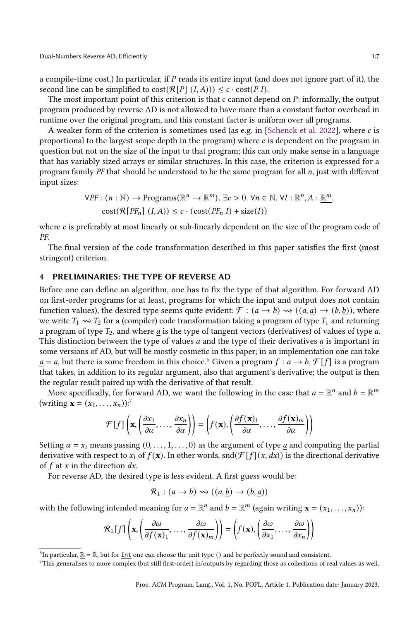a compile-time cost.) In particular, if P reads its entire input (and does not ignore part of it), the second line can be simplified to  $cost(\mathcal{R}[P](I,A))) \leq c \cdot cost(PI)$ .

The most important point of this criterion is that  $c$  cannot depend on  $P$ : informally, the output program produced by reverse AD is not allowed to have more than a constant factor overhead in runtime over the original program, and this constant factor is uniform over all programs.

A weaker form of the criterion is sometimes used (as e.g. in [\[Schenck et al.](#page-43-3) [2022\]](#page-43-3), where  $c$  is proportional to the largest scope depth in the program) where  $c$  is dependent on the program in question but not on the size of the input to that program; this can only make sense in a language that has variably sized arrays or similar structures. In this case, the criterion is expressed for a program family PF that should be understood to be the same program for all  $n$ , just with different input sizes:

$$
\forall PF: (n : \mathbb{N}) \to \text{Programs}(\mathbb{R}^n \to \mathbb{R}^m). \exists c > 0. \,\forall n \in \mathbb{N}. \,\forall I: \mathbb{R}^n, A: \mathbb{R}^m.
$$
\n
$$
\text{cost}(\mathcal{R}[PF_n] \ (I, A)) \leq c \cdot (\text{cost}(PF_n \ I) + \text{size}(I))
$$

where  $c$  is preferably at most linearly or sub-linearly dependent on the size of the program code of PF.

The final version of the code transformation described in this paper satisfies the first (most stringent) criterion.

# <span id="page-6-0"></span>4 PRELIMINARIES: THE TYPE OF REVERSE AD

Before one can define an algorithm, one has to fix the type of that algorithm. For forward AD on first-order programs (or at least, programs for which the input and output does not contain function values), the desired type seems quite evident:  $\mathcal{F} : (a \to b) \rightsquigarrow ((a,a) \to (b,b))$ , where we write  $T_1 \rightsquigarrow T_2$  for a (compiler) code transformation taking a program of type  $T_1$  and returning a program of type  $T_2$ , and where  $a$  is the type of tangent vectors (derivatives) of values of type  $a$ . This distinction between the type of values  $a$  and the type of their derivatives  $a$  is important in some versions of AD, but will be mostly cosmetic in this paper; in an implementation one can take  $a = a$ , but there is some freedom in this choice.<sup>[6](#page-6-1)</sup> Given a program  $f : a \rightarrow b$ ,  $\mathcal{F}[f]$  is a program that takes, in addition to its regular argument, also that argument's derivative; the output is then the regular result paired up with the derivative of that result.

More specifically, for forward AD, we want the following in the case that  $a = \mathbb{R}^n$  and  $b = \mathbb{R}^m$ (writing  $\mathbf{x} = (x_1, \ldots, x_n)$ ):<sup>[7](#page-6-2)</sup>

$$
\mathcal{F}[f]\left(\mathbf{x},\left(\frac{\partial x_1}{\partial \alpha},\ldots,\frac{\partial x_n}{\partial \alpha}\right)\right)=\left(f(\mathbf{x}),\left(\frac{\partial f(\mathbf{x})_1}{\partial \alpha},\ldots,\frac{\partial f(\mathbf{x})_m}{\partial \alpha}\right)\right)
$$

Setting  $\alpha = x_i$  means passing  $(0, \ldots, 1, \ldots, 0)$  as the argument of type a and computing the partial derivative with respect to  $x_i$  of  $f(\mathbf{x})$ . In other words, snd $(f[f](x, dx))$  is the directional derivative of  $f$  at  $x$  in the direction  $dx$ .

For reverse AD, the desired type is less evident. A first guess would be:

$$
\mathcal{R}_1 : (a \to b) \rightsquigarrow ((a, \underline{b}) \to (b, \underline{a}))
$$

with the following intended meaning for  $a = \mathbb{R}^n$  and  $b = \mathbb{R}^m$  (again writing  $\mathbf{x} = (x_1, \dots, x_n)$ ):

$$
\mathcal{R}_1[f] \left( \mathbf{x}, \left( \frac{\partial \omega}{\partial f(\mathbf{x})_1}, \dots, \frac{\partial \omega}{\partial f(\mathbf{x})_m} \right) \right) = \left( f(\mathbf{x}), \left( \frac{\partial \omega}{\partial x_1}, \dots, \frac{\partial \omega}{\partial x_n} \right) \right)
$$

<span id="page-6-1"></span><sup>&</sup>lt;sup>6</sup>In particular,  $\underline{\mathbb{R}} = \mathbb{R}$ , but for <u>Int</u> one can choose the unit type () and be perfectly sound and consistent.

<span id="page-6-2"></span><sup>7</sup>This generalises to more complex (but still first-order) in/outputs by regarding those as collections of real values as well.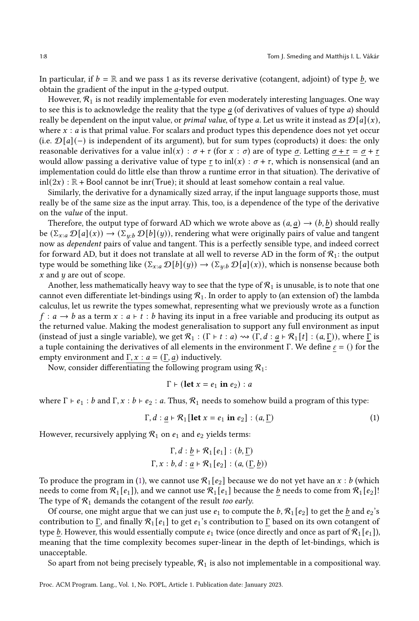In particular, if  $b = \mathbb{R}$  and we pass 1 as its reverse derivative (cotangent, adjoint) of type  $b$ , we obtain the gradient of the input in the  $a$ -typed output.

However,  $\mathcal{R}_1$  is not readily implementable for even moderately interesting languages. One way to see this is to acknowledge the reality that the type  $a$  (of derivatives of values of type  $a$ ) should really be dependent on the input value, or *primal value*, of type *a*. Let us write it instead as  $\mathcal{D}[a](x)$ , where  $x : a$  is that primal value. For scalars and product types this dependence does not yet occur (i.e.  $\mathcal{D}[a](-)$  is independent of its argument), but for sum types (coproducts) it does: the only reasonable derivatives for a value inl(x) :  $\sigma + \tau$  (for x :  $\sigma$ ) are of type  $\sigma$ . Letting  $\sigma + \tau = \sigma + \tau$ would allow passing a derivative value of type  $\tau$  to inl(x) :  $\sigma + \tau$ , which is nonsensical (and an implementation could do little else than throw a runtime error in that situation). The derivative of  $\text{inl}(2x) : \mathbb{R}$  + Bool cannot be inr(True); it should at least somehow contain a real value.

Similarly, the derivative for a dynamically sized array, if the input language supports those, must really be of the same size as the input array. This, too, is a dependence of the type of the derivative on the value of the input.

Therefore, the output type of forward AD which we wrote above as  $(a, a) \rightarrow (b, b)$  should really be  $(\Sigma_{x:a} \mathcal{D}[a](x)) \to (\Sigma_{y:b} \mathcal{D}[b](y))$ , rendering what were originally pairs of value and tangent now as dependent pairs of value and tangent. This is a perfectly sensible type, and indeed correct for forward AD, but it does not translate at all well to reverse AD in the form of  $\mathcal{R}_1$ : the output type would be something like  $(\Sigma_{x:a} \mathcal{D}[b](y)) \to (\Sigma_{y:b} \mathcal{D}[a](x))$ , which is nonsense because both  $x$  and  $y$  are out of scope.

Another, less mathematically heavy way to see that the type of  $\mathcal{R}_1$  is unusable, is to note that one cannot even differentiate let-bindings using  $\mathcal{R}_1$ . In order to apply to (an extension of) the lambda calculus, let us rewrite the types somewhat, representing what we previously wrote as a function  $f: a \rightarrow b$  as a term  $x: a \vdash t : b$  having its input in a free variable and producing its output as the returned value. Making the modest generalisation to support any full environment as input (instead of just a single variable), we get  $\mathcal{R}_1 : (\Gamma \vdash t : a) \rightsquigarrow (\Gamma, d : a \vdash \mathcal{R}_1[t] : (a, \Gamma))$ , where  $\Gamma$  is a tuple containing the derivatives of all elements in the environment Γ. We define  $\varepsilon = ()$  for the empty environment and  $\Gamma$ ,  $x : a = (\Gamma, a)$  inductively.

Now, consider differentiating the following program using  $\mathcal{R}_1$ :

<span id="page-7-0"></span>
$$
\Gamma \vdash (\textbf{let } x = e_1 \textbf{ in } e_2) : a
$$

where  $\Gamma \vdash e_1 : b$  and  $\Gamma, x : b \vdash e_2 : a$ . Thus,  $\mathcal{R}_1$  needs to somehow build a program of this type:

$$
\Gamma, d: \underline{a} \vdash \mathcal{R}_1[\text{let } x = e_1 \text{ in } e_2] : (a, \underline{\Gamma})
$$
\n(1)

However, recursively applying  $\mathcal{R}_1$  on  $e_1$  and  $e_2$  yields terms:

$$
\Gamma, d : \underline{b} \vdash \mathcal{R}_1[e_1] : (b, \underline{\Gamma})
$$

$$
\Gamma, x : b, d : \underline{a} \vdash \mathcal{R}_1[e_2] : (a, (\underline{\Gamma}, \underline{b}))
$$

To produce the program in [\(1\)](#page-7-0), we cannot use  $\mathcal{R}_1[e_2]$  because we do not yet have an  $x : b$  (which needs to come from  $\mathcal{R}_1[e_1]$ ), and we cannot use  $\mathcal{R}_1[e_1]$  because the b needs to come from  $\mathcal{R}_1[e_2]$ ! The type of  $\mathcal{R}_1$  demands the cotangent of the result too early.

Of course, one might argue that we can just use  $e_1$  to compute the  $b$ ,  $\mathcal{R}_1[e_2]$  to get the  $b$  and  $e_2$ 's contribution to Γ, and finally  $\mathcal{R}_1[e_1]$  to get  $e_1$ 's contribution to Γ based on its own cotangent of type b. However, this would essentially compute  $e_1$  twice (once directly and once as part of  $\mathcal{R}_1[e_1]$ ), meaning that the time complexity becomes super-linear in the depth of let-bindings, which is unacceptable.

So apart from not being precisely typeable,  $\mathcal{R}_1$  is also not implementable in a compositional way.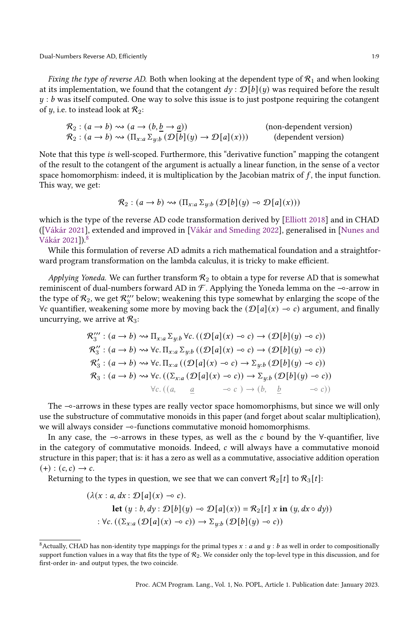Dual-Numbers Reverse AD, Efficiently 1:9

Fixing the type of reverse AD. Both when looking at the dependent type of  $\mathcal{R}_1$  and when looking at its implementation, we found that the cotangent  $dy : \mathcal{D}[b](y)$  was required before the result  $y : b$  was itself computed. One way to solve this issue is to just postpone requiring the cotangent of  $y$ , i.e. to instead look at  $\mathcal{R}_2$ :

$$
\mathcal{R}_2: (a \to b) \rightsquigarrow (a \to (b, \underline{b} \to \underline{a})) \qquad \qquad \text{(non-dependent version)}
$$
\n
$$
\mathcal{R}_2: (a \to b) \rightsquigarrow (\Pi_{x:a} \Sigma_{y:b} (\mathcal{D}[b](y) \to \mathcal{D}[a](x))) \qquad \qquad \text{(dependent version)}
$$

Note that this type is well-scoped. Furthermore, this "derivative function" mapping the cotangent of the result to the cotangent of the argument is actually a linear function, in the sense of a vector space homomorphism: indeed, it is multiplication by the Jacobian matrix of  $f$ , the input function. This way, we get:

$$
\mathcal{R}_2 : (a \to b) \rightsquigarrow (\Pi_{x:a} \Sigma_{y:b} (\mathcal{D}[b](y) \multimap \mathcal{D}[a](x)))
$$

which is the type of the reverse AD code transformation derived by [\[Elliott](#page-42-8) [2018\]](#page-42-8) and in CHAD ([\[Vákár](#page-43-10) [2021\]](#page-43-10), extended and improved in [\[Vákár and Smeding](#page-43-4) [2022\]](#page-43-4), generalised in [\[Nunes and](#page-43-11) [Vákár](#page-43-11) [2021\]](#page-43-11)).<sup>[8](#page-8-0)</sup>

While this formulation of reverse AD admits a rich mathematical foundation and a straightforward program transformation on the lambda calculus, it is tricky to make efficient.

Applying Yoneda. We can further transform  $\mathcal{R}_2$  to obtain a type for reverse AD that is somewhat reminiscent of dual-numbers forward AD in  $\mathcal F$ . Applying the Yoneda lemma on the ⊸-arrow in the type of  $\mathcal{R}_2$ , we get  $\mathcal{R}''_3$  below; weakening this type somewhat by enlarging the scope of the ∀c quantifier, weakening some more by moving back the  $(\mathcal{D}[a](x) \rightarrow c)$  argument, and finally uncurrying, we arrive at  $\mathcal{R}_3$ :

$$
\mathcal{R}_{3}''' : (a \to b) \rightsquigarrow \Pi_{x:a} \Sigma_{y:b} \forall c. ((\mathcal{D}[a](x) \multimap c) \to (\mathcal{D}[b](y) \multimap c))
$$
  
\n
$$
\mathcal{R}_{3}'' : (a \to b) \rightsquigarrow \forall c. \Pi_{x:a} \Sigma_{y:b} ((\mathcal{D}[a](x) \multimap c) \to (\mathcal{D}[b](y) \multimap c))
$$
  
\n
$$
\mathcal{R}_{3}': (a \to b) \rightsquigarrow \forall c. \Pi_{x:a} ((\mathcal{D}[a](x) \multimap c) \to \Sigma_{y:b} (\mathcal{D}[b](y) \multimap c))
$$
  
\n
$$
\mathcal{R}_{3}: (a \to b) \rightsquigarrow \forall c. ((\Sigma_{x:a} (\mathcal{D}[a](x) \multimap c)) \to \Sigma_{y:b} (\mathcal{D}[b](y) \multimap c))
$$
  
\n
$$
\forall c. ((a, a \multimap c) \to (b, b \multimap c))
$$

The ⊸-arrows in these types are really vector space homomorphisms, but since we will only use the substructure of commutative monoids in this paper (and forget about scalar multiplication), we will always consider ⊸-functions commutative monoid homomorphisms.

In any case, the ⊸-arrows in these types, as well as the c bound by the  $\forall$ -quantifier, live in the category of commutative monoids. Indeed, c will always have a commutative monoid structure in this paper; that is: it has a zero as well as a commutative, associative addition operation  $(+): (c, c) \rightarrow c.$ 

Returning to the types in question, we see that we can convert  $\mathcal{R}_2[t]$  to  $\mathcal{R}_3[t]$ :

$$
(\lambda(x : a, dx : \mathcal{D}[a](x) \to c).
$$
  
let  $(y : b, dy : \mathcal{D}[b](y) \to \mathcal{D}[a](x)) = \mathcal{R}_2[t] \times \text{in} (y, dx \circ dy))$   

$$
\vdots \forall c. ((\Sigma_{x:a} (\mathcal{D}[a](x) \to c)) \to \Sigma_{y:b} (\mathcal{D}[b](y) \to c))
$$

<span id="page-8-0"></span><sup>&</sup>lt;sup>8</sup> Actually, CHAD has non-identity type mappings for the primal types  $x : a$  and  $y : b$  as well in order to compositionally support function values in a way that fits the type of  $R_2$ . We consider only the top-level type in this discussion, and for first-order in- and output types, the two coincide.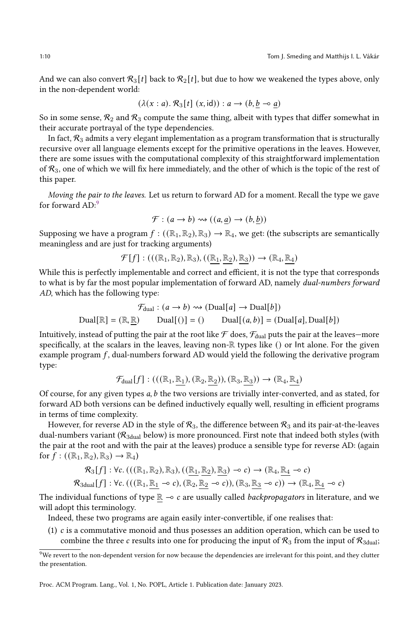And we can also convert  $\mathcal{R}_3[t]$  back to  $\mathcal{R}_2[t]$ , but due to how we weakened the types above, only in the non-dependent world:

$$
(\lambda(x : a) \mathbin{R_3[t]}(x, \text{id})) : a \to (b, \underline{b} \multimap \underline{a})
$$

So in some sense,  $\mathcal{R}_2$  and  $\mathcal{R}_3$  compute the same thing, albeit with types that differ somewhat in their accurate portrayal of the type dependencies.

In fact,  $\mathcal{R}_3$  admits a very elegant implementation as a program transformation that is structurally recursive over all language elements except for the primitive operations in the leaves. However, there are some issues with the computational complexity of this straightforward implementation of  $\mathcal{R}_3$ , one of which we will fix here immediately, and the other of which is the topic of the rest of this paper.

Moving the pair to the leaves. Let us return to forward AD for a moment. Recall the type we gave for forward AD:<sup>[9](#page-9-0)</sup>

$$
\mathcal{F} : (a \to b) \rightsquigarrow ((a, \underline{a}) \to (b, \underline{b}))
$$

Supposing we have a program  $f : ((\mathbb{R}_1, \mathbb{R}_2), \mathbb{R}_3) \to \mathbb{R}_4$ , we get: (the subscripts are semantically meaningless and are just for tracking arguments)

$$
\mathcal{F}[f] : (((\mathbb{R}_1, \mathbb{R}_2), \mathbb{R}_3), ((\mathbb{R}_1, \mathbb{R}_2), \mathbb{R}_3)) \to (\mathbb{R}_4, \mathbb{R}_4)
$$

While this is perfectly implementable and correct and efficient, it is not the type that corresponds to what is by far the most popular implementation of forward AD, namely dual-numbers forward AD, which has the following type:

$$
\mathcal{F}_{\text{dual}} : (a \to b) \rightsquigarrow (\text{Dual}[a] \to \text{Dual}[b])
$$
  
Dual[ $\mathbb{R}$ ] = ( $\mathbb{R}, \mathbb{R}$ ) Dual[(*0*] = (*)* Dual[(*a, b*)] = (Dual[*a*], Dual[*b*])

Intuitively, instead of putting the pair at the root like  $\mathcal F$  does,  $\mathcal F_{\text{dual}}$  puts the pair at the leaves—more specifically, at the scalars in the leaves, leaving non- $\mathbb R$  types like () or Int alone. For the given example program  $f$ , dual-numbers forward AD would yield the following the derivative program type:

$$
\mathcal{F}_{\text{dual}}[f] : (((\mathbb{R}_1, \mathbb{R}_1), (\mathbb{R}_2, \mathbb{R}_2)), (\mathbb{R}_3, \mathbb{R}_3)) \to (\mathbb{R}_4, \mathbb{R}_4)
$$

Of course, for any given types  $a, b$  the two versions are trivially inter-converted, and as stated, for forward AD both versions can be defined inductively equally well, resulting in efficient programs in terms of time complexity.

However, for reverse AD in the style of  $\mathcal{R}_3$ , the difference between  $\mathcal{R}_3$  and its pair-at-the-leaves dual-numbers variant ( $\mathcal{R}_{3dual}$  below) is more pronounced. First note that indeed both styles (with the pair at the root and with the pair at the leaves) produce a sensible type for reverse AD: (again for  $f : ((\mathbb{R}_1, \mathbb{R}_2), \mathbb{R}_3) \to \mathbb{R}_4)$ 

$$
\mathcal{R}_3[f] : \forall c. (((\mathbb{R}_1, \mathbb{R}_2), \mathbb{R}_3), ((\underline{\mathbb{R}}_1, \underline{\mathbb{R}}_2), \underline{\mathbb{R}}_3) \rightarrow c) \rightarrow (\mathbb{R}_4, \underline{\mathbb{R}}_4 \rightarrow c)
$$
  

$$
\mathcal{R}_{3dual}[f] : \forall c. (((\mathbb{R}_1, \underline{\mathbb{R}}_1 \rightarrow c), (\mathbb{R}_2, \underline{\mathbb{R}}_2 \rightarrow c)), (\mathbb{R}_3, \underline{\mathbb{R}}_3 \rightarrow c)) \rightarrow (\mathbb{R}_4, \underline{\mathbb{R}}_4 \rightarrow c)
$$

The individual functions of type  $\mathbb{R} \to c$  are usually called *backpropagators* in literature, and we will adopt this terminology.

Indeed, these two programs are again easily inter-convertible, if one realises that:

(1)  $c$  is a commutative monoid and thus posesses an addition operation, which can be used to combine the three c results into one for producing the input of  $\mathcal{R}_3$  from the input of  $\mathcal{R}_{3dual}$ ;

Proc. ACM Program. Lang., Vol. 1, No. POPL, Article 1. Publication date: January 2023.

<span id="page-9-0"></span> $9$ We revert to the non-dependent version for now because the dependencies are irrelevant for this point, and they clutter the presentation.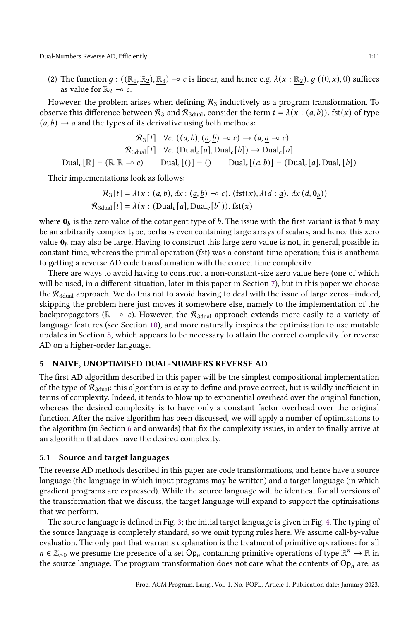Dual-Numbers Reverse AD, Efficiently 1:11

(2) The function  $g: ((\mathbb{R}_1, \mathbb{R}_2), \mathbb{R}_3) \to c$  is linear, and hence e.g.  $\lambda(x : \mathbb{R}_2)$ .  $g((0, x), 0)$  suffices as value for  $\mathbb{R}_2 \to \overline{c}$ .

However, the problem arises when defining  $\mathcal{R}_3$  inductively as a program transformation. To observe this difference between  $\mathcal{R}_3$  and  $\mathcal{R}_{3dual}$ , consider the term  $t = \lambda(x : (a, b))$ . fst(x) of type  $(a, b) \rightarrow a$  and the types of its derivative using both methods:

$$
\mathcal{R}_3[t] : \forall c. \ ((a, b), (\underline{a}, \underline{b}) \rightarrow c) \rightarrow (a, \underline{a} \rightarrow c)
$$

$$
\mathcal{R}_{3dual}[t] : \forall c. \ (\text{Dual}_c[a], \text{Dual}_c[b]) \rightarrow \text{Dual}_c[a]
$$

$$
\text{Dual}_c[\mathbb{R}] = (\mathbb{R}, \underline{\mathbb{R}} \rightarrow c) \qquad \text{Dual}_c[(0)] = () \qquad \text{Dual}_c[(a, b)] = (\text{Dual}_c[a], \text{Dual}_c[b])
$$

Their implementations look as follows:

$$
\mathcal{R}_3[t] = \lambda(x : (a, b), dx : (\underline{a}, \underline{b}) \rightarrow c). (\text{fst}(x), \lambda(d : \underline{a}), dx (d, \mathbf{0}_{\underline{b}}))
$$
  

$$
\mathcal{R}_{3dual}[t] = \lambda(x : (\text{Dual}_c[a], \text{Dual}_c[b])) \text{.} \text{fst}(x)
$$

where  $\mathbf{0}_b$  is the zero value of the cotangent type of  $b$ . The issue with the first variant is that  $b$  may be an arbitrarily complex type, perhaps even containing large arrays of scalars, and hence this zero value  $\mathbf{0}_b$  may also be large. Having to construct this large zero value is not, in general, possible in constant time, whereas the primal operation (fst) was a constant-time operation; this is anathema to getting a reverse AD code transformation with the correct time complexity.

There are ways to avoid having to construct a non-constant-size zero value here (one of which will be used, in a different situation, later in this paper in Section [7\)](#page-25-0), but in this paper we choose the  $\mathcal{R}_{3dual}$  approach. We do this not to avoid having to deal with the issue of large zeros—indeed, skipping the problem here just moves it somewhere else, namely to the implementation of the backpropagators ( $\mathbb{R} \to c$ ). However, the  $\mathcal{R}_{3dual}$  approach extends more easily to a variety of language features (see Section [10\)](#page-37-0), and more naturally inspires the optimisation to use mutable updates in Section [8,](#page-29-0) which appears to be necessary to attain the correct complexity for reverse AD on a higher-order language.

# <span id="page-10-0"></span>5 NAIVE, UNOPTIMISED DUAL-NUMBERS REVERSE AD

The first AD algorithm described in this paper will be the simplest compositional implementation of the type of  $\mathcal{R}_{3dual}$ : this algorithm is easy to define and prove correct, but is wildly inefficient in terms of complexity. Indeed, it tends to blow up to exponential overhead over the original function, whereas the desired complexity is to have only a constant factor overhead over the original function. After the naive algorithm has been discussed, we will apply a number of optimisations to the algorithm (in Section [6](#page-16-0) and onwards) that fix the complexity issues, in order to finally arrive at an algorithm that does have the desired complexity.

# 5.1 Source and target languages

The reverse AD methods described in this paper are code transformations, and hence have a source language (the language in which input programs may be written) and a target language (in which gradient programs are expressed). While the source language will be identical for all versions of the transformation that we discuss, the target language will expand to support the optimisations that we perform.

The source language is defined in Fig. [3;](#page-11-0) the initial target language is given in Fig. [4.](#page-11-1) The typing of the source language is completely standard, so we omit typing rules here. We assume call-by-value evaluation. The only part that warrants explanation is the treatment of primitive operations: for all  $n \in \mathbb{Z}_{>0}$  we presume the presence of a set  $Op_n$  containing primitive operations of type  $\mathbb{R}^n \to \mathbb{R}$  in the source language. The program transformation does not care what the contents of  $\mathsf{Op}_n$  are, as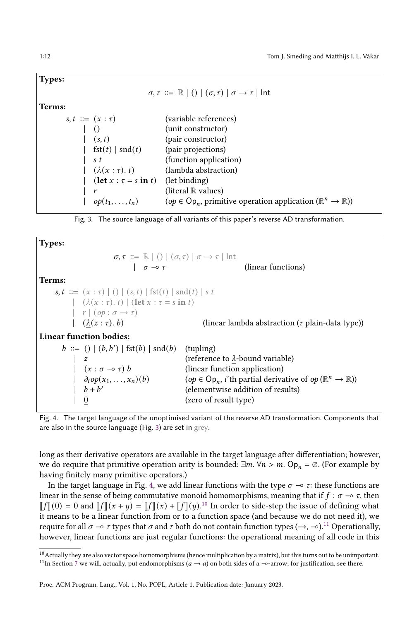<span id="page-11-0"></span>

| <b>Types:</b>                     |                                                                                                                |
|-----------------------------------|----------------------------------------------------------------------------------------------------------------|
|                                   | $\sigma, \tau \coloneqq \mathbb{R} \mid () \mid (\sigma, \tau) \mid \sigma \rightarrow \tau \mid \mathsf{Int}$ |
| Terms:                            |                                                                                                                |
| $s, t \coloneqq (x : \tau)$       | (variable references)                                                                                          |
|                                   | (unit constructor)                                                                                             |
| (s, t)                            | (pair constructor)                                                                                             |
| fst(t)   snd(t)                   | (pair projections)                                                                                             |
| s t                               | (function application)                                                                                         |
| $(\lambda(x:\tau), t)$            | (lambda abstraction)                                                                                           |
| $\det x : \tau = s \text{ in } t$ | (let binding)                                                                                                  |
|                                   | (literal $\mathbb R$ values)                                                                                   |
| $op(t_1,\ldots,t_n)$              | $(op \in Op_n$ , primitive operation application ( $\mathbb{R}^n \to \mathbb{R}$ ))                            |



<span id="page-11-1"></span>

| Types:                                                                                                                                                                                                      |                                                                                                                                                                                                                                                              |
|-------------------------------------------------------------------------------------------------------------------------------------------------------------------------------------------------------------|--------------------------------------------------------------------------------------------------------------------------------------------------------------------------------------------------------------------------------------------------------------|
| $\sigma, \tau \coloneqq \mathbb{R} \mid ( ) \mid (\sigma, \tau) \mid \sigma \rightarrow \tau \mid \mathsf{Int}$<br>$1 \sigma \rightarrow \tau$                                                              | (linear functions)                                                                                                                                                                                                                                           |
| Terms:                                                                                                                                                                                                      |                                                                                                                                                                                                                                                              |
| $s, t := (x : \tau)   ()   (s, t)   fst(t)   snd(t)   s t$<br>$(\lambda(x:\tau), t)$ (let $x:\tau = s$ in t)<br>$ r (op: \sigma \rightarrow \tau)$<br>$( \lambda(z:\tau), b)$                               | (linear lambda abstraction ( $\tau$ plain-data type))                                                                                                                                                                                                        |
| <b>Linear function bodies:</b>                                                                                                                                                                              |                                                                                                                                                                                                                                                              |
| $b ::= ()   (b, b')   \text{fst}(b)   \text{snd}(b)$<br>$\vert z \vert$<br>$(x : \sigma \rightarrow \tau) b$<br>$\int$ $\partial_i$ op $(x_1, \ldots, x_n)(b)$<br>$\left  b+b^{\prime }\right $<br>$\theta$ | (tupling)<br>(reference to $\lambda$ -bound variable)<br>(linear function application)<br>(op $\in$ Op <sub>n</sub> , <i>i</i> 'th partial derivative of op ( $\mathbb{R}^n \to \mathbb{R}$ ))<br>(elementwise addition of results)<br>(zero of result type) |

Fig. 4. The target language of the unoptimised variant of the reverse AD transformation. Components that are also in the source language (Fig. [3\)](#page-11-0) are set in grey.

long as their derivative operators are available in the target language after differentiation; however, we do require that primitive operation arity is bounded:  $\exists m. \forall n > m.$  Op<sub>n</sub> = ∅. (For example by having finitely many primitive operators.)

In the target language in Fig. [4,](#page-11-1) we add linear functions with the type  $\sigma \to \tau$ : these functions are linear in the sense of being commutative monoid homomorphisms, meaning that if  $f : \sigma \to \tau$ , then  $\llbracket f \rrbracket(0) = 0$  and  $\llbracket f \rrbracket(x + y) = \llbracket f \rrbracket(x) + \llbracket f \rrbracket(y)$ .<sup>[10](#page-11-2)</sup> In order to side-step the issue of defining what it means to be a linear function from or to a function space (and because we do not need it) we it means to be a linear function from or to a function space (and because we do not need it), we require for all  $\sigma \to \tau$  types that  $\sigma$  and  $\tau$  both do not contain function types ( $\to, \neg$ ).<sup>[11](#page-11-3)</sup> Operationally, however, linear functions are just regular functions: the operational meaning of all code in this

<span id="page-11-3"></span><span id="page-11-2"></span> $^{10}\rm{Actually}$  they are also vector space homomorphisms (hence multiplication by a matrix), but this turns out to be unimportant. <sup>11</sup>In Section [7](#page-25-0) we will, actually, put endomorphisms ( $a \rightarrow a$ ) on both sides of a ⊸-arrow; for justification, see there.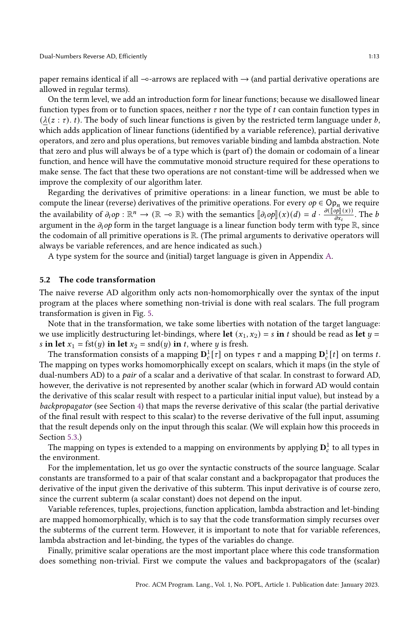Dual-Numbers Reverse AD, Efficiently 1:13

paper remains identical if all ⊸-arrows are replaced with → (and partial derivative operations are allowed in regular terms).

On the term level, we add an introduction form for linear functions; because we disallowed linear function types from or to function spaces, neither  $\tau$  nor the type of  $t$  can contain function types in  $(\lambda(z : \tau)$ . The body of such linear functions is given by the restricted term language under  $b$ , which adds application of linear functions (identified by a variable reference), partial derivative operators, and zero and plus operations, but removes variable binding and lambda abstraction. Note that zero and plus will always be of a type which is (part of) the domain or codomain of a linear function, and hence will have the commutative monoid structure required for these operations to make sense. The fact that these two operations are not constant-time will be addressed when we improve the complexity of our algorithm later.

Regarding the derivatives of primitive operations: in a linear function, we must be able to compute the linear (reverse) derivatives of the primitive operations. For every  $op \in Op_n$  we require the availability of  $\partial_i op : \mathbb{R}^n \to (\mathbb{R} \to \mathbb{R})$  with the semantics  $[\![\partial_i op]\!](x)(d) = d \cdot \frac{\partial([\![\phi]\!](x))}{\partial x_i}$ . The b argument in the  $\partial_i$  op form in the target language is a linear function body term with type R, since the codomain of all primitive operations is R. (The primal arguments to derivative operators will always be variable references, and are hence indicated as such.)

A type system for the source and (initial) target language is given in Appendix [A.](#page-44-1)

#### 5.2 The code transformation

The naive reverse AD algorithm only acts non-homomorphically over the syntax of the input program at the places where something non-trivial is done with real scalars. The full program transformation is given in Fig. [5.](#page-13-0)

Note that in the transformation, we take some liberties with notation of the target language: we use implicitly destructuring let-bindings, where let  $(x_1, x_2) = s$  in t should be read as let  $y =$ *s* in let  $x_1 = fst(y)$  in let  $x_2 = snd(y)$  in *t*, where *y* is fresh.

The transformation consists of a mapping  ${\bf D}_c^1[\tau]$  on types  $\tau$  and a mapping  ${\bf D}_c^1[t]$  on terms t. The mapping on types works homomorphically except on scalars, which it maps (in the style of dual-numbers AD) to a pair of a scalar and a derivative of that scalar. In constrast to forward AD, however, the derivative is not represented by another scalar (which in forward AD would contain the derivative of this scalar result with respect to a particular initial input value), but instead by a backpropagator (see Section [4\)](#page-6-0) that maps the reverse derivative of this scalar (the partial derivative of the final result with respect to this scalar) to the reverse derivative of the full input, assuming that the result depends only on the input through this scalar. (We will explain how this proceeds in Section [5.3.](#page-13-1))

The mapping on types is extended to a mapping on environments by applying  ${\bf D}_c^1$  to all types in the environment.

For the implementation, let us go over the syntactic constructs of the source language. Scalar constants are transformed to a pair of that scalar constant and a backpropagator that produces the derivative of the input given the derivative of this subterm. This input derivative is of course zero, since the current subterm (a scalar constant) does not depend on the input.

Variable references, tuples, projections, function application, lambda abstraction and let-binding are mapped homomorphically, which is to say that the code transformation simply recurses over the subterms of the current term. However, it is important to note that for variable references, lambda abstraction and let-binding, the types of the variables do change.

Finally, primitive scalar operations are the most important place where this code transformation does something non-trivial. First we compute the values and backpropagators of the (scalar)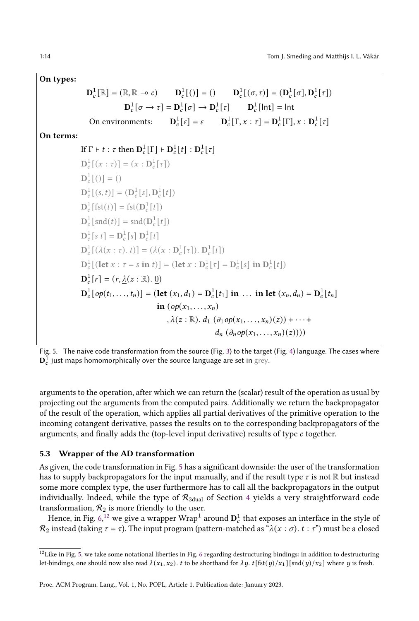<span id="page-13-0"></span>

Fig. 5. The naive code transformation from the source (Fig. [3\)](#page-11-0) to the target (Fig. [4\)](#page-11-1) language. The cases where  ${\bf D}_c^1$  just maps homomorphically over the source language are set in grey.

arguments to the operation, after which we can return the (scalar) result of the operation as usual by projecting out the arguments from the computed pairs. Additionally we return the backpropagator of the result of the operation, which applies all partial derivatives of the primitive operation to the incoming cotangent derivative, passes the results on to the corresponding backpropagators of the arguments, and finally adds the (top-level input derivative) results of type c together.

# <span id="page-13-1"></span>5.3 Wrapper of the AD transformation

As given, the code transformation in Fig. [5](#page-13-0) has a significant downside: the user of the transformation has to supply backpropagators for the input manually, and if the result type  $\tau$  is not R but instead some more complex type, the user furthermore has to call all the backpropagators in the output individually. Indeed, while the type of  $\mathcal{R}_{3dual}$  of Section [4](#page-6-0) yields a very straightforward code transformation,  $\mathcal{R}_2$  is more friendly to the user.

Hence, in Fig. [6,](#page-14-0) $^{12}$  $^{12}$  $^{12}$  we give a wrapper Wrap $^1$  around  ${\bf D}_c^1$  that exposes an interface in the style of  $\mathcal{R}_2$  instead (taking  $\tau = \tau$ ). The input program (pattern-matched as " $\lambda(x : \sigma)$ .  $t : \tau$ ") must be a closed

<span id="page-13-2"></span> $12$ Like in Fig. [5,](#page-13-0) we take some notational liberties in Fig. [6](#page-14-0) regarding destructuring bindings: in addition to destructuring let-bindings, one should now also read  $\lambda(x_1, x_2)$ . *t* to be shorthand for  $\lambda y$ . *t*[fst( $y$ / $x_1$ ] [snd( $y$ / $x_2$ ] where  $y$  is fresh.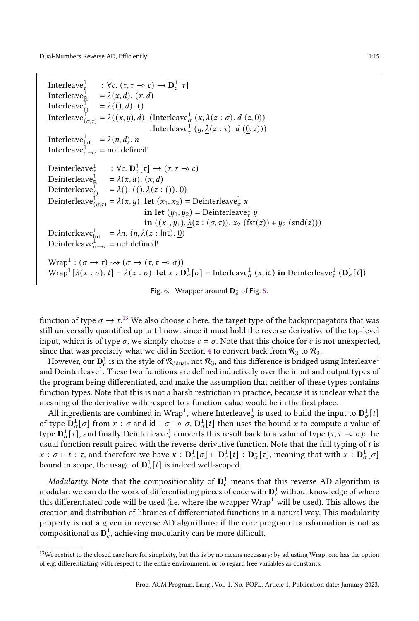Dual-Numbers Reverse AD, Efficiently 1:15

<span id="page-14-0"></span>Interleave $\frac{1}{\tau}$  :  $\forall c. (\tau, \tau \to c) \to \mathbf{D}_c^1[\tau]$ Interleave $\frac{1}{\mathbb{R}}$  =  $\lambda(x, d)$ .  $(x, d)$ Interleave<sup>1</sup> $\lambda$  =  $\lambda$ ((), *d*). () Interleave $\int_{(\sigma,\tau)}^{1} = \lambda((x,y),d)$ . (Interleave $\int_{\sigma}^{1} (x, \underline{\lambda}(z:\sigma), d(z,\underline{0}))$ , Interleave $^1_{\tau}(y, \underline{\lambda}(z:\tau), d(0, z)))$ Interleave<sup>1</sup><sub>lnt</sub> =  $\lambda(n, d)$ . *n* Interleave $\lim_{\sigma \to \tau}$  = not defined! Deinterleave $\frac{1}{\tau}$  :  $\forall c$ .  $\mathbf{D}_c^1[\tau] \rightarrow (\tau, \tau \rightarrow c)$ Deinterleave $\frac{1}{\mathbb{R}}$  =  $\lambda(x, d)$ .  $(x, d)$ Deinterleave<sup>1</sup> =  $\lambda$ (). ((), <u> $\lambda$ </u>( $z$  : ()). <u>0</u>) Deinterleave $\int_{(\sigma,\tau)}^1 = \lambda(x,y)$ . **let**  $(x_1, x_2)$  = Deinterleave $\frac{1}{\sigma}$  x in let  $(y_1, y_2)$  = Deinterleave $\frac{1}{\tau}$   $y$ in  $((x_1, y_1), \underline{\lambda}(z : (\sigma, \tau))$ .  $x_2$  (fst(z)) +  $y_2$  (snd(z))) Deinterleave $_{\rm int}^1$  =  $\lambda n$ . (*n*, <u> $\lambda$ </u>(*z* : lnt). <u>0</u>) Deinterleave $\lim_{\sigma \to \tau}$  = not defined!  $\text{Wrap}^1 : (\sigma \to \tau) \rightsquigarrow (\sigma \to (\tau, \tau \to \sigma))$  $\text{Wrap}^1[\lambda(x:\sigma), t] = \lambda(x:\sigma)$ . **let**  $x : \mathbf{D}^1_\sigma[\sigma] = \text{Interleave}^1_\sigma(x, \text{id})$  in Deinterleave<sup>1</sup><sub>7</sub> ( $\mathbf{D}^1_\sigma[t]$ )

function of type  $\sigma \to \tau^{13}$  $\sigma \to \tau^{13}$  $\sigma \to \tau^{13}$  We also choose  $c$  here, the target type of the backpropagators that was still universally quantified up until now: since it must hold the reverse derivative of the top-level input, which is of type  $\sigma$ , we simply choose  $c = \sigma$ . Note that this choice for c is not unexpected, since that was precisely what we did in Section [4](#page-6-0) to convert back from  $\mathcal{R}_3$  to  $\mathcal{R}_2$ .

However, our  $\mathbf{D}^1_c$  is in the style of  $\mathcal{R}_{3\text{dual}},$  not  $\mathcal{R}_3$ , and this difference is bridged using Interleave $^1$ and Deinterleave<sup>1</sup>. These two functions are defined inductively over the input and output types of the program being differentiated, and make the assumption that neither of these types contains function types. Note that this is not a harsh restriction in practice, because it is unclear what the meaning of the derivative with respect to a function value would be in the first place.

All ingredients are combined in Wrap<sup>1</sup>, where Interleave $\frac{1}{\sigma}$  is used to build the input to  $\mathbf{D}^1_{\sigma}[t]$ of type  $\mathbf{D}^1_\sigma[\sigma]$  from  $x : \sigma$  and id :  $\sigma \to \sigma$ ,  $\mathbf{D}^1_\sigma[t]$  then uses the bound x to compute a value of type  ${\bf D}^1_\sigma[\tau]$ , and finally Deinterleave $^1_\tau$  converts this result back to a value of type  $(\tau,\tau\multimap\sigma)$ : the usual function result paired with the reverse derivative function. Note that the full typing of t is  $x : \sigma \vdash t : \tau$ , and therefore we have  $x : D^1_\sigma[\sigma] \vdash D^1_\sigma[t] : D^1_\sigma[\tau]$ , meaning that with  $x : D^1_\sigma[\sigma]$ bound in scope, the usage of  ${\bf D}^1_\sigma[t]$  is indeed well-scoped.

*Modularity.* Note that the compositionality of  $\mathbf{D}_c^1$  means that this reverse AD algorithm is modular: we can do the work of differentiating pieces of code with  ${\bf D}^1_c$  without knowledge of where this differentiated code will be used (i.e. where the wrapper  $Wrap<sup>1</sup>$  will be used). This allows the creation and distribution of libraries of differentiated functions in a natural way. This modularity property is not a given in reverse AD algorithms: if the core program transformation is not as compositional as  $\mathbf{D}^1_c$ , achieving modularity can be more difficult.

Fig. 6. Wrapper around  $\mathbf{D}_c^1$  of Fig. [5.](#page-13-0)

<span id="page-14-1"></span> $^{13}$  We restrict to the closed case here for simplicity, but this is by no means necessary: by adjusting Wrap, one has the option of e.g. differentiating with respect to the entire environment, or to regard free variables as constants.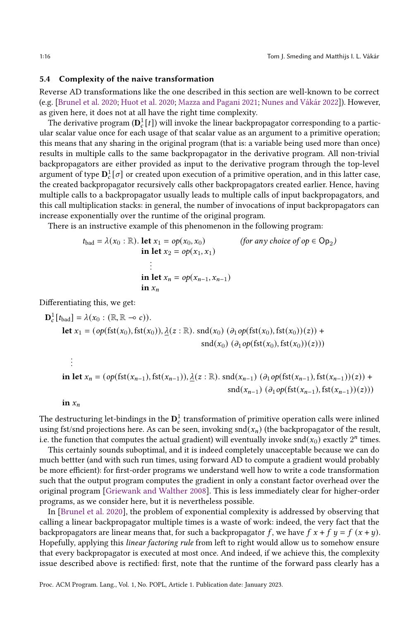# <span id="page-15-0"></span>5.4 Complexity of the naive transformation

Reverse AD transformations like the one described in this section are well-known to be correct (e.g. [\[Brunel et al.](#page-42-1) [2020;](#page-42-1) [Huot et al.](#page-42-3) [2020;](#page-42-3) [Mazza and Pagani](#page-43-7) [2021;](#page-43-7) [Nunes and Vákár](#page-43-8) [2022\]](#page-43-8)). However, as given here, it does not at all have the right time complexity.

The derivative program ( $\mathbf{D}_c^1[t]$ ) will invoke the linear backpropagator corresponding to a particular scalar value once for each usage of that scalar value as an argument to a primitive operation; this means that any sharing in the original program (that is: a variable being used more than once) results in multiple calls to the same backpropagator in the derivative program. All non-trivial backpropagators are either provided as input to the derivative program through the top-level argument of type  ${\bf D}_c^1[\sigma]$  or created upon execution of a primitive operation, and in this latter case, the created backpropagator recursively calls other backpropagators created earlier. Hence, having multiple calls to a backpropagator usually leads to multiple calls of input backpropagators, and this call multiplication stacks: in general, the number of invocations of input backpropagators can increase exponentially over the runtime of the original program.

There is an instructive example of this phenomenon in the following program:

$$
t_{\text{bad}} = \lambda(x_0 : \mathbb{R}). \text{ let } x_1 = op(x_0, x_0) \qquad \text{(for any choice of } op \in \text{Op}_2\text{)}
$$
\n
$$
\text{in let } x_2 = op(x_1, x_1)
$$
\n
$$
\vdots
$$
\n
$$
\text{in let } x_n = op(x_{n-1}, x_{n-1})
$$
\n
$$
\text{in } x_n
$$

Differentiating this, we get:

$$
\mathbf{D}_{c}^{1}[t_{bad}] = \lambda(x_{0} : (\mathbb{R}, \mathbb{R} \to c)).
$$
\n
$$
\text{let } x_{1} = (op(\text{fst}(x_{0}), \text{fst}(x_{0})), \underline{\lambda}(z : \mathbb{R}). \text{ and } (x_{0}) \ (\partial_{1}op(\text{fst}(x_{0}), \text{fst}(x_{0}))(z)) + \text{snd}(x_{0}) \ (\partial_{1}op(\text{fst}(x_{0}), \text{fst}(x_{0}))(z)))
$$

**in let** 
$$
x_n = (op(fst(x_{n-1}),fst(x_{n-1})), \underline{\lambda}(z : \mathbb{R})
$$
.  $snd(x_{n-1}) (\partial_1 op(fst(x_{n-1}),fst(x_{n-1}))(z)) +$   
  $snd(x_{n-1}) (\partial_1 op(fst(x_{n-1}),fst(x_{n-1}))(z)))$ 

in  $x_n$ 

. . .

The destructuring let-bindings in the  $\mathbf{D}_c^1$  transformation of primitive operation calls were inlined using fst/snd projections here. As can be seen, invoking  $\text{snd}(x_n)$  (the backpropagator of the result, i.e. the function that computes the actual gradient) will eventually invoke snd $(x_0)$  exactly  $2^n$  times.

This certainly sounds suboptimal, and it is indeed completely unacceptable because we can do much bettter (and with such run times, using forward AD to compute a gradient would probably be more efficient): for first-order programs we understand well how to write a code transformation such that the output program computes the gradient in only a constant factor overhead over the original program [\[Griewank and Walther](#page-42-7) [2008\]](#page-42-7). This is less immediately clear for higher-order programs, as we consider here, but it is nevertheless possible.

In [\[Brunel et al.](#page-42-1) [2020\]](#page-42-1), the problem of exponential complexity is addressed by observing that calling a linear backpropagator multiple times is a waste of work: indeed, the very fact that the backpropagators are linear means that, for such a backpropagator f, we have  $f(x + f(y)) = f(x + y)$ . Hopefully, applying this linear factoring rule from left to right would allow us to somehow ensure that every backpropagator is executed at most once. And indeed, if we achieve this, the complexity issue described above is rectified: first, note that the runtime of the forward pass clearly has a

Proc. ACM Program. Lang., Vol. 1, No. POPL, Article 1. Publication date: January 2023.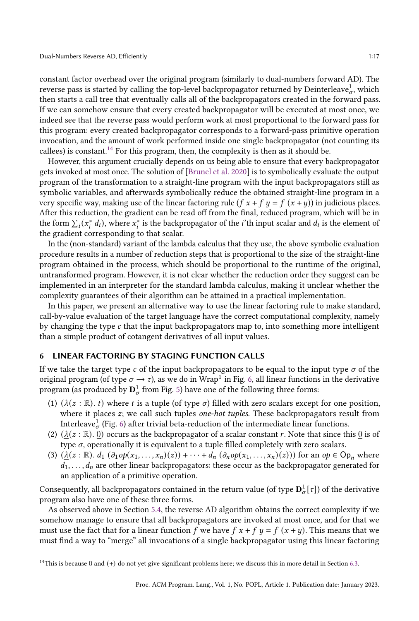constant factor overhead over the original program (similarly to dual-numbers forward AD). The reverse pass is started by calling the top-level backpropagator returned by Deinterleave $_{\sigma}^1$ , which then starts a call tree that eventually calls all of the backpropagators created in the forward pass. If we can somehow ensure that every created backpropagator will be executed at most once, we indeed see that the reverse pass would perform work at most proportional to the forward pass for this program: every created backpropagator corresponds to a forward-pass primitive operation invocation, and the amount of work performed inside one single backpropagator (not counting its callees) is constant.<sup>[14](#page-16-1)</sup> For this program, then, the complexity is then as it should be.

However, this argument crucially depends on us being able to ensure that every backpropagator gets invoked at most once. The solution of [\[Brunel et al.](#page-42-1) [2020\]](#page-42-1) is to symbolically evaluate the output program of the transformation to a straight-line program with the input backpropagators still as symbolic variables, and afterwards symbolically reduce the obtained straight-line program in a very specific way, making use of the linear factoring rule ( $f x + f y = f (x + y)$ ) in judicious places. After this reduction, the gradient can be read off from the final, reduced program, which will be in the form  $\sum_i (x_i^* d_i)$ , where  $x_i^*$  is the backpropagator of the *i*'th input scalar and  $d_i$  is the element of the gradient corresponding to that scalar.

In the (non-standard) variant of the lambda calculus that they use, the above symbolic evaluation procedure results in a number of reduction steps that is proportional to the size of the straight-line program obtained in the process, which should be proportional to the runtime of the original, untransformed program. However, it is not clear whether the reduction order they suggest can be implemented in an interpreter for the standard lambda calculus, making it unclear whether the complexity guarantees of their algorithm can be attained in a practical implementation.

In this paper, we present an alternative way to use the linear factoring rule to make standard, call-by-value evaluation of the target language have the correct computational complexity, namely by changing the type  $c$  that the input backpropagators map to, into something more intelligent than a simple product of cotangent derivatives of all input values.

# <span id="page-16-0"></span>6 LINEAR FACTORING BY STAGING FUNCTION CALLS

If we take the target type c of the input backpropagators to be equal to the input type  $\sigma$  of the original program (of type  $\sigma \to \tau$ ), as we do in Wrap<sup>1</sup> in Fig. [6,](#page-14-0) all linear functions in the derivative program (as produced by  $\mathbf{D}^1_\sigma$  from Fig. [5\)](#page-13-0) have one of the following three forms:

- (1)  $(\lambda(z : \mathbb{R})$ . t) where t is a tuple (of type  $\sigma$ ) filled with zero scalars except for one position, where it places  $z$ ; we call such tuples one-hot tuples. These backpropagators result from Interleave $\frac{1}{\sigma}$  (Fig. [6\)](#page-14-0) after trivial beta-reduction of the intermediate linear functions.
- (2)  $(\lambda(z : \mathbb{R})$ . 0) occurs as the backpropagator of a scalar constant r. Note that since this 0 is of type  $\sigma$ , operationally it is equivalent to a tuple filled completely with zero scalars.
- (3)  $(\underline{\lambda}(z : \mathbb{R}) \cdot d_1 (\partial_1 op(x_1, \ldots, x_n)(z)) + \cdots + d_n (\partial_n op(x_1, \ldots, x_n)(z)))$  for an  $op \in \mathrm{Op}_n$  where  $d_1, \ldots, d_n$  are other linear backpropagators: these occur as the backpropagator generated for an application of a primitive operation.

Consequently, all backpropagators contained in the return value (of type  ${\bf D}^1_\sigma[\tau]$ ) of the derivative program also have one of these three forms.

As observed above in Section [5.4,](#page-15-0) the reverse AD algorithm obtains the correct complexity if we somehow manage to ensure that all backpropagators are invoked at most once, and for that we must use the fact that for a linear function f we have  $f x + f y = f (x + y)$ . This means that we must find a way to "merge" all invocations of a single backpropagator using this linear factoring

<span id="page-16-1"></span> $14$ This is because 0 and (+) do not yet give significant problems here; we discuss this in more detail in Section [6.3.](#page-23-0)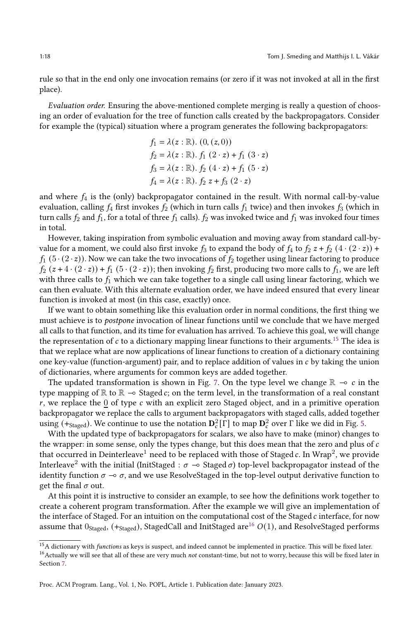rule so that in the end only one invocation remains (or zero if it was not invoked at all in the first place).

Evaluation order. Ensuring the above-mentioned complete merging is really a question of choosing an order of evaluation for the tree of function calls created by the backpropagators. Consider for example the (typical) situation where a program generates the following backpropagators:

$$
f_1 = \lambda(z : \mathbb{R}). (0, (z, 0))
$$
  
\n
$$
f_2 = \lambda(z : \mathbb{R}). f_1 (2 \cdot z) + f_1 (3 \cdot z)
$$
  
\n
$$
f_3 = \lambda(z : \mathbb{R}). f_2 (4 \cdot z) + f_1 (5 \cdot z)
$$
  
\n
$$
f_4 = \lambda(z : \mathbb{R}). f_2 z + f_3 (2 \cdot z)
$$

and where  $f_4$  is the (only) backpropagator contained in the result. With normal call-by-value evaluation, calling  $f_4$  first invokes  $f_2$  (which in turn calls  $f_1$  twice) and then invokes  $f_3$  (which in turn calls  $f_2$  and  $f_1$ , for a total of three  $f_1$  calls).  $f_2$  was invoked twice and  $f_1$  was invoked four times in total.

However, taking inspiration from symbolic evaluation and moving away from standard call-byvalue for a moment, we could also first invoke  $f_3$  to expand the body of  $f_4$  to  $f_2$   $z + f_2$   $(4 \cdot (2 \cdot z)) +$  $f_1$  (5 · (2 · z)). Now we can take the two invocations of  $f_2$  together using linear factoring to produce  $f_2(z+4\cdot(2\cdot z)) + f_1(5\cdot(2\cdot z))$ ; then invoking  $f_2$  first, producing two more calls to  $f_1$ , we are left with three calls to  $f_1$  which we can take together to a single call using linear factoring, which we can then evaluate. With this alternate evaluation order, we have indeed ensured that every linear function is invoked at most (in this case, exactly) once.

If we want to obtain something like this evaluation order in normal conditions, the first thing we must achieve is to postpone invocation of linear functions until we conclude that we have merged all calls to that function, and its time for evaluation has arrived. To achieve this goal, we will change the representation of  $c$  to a dictionary mapping linear functions to their arguments.<sup>[15](#page-17-0)</sup> The idea is that we replace what are now applications of linear functions to creation of a dictionary containing one key-value (function-argument) pair, and to replace addition of values in  $c$  by taking the union of dictionaries, where arguments for common keys are added together.

The updated transformation is shown in Fig. [7.](#page-18-0) On the type level we change  $\mathbb{R} \to c$  in the type mapping of R to R  $\rightarrow$  Staged c; on the term level, in the transformation of a real constant  $r$ , we replace the 0 of type  $c$  with an explicit zero Staged object, and in a primitive operation backpropagator we replace the calls to argument backpropagators with staged calls, added together using (+<sub>Staged</sub>). We continue to use the notation  ${\bf D}_c^2[\Gamma]$  to map  ${\bf D}_c^2$  over  $\Gamma$  like we did in Fig. [5.](#page-13-0)

With the updated type of backpropagators for scalars, we also have to make (minor) changes to the wrapper: in some sense, only the types change, but this does mean that the zero and plus of  $c$ that occurred in Deinterleave<sup>1</sup> need to be replaced with those of Staged c. In Wrap<sup>2</sup>, we provide Interleave<sup>2</sup> with the initial (InitStaged :  $\sigma \rightarrow$  Staged  $\sigma$ ) top-level backpropagator instead of the identity function  $\sigma \to \sigma$ , and we use ResolveStaged in the top-level output derivative function to get the final  $\sigma$  out.

At this point it is instructive to consider an example, to see how the definitions work together to create a coherent program transformation. After the example we will give an implementation of the interface of Staged. For an intuition on the computational cost of the Staged  $c$  interface, for now assume that  $0_{\text{Staged}}$ ,  $(+_{\text{Staged}})$ , StagedCall and InitStaged are<sup>[16](#page-17-1)</sup>  $O(1)$ , and ResolveStaged performs

<span id="page-17-0"></span> $15A$  dictionary with *functions* as keys is suspect, and indeed cannot be implemented in practice. This will be fixed later.

<span id="page-17-1"></span><sup>&</sup>lt;sup>16</sup> Actually we will see that all of these are very much not constant-time, but not to worry, because this will be fixed later in Section [7.](#page-25-0)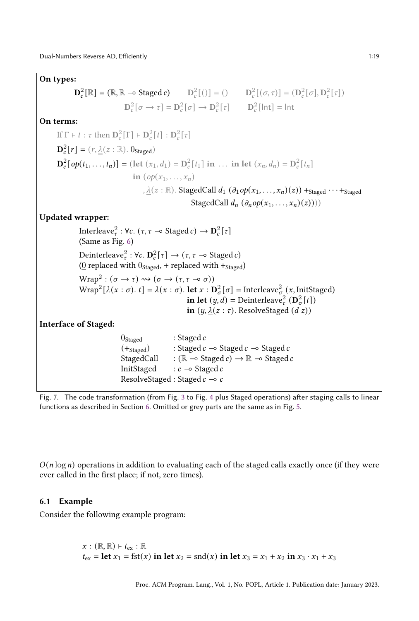<span id="page-18-0"></span>On types:

# $\mathbf{D}_c^2[\mathbb{R}] = (\mathbb{R}, \mathbb{R} \to \text{Staged } c)$   $D_c^2[()] = ()$   $D_c^2[(\sigma, \tau)] = (D_c^2[\sigma], D_c^2[\tau])$  $\mathbf{D}_c^2[\sigma \to \tau] = \mathbf{D}_c^2[\sigma] \to \mathbf{D}_c^2[\tau]$   $\qquad \mathbf{D}_c^2[\text{Int}] = \text{Int}$ On terms: If  $\Gamma \vdash t : \tau$  then  $\mathbf{D}_c^2[\Gamma] \vdash \mathbf{D}_c^2[t] : \mathbf{D}_c^2[\tau]$  $\mathbf{D}_c^2[r] = (r, \underline{\lambda}(z : \mathbb{R}). 0_{\text{Staged}})$  $\mathbf{D}_c^2[\text{op}(t_1,\ldots,t_n)] = (\text{let } (x_1,d_1) = D_c^2[t_1] \text{ in } \ldots \text{ in } \text{let } (x_n,d_n) = D_c^2[t_n]$ in  $(op(x_1, \ldots, x_n))$ ,  $\lambda(z : \mathbb{R})$ . StagedCall  $d_1$   $(\partial_1 op(x_1, ..., x_n)(z))$  + Staged  $\cdots$  + Staged StagedCall  $d_n$   $(\partial_n op(x_1, \ldots, x_n)(z)))$ Updated wrapper: Interleave $^2$ :  $\forall c. (\tau, \tau \rightarrow \text{Staged } c) \rightarrow \mathbf{D}_c^2[\tau]$ (Same as Fig. [6\)](#page-14-0) Deinterleave $^2_\tau : \forall c$ .  $\mathbf{D}_c^2[\tau] \rightarrow (\tau, \tau \rightarrow \text{Staged } c)$ (0 replaced with  $0_{\text{Staged}}$ , + replaced with + $_{\text{Staged}}$ )  $\text{Wrap}^2 : (\sigma \to \tau) \rightsquigarrow (\sigma \to (\tau, \tau \to \sigma))$ Wrap<sup>2</sup>[ $\lambda(x : \sigma)$ .  $t$ ] =  $\lambda(x : \sigma)$ . **let**  $x : D^2_{\sigma}[\sigma]$  = Interleave<sup>2</sup><sub> $\sigma$ </sub> (x, InitStaged) in let  $(y, d)$  = Deinterleave<sub>7</sub> ( $\mathbf{D}_{\sigma}^2[t]$ ) in  $(y, \lambda(z : \tau)$ . ResolveStaged  $(d z))$ Interface of Staged:  $0_{\text{Staged}}$  : Staged  $c$ (+ $_{\text{Staged}}$ ) : Staged  $c$  ⊸ Staged  $c$  ⊸ Staged  $c$ StagedCall : ( $\mathbb{R} \rightarrow$  Staged  $c$ )  $\rightarrow \mathbb{R} \rightarrow$  Staged  $c$ InitStaged :  $c \rightarrow$  Staged  $c$ ResolveStaged : Staged  $c \rightarrow c$

Fig. 7. The code transformation (from Fig. [3](#page-11-0) to Fig. [4](#page-11-1) plus Staged operations) after staging calls to linear functions as described in Section [6.](#page-16-0) Omitted or grey parts are the same as in Fig. [5.](#page-13-0)

 $O(n \log n)$  operations in addition to evaluating each of the staged calls exactly once (if they were ever called in the first place; if not, zero times).

### 6.1 Example

Consider the following example program:

 $x : (\mathbb{R}, \mathbb{R}) \vdash t_{\text{ex}} : \mathbb{R}$  $t_{\rm ex}$  = let  $x_1$  = fst(x) in let  $x_2$  = snd(x) in let  $x_3 = x_1 + x_2$  in  $x_3 \cdot x_1 + x_3$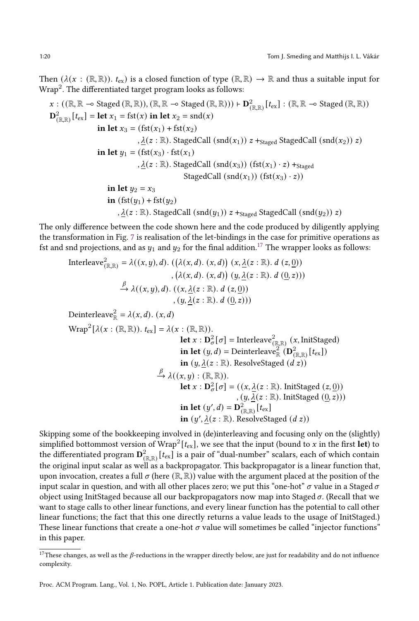Then  $(\lambda(x : (\mathbb{R}, \mathbb{R}))$ .  $t_{ex})$  is a closed function of type  $(\mathbb{R}, \mathbb{R}) \to \mathbb{R}$  and thus a suitable input for  $\text{Wrap}^2$ . The differentiated target program looks as follows:

$$
x: ((\mathbb{R}, \mathbb{R} \to \text{Staged } (\mathbb{R}, \mathbb{R})), (\mathbb{R}, \mathbb{R} \to \text{Staged } (\mathbb{R}, \mathbb{R}))) \vdash \mathbf{D}_{(\mathbb{R}, \mathbb{R})}^2 [t_{ex}] : (\mathbb{R}, \mathbb{R} \to \text{Staged } (\mathbb{R}, \mathbb{R}))
$$
  
\n
$$
\mathbf{D}_{(\mathbb{R}, \mathbb{R})}^2 [t_{ex}] = \text{let } x_1 = \text{fst}(x) \text{ in let } x_2 = \text{snd}(x)
$$
  
\n
$$
\text{in let } x_3 = (\text{fst}(x_1) + \text{fst}(x_2)
$$
  
\n
$$
\therefore \underline{\lambda}(z : \mathbb{R}). \text{StagedCall} (\text{snd}(x_1)) z + \text{Staged} \text{StagedCall} (\text{snd}(x_2)) z)
$$
  
\n
$$
\text{in let } y_1 = (\text{fst}(x_3) \cdot \text{fst}(x_1)
$$
  
\n
$$
\therefore \underline{\lambda}(z : \mathbb{R}). \text{StagedCall} (\text{snd}(x_3)) (\text{fst}(x_1) \cdot z) + \text{Staged} \text{StagedCall} (\text{snd}(x_1)) ) (\text{fst}(x_3) \cdot z))
$$
  
\n
$$
\text{in let } y_2 = x_3
$$
  
\n
$$
\text{in } (\text{fst}(y_1) + \text{fst}(y_2)
$$
  
\n
$$
\therefore \lambda(z : \mathbb{R}). \text{StagedCall} (\text{snd}(y_1)) z + \text{Staged} \text{StagedCall} (\text{snd}(y_2)) z)
$$

The only difference between the code shown here and the code produced by diligently applying the transformation in Fig. [7](#page-18-0) is realisation of the let-bindings in the case for primitive operations as fst and snd projections, and as  $y_1$  and  $y_2$  for the final addition.<sup>[17](#page-19-0)</sup> The wrapper looks as follows:

$$
\begin{aligned} \text{Interleave}^2_{(\mathbb{R}, \mathbb{R})} &= \lambda((x, y), d). \left( \left( \lambda(x, d). (x, d) \right) (x, \underline{\lambda}(z : \mathbb{R}). d (z, \underline{0}) \right) \\ &\quad , \left( \lambda(x, d). (x, d) \right) (y, \underline{\lambda}(z : \mathbb{R}). d ( \underline{0}, z ) ) ) \\ &\xrightarrow{\beta} \lambda((x, y), d). \left( (x, \underline{\lambda}(z : \mathbb{R}). d (z, \underline{0}) \right) \\ &\quad , (y, \underline{\lambda}(z : \mathbb{R}). d ( \underline{0}, z ) ) ) \end{aligned}
$$

Deinterleave<sup>2</sup> <sup>R</sup> = (, ). (, ) Wrap<sup>2</sup> [( : (R, R)). ex] = ( : (R, R)). let : D<sup>2</sup> [] = Interleave<sup>2</sup> (R,R) (, InitStaged) in let (, ) = Deinterleave<sup>2</sup> R (D<sup>2</sup> (R,R) [ex]) in (, ( : R). ResolveStaged ( )) <sup>→</sup> ( (, ) : (R, <sup>R</sup>)). let : D<sup>2</sup> [] = ( (, ( : R). InitStaged (, 0)) , (, ( : R). InitStaged (0, ))) in let ( ′ , ) = D<sup>2</sup> (R,R) [ex] in ( ′ , ( : R). ResolveStaged ( ))

Skipping some of the bookkeeping involved in (de)interleaving and focusing only on the (slightly) simplified bottommost version of Wrap<sup>2</sup> [ $t_{\rm ex}$ ], we see that the input (bound to x in the first **let**) to the differentiated program  $\mathbf{D}^2_{(\mathbb{R},\mathbb{R})}$   $[t_{\rm ex}]$  is a pair of "dual-number" scalars, each of which contain the original input scalar as well as a backpropagator. This backpropagator is a linear function that, upon invocation, creates a full  $\sigma$  (here ( $\mathbb{R}, \mathbb{R}$ )) value with the argument placed at the position of the input scalar in question, and with all other places zero; we put this "one-hot"  $\sigma$  value in a Staged  $\sigma$ object using InitStaged because all our backpropagators now map into Staged  $\sigma$ . (Recall that we want to stage calls to other linear functions, and every linear function has the potential to call other linear functions; the fact that this one directly returns a value leads to the usage of InitStaged.) These linear functions that create a one-hot  $\sigma$  value will sometimes be called "injector functions" in this paper.

<span id="page-19-0"></span> $^{17}$  These changes, as well as the  $\beta$  -reductions in the wrapper directly below, are just for readability and do not influence complexity.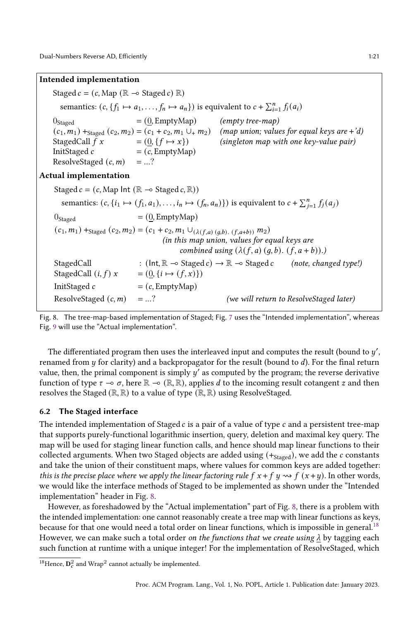# <span id="page-20-0"></span>Intended implementation

Staged  $c = (c, \text{Map } (\mathbb{R} \multimap \text{Staged } c) \mathbb{R})$ semantics:  $(c, \{f_1 \mapsto a_1, ..., f_n \mapsto a_n\})$  is equivalent to  $c + \sum_{i=1}^n f_i(a_i)$  $0_{\text{Staged}} = (0, \text{EmptyMap})$  (empty tree-map)  $(c_1, m_1) +_{Staged} (c_2, m_2) = (c_1 + c_2, m_1 \cup_+ m_2)$  (map union; values for equal keys are +'d) StagedCall  $\hat{f}$   $x$  =  $(0, \{f \mapsto x\})$  (singleton map with one key-value pair) InitStaged  $c = (c, \text{EmptyMap})$ ResolveStaged  $(c, m)$  = ...? Actual implementation Staged  $c = (c, \text{Map Int } (\mathbb{R} \neg \circ \text{Staged } c, \mathbb{R}))$ semantics:  $(c, \{i_1 \mapsto (f_1, a_1), \dots, i_n \mapsto (f_n, a_n)\})$  is equivalent to  $c + \sum_{j=1}^n f_j(a_j)$  $0_{\text{Staged}} = (\underline{0}, \text{EmptyMap})$  $(c_1,m_1)$  + Staged  $(c_2,m_2)$  =  $(c_1 + c_2,m_1 \cup_{(\lambda(f,a)(q,b),(f,a+b))} m_2)$ (in this map union, values for equal keys are combined using  $(\lambda(f, a) (q, b), (f, a + b))$ . StagedCall :  $(\text{Int}, \mathbb{R} \rightarrow \text{Staged } c) \rightarrow \mathbb{R} \rightarrow \text{Staged } c$  (note, changed type!) StagedCall  $(i, f) x = (0, \{i \mapsto (f, x)\})$ InitStaged  $c = (c, \text{EmptyMap})$ ResolveStaged  $(c, m)$  = ...? (we will return to ResolveStaged later)

Fig. 8. The tree-map-based implementation of Staged; Fig. [7](#page-18-0) uses the "Intended implementation", whereas Fig. [9](#page-22-0) will use the "Actual implementation".

The differentiated program then uses the interleaved input and computes the result (bound to  $y'$ , renamed from  $y$  for clarity) and a backpropagator for the result (bound to  $d$ ). For the final return value, then, the primal component is simply  $y'$  as computed by the program; the reverse derivative function of type  $\tau \to \sigma$ , here  $\mathbb{R} \to (\mathbb{R}, \mathbb{R})$ , applies d to the incoming result cotangent z and then resolves the Staged  $(\mathbb{R}, \mathbb{R})$  to a value of type  $(\mathbb{R}, \mathbb{R})$  using ResolveStaged.

### <span id="page-20-1"></span>6.2 The Staged interface

The intended implementation of Staged  $c$  is a pair of a value of type  $c$  and a persistent tree-map that supports purely-functional logarithmic insertion, query, deletion and maximal key query. The map will be used for staging linear function calls, and hence should map linear functions to their collected arguments. When two Staged objects are added using  $(+_{\text{Staged}})$ , we add the  $c$  constants and take the union of their constituent maps, where values for common keys are added together: this is the precise place where we apply the linear factoring rule  $f x + f y \rightsquigarrow f (x+y)$ . In other words, we would like the interface methods of Staged to be implemented as shown under the "Intended implementation" header in Fig. [8.](#page-20-0)

However, as foreshadowed by the "Actual implementation" part of Fig. [8,](#page-20-0) there is a problem with the intended implementation: one cannot reasonably create a tree map with linear functions as keys, because for that one would need a total order on linear functions, which is impossible in general.<sup>[18](#page-20-2)</sup> However, we can make such a total order on the functions that we create using  $\lambda$  by tagging each such function at runtime with a unique integer! For the implementation of ResolveStaged, which

<span id="page-20-2"></span><sup>&</sup>lt;sup>18</sup>Hence,  $D_c^2$  and Wrap<sup>2</sup> cannot actually be implemented.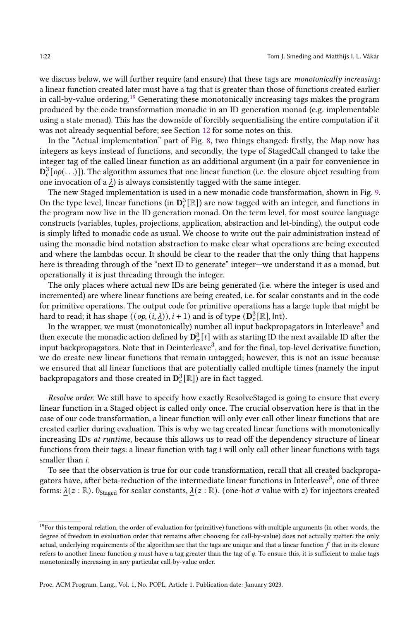we discuss below, we will further require (and ensure) that these tags are *monotonically increasing*: a linear function created later must have a tag that is greater than those of functions created earlier in call-by-value ordering.[19](#page-21-0) Generating these monotonically increasing tags makes the program produced by the code transformation monadic in an ID generation monad (e.g. implementable using a state monad). This has the downside of forcibly sequentialising the entire computation if it was not already sequential before; see Section [12](#page-39-0) for some notes on this.

In the "Actual implementation" part of Fig. [8,](#page-20-0) two things changed: firstly, the Map now has integers as keys instead of functions, and secondly, the type of StagedCall changed to take the integer tag of the called linear function as an additional argument (in a pair for convenience in  ${\bf D}^3_c[{\mathit{op}}(\ldots)]$ ). The algorithm assumes that one linear function (i.e. the closure object resulting from one invocation of a  $\lambda$ ) is always consistently tagged with the same integer.

The new Staged implementation is used in a new monadic code transformation, shown in Fig. [9.](#page-22-0) On the type level, linear functions (in  $\mathbf{D}_c^3[\mathbb{R}]$ ) are now tagged with an integer, and functions in the program now live in the ID generation monad. On the term level, for most source language constructs (variables, tuples, projections, application, abstraction and let-binding), the output code is simply lifted to monadic code as usual. We choose to write out the pair administration instead of using the monadic bind notation abstraction to make clear what operations are being executed and where the lambdas occur. It should be clear to the reader that the only thing that happens here is threading through of the "next ID to generate" integer—we understand it as a monad, but operationally it is just threading through the integer.

The only places where actual new IDs are being generated (i.e. where the integer is used and incremented) are where linear functions are being created, i.e. for scalar constants and in the code for primitive operations. The output code for primitive operations has a large tuple that might be hard to read; it has shape  $((op, (i, \underline{\lambda})), i + 1)$  and is of type  $(\mathbf{D}_c^3[\mathbb{R}], \text{Int})$ .

In the wrapper, we must (monotonically) number all input backpropagators in Interleave $^3$  and then execute the monadic action defined by  $\mathbf{D}_{\sigma}^{3}[t]$  with as starting ID the next available ID after the input backpropagators. Note that in Deinterleave $^3$ , and for the final, top-level derivative function, we do create new linear functions that remain untagged; however, this is not an issue because we ensured that all linear functions that are potentially called multiple times (namely the input backpropagators and those created in  $\mathbf{D}_c^3[\mathbb{R}])$  are in fact tagged.

Resolve order. We still have to specify how exactly ResolveStaged is going to ensure that every linear function in a Staged object is called only once. The crucial observation here is that in the case of our code transformation, a linear function will only ever call other linear functions that are created earlier during evaluation. This is why we tag created linear functions with monotonically increasing IDs at runtime, because this allows us to read off the dependency structure of linear functions from their tags: a linear function with tag  $i$  will only call other linear functions with tags smaller than *i*.

To see that the observation is true for our code transformation, recall that all created backpropagators have, after beta-reduction of the intermediate linear functions in Interleave $^3$ , one of three forms:  $\underline{\lambda}(z : \mathbb{R})$ .  $0_{\text{Staged}}$  for scalar constants,  $\underline{\lambda}(z : \mathbb{R})$ . (one-hot  $\sigma$  value with z) for injectors created

<span id="page-21-0"></span> $^{19}\rm{For}$  this temporal relation, the order of evaluation for (primitive) functions with multiple arguments (in other words, the degree of freedom in evaluation order that remains after choosing for call-by-value) does not actually matter: the only actual, underlying requirements of the algorithm are that the tags are unique and that a linear function  $f$  that in its closure refers to another linear function  $g$  must have a tag greater than the tag of  $g$ . To ensure this, it is sufficient to make tags monotonically increasing in any particular call-by-value order.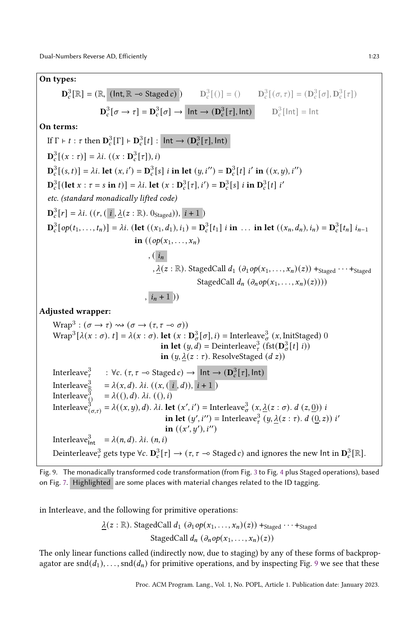<span id="page-22-0"></span>On types:

 $\mathbf{D}_c^3[\mathbb{R}] = (\mathbb{R}, (\mathsf{Int}, \mathbb{R} \to \mathsf{Staged}\,c))$   $\mathbf{D}_c^3[()] = ()$   $\mathbf{D}_c^3[(\sigma, \tau)] = (\mathbf{D}_c^3[\sigma], \mathbf{D}_c^3[\tau])$  $\mathbf{D}_c^3[\sigma \to \tau] = \mathbf{D}_c^3[\sigma] \to \left[\text{Int} \to (\mathbf{D}_c^3[\tau], \text{Int})\right] = \left[\text{Int} \right] = \text{Int}$ On terms: If  $\Gamma \vdash t : \tau$  then  $\mathbf{D}_c^3[\Gamma] \vdash \mathbf{D}_c^3[t] : \overline{\mathsf{Int}} \rightarrow (\mathbf{D}_c^3[\tau], \mathsf{Int})$  ${\bf D}_{c}^{3}[(x:\tau)]=\lambda i.$   $((x:{\bf D}_{c}^{3}[\tau]),i)$  $\mathbf{D}_{c}^{3}[(s,t)] = \lambda i.$  let  $(x, i') = \mathbf{D}_{c}^{3}[s]$  i in let  $(y, i'') = \mathbf{D}_{c}^{3}[t]$  i' in  $((x, y), i'')$  ${\bf D}_c^3[(\det x:\tau=s\textbf{ in }t)] = \lambda i. \textbf{ let } (x:{\bf D}_c^3[\tau],i') = {\bf D}_c^3[s] i \textbf{ in }{\bf D}_c^3[t] i'$ etc. (standard monadically lifted code)  ${\bf D}_c^3[r] = \lambda i.$  ( $(r, (i, \lambda_c(z : \mathbb{R}).0_{\text{Staged}})), i+1)$  $\mathbf{D}_c^3[op(t_1,...,t_n)] = \lambda i.$  (let  $((x_1,d_1),i_1) = \mathbf{D}_c^3[t_1]$  i in ... in let  $((x_n,d_n),i_n) = \mathbf{D}_c^3[t_n]$   $i_{n-1}$ in  $((\text{op}(x_1, \ldots, x_n))$ ,  $\binom{i_n}{n}$ ,  $\lambda(z : \mathbb{R})$ . StagedCall  $d_1$  ( $\partial_1 op(x_1, ..., x_n)(z)$ ) + Staged · · · + Staged StagedCall  $d_n$   $(\partial_n op(x_1, \ldots, x_n)(z)))$ ,  $(i_n + 1)$ Adjusted wrapper:  $\text{Wrap}^3 : (\sigma \to \tau) \rightsquigarrow (\sigma \to (\tau, \tau \to \sigma))$ Wrap<sup>3</sup>[ $\lambda(x : \sigma)$ .  $t$ ] =  $\lambda(x : \sigma)$ . **let**  $(x : D^3_\sigma[\sigma], i)$  = Interleave<sup>3</sup><sub> $\sigma$ </sub>  $(x, \text{InitStaged})$  0 **in let**  $(y, d)$  = Deinterleave<sup>3</sup> (fst( $\mathbf{D}^3_{\sigma}[t]$  *i*)) in  $(y, \lambda(z : \tau)$ . ResolveStaged  $(d z))$ Interleave $^3_{\tau}$ : ∀c. ( $\tau$ ,  $\tau$  → Staged  $c$ ) → Int → ( $\mathbf{D}_c^3[\tau]$ , Int) Interleave $_{\mathbb{R}}^3$  =  $\lambda(x, d)$ .  $\lambda i$ .  $((x, (i, d)), i+1)$ Interleave $\begin{cases} \n\overline{3} \\
0\n\end{cases} = \lambda((0, d), \lambda i. ((0, i))$ Interleave $_{(\sigma,\tau)}^3 = \lambda((x,y),d)$ .  $\lambda i$ . **let**  $(x',i') =$  Interleave $_{\sigma}^3(x,\underline{\lambda}(z:\sigma), d(z,\underline{0}))$  i in let  $(y', i'')$  = Interleave $^3_{\tau}(y, \underline{\lambda}(z : \tau)$ .  $d(\underline{0}, z))$  i' in  $((x', y'), i'')$ Interleave<sup>3</sup><sub>lnt</sub> =  $\lambda(n, d)$ .  $\lambda i$ .  $(n, i)$ Deinterleave $^3_7$  gets type ∀ $c$ .  ${\bf D}^3_c[τ] \to (τ, τ \multimap {\rm Staged}\, c)$  and ignores the new Int in  ${\bf D}^3_c[\mathbb{R}].$ 

Fig. 9. The monadically transformed code transformation (from Fig. [3](#page-11-0) to Fig. [4](#page-11-1) plus Staged operations), based on Fig. [7.](#page-18-0) Highlighted are some places with material changes related to the ID tagging.

in Interleave, and the following for primitive operations:

 $\lambda(z : \mathbb{R})$ . StagedCall  $d_1$   $(\partial_1 op(x_1, ..., x_n)(z)) +_{Staged} \cdots +_{Staged}$ StagedCall  $d_n$   $(\partial_n op(x_1, \ldots, x_n)(z))$ 

The only linear functions called (indirectly now, due to staging) by any of these forms of backpropagator are  $\text{snd}(d_1), \ldots, \text{snd}(d_n)$  for primitive operations, and by inspecting Fig. [9](#page-22-0) we see that these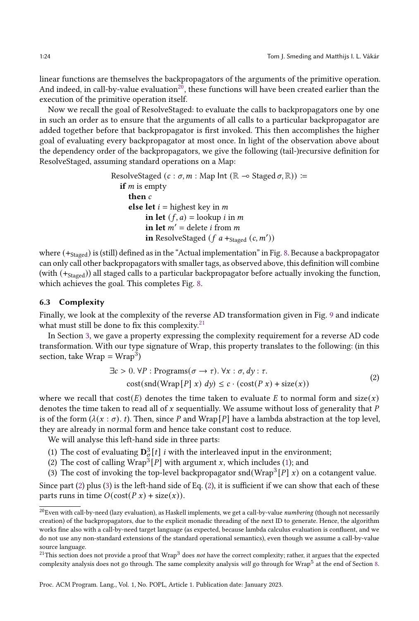linear functions are themselves the backpropagators of the arguments of the primitive operation. And indeed, in call-by-value evaluation<sup>[20](#page-23-1)</sup>, these functions will have been created earlier than the execution of the primitive operation itself.

Now we recall the goal of ResolveStaged: to evaluate the calls to backpropagators one by one in such an order as to ensure that the arguments of all calls to a particular backpropagator are added together before that backpropagator is first invoked. This then accomplishes the higher goal of evaluating every backpropagator at most once. In light of the observation above about the dependency order of the backpropagators, we give the following (tail-)recursive definition for ResolveStaged, assuming standard operations on a Map:

> ResolveStaged ( $c : \sigma, m : \text{Map Int } (\mathbb{R} \to \text{Staged } \sigma, \mathbb{R})$ ) := if  *is empty* then c else let  $i =$  highest key in  $m$ in let  $(f, a) =$ lookup *i* in *m* in let  $m'$  = delete *i* from *m* in ResolveStaged  $(f a +_{Staged} (c, m'))$

where  $(+_{\text{Staged}})$  is (still) defined as in the "Actual implementation" in Fig. [8.](#page-20-0) Because a backpropagator can only call other backpropagators with smaller tags, as observed above, this definition will combine (with  $(+_{Staged})$ ) all staged calls to a particular backpropagator before actually invoking the function, which achieves the goal. This completes Fig. [8.](#page-20-0)

### <span id="page-23-0"></span>6.3 Complexity

Finally, we look at the complexity of the reverse AD transformation given in Fig. [9](#page-22-0) and indicate what must still be done to fix this complexity. $21$ 

In Section [3,](#page-5-0) we gave a property expressing the complexity requirement for a reverse AD code transformation. With our type signature of Wrap, this property translates to the following: (in this section, take  $Wrap = Wrap^3$ )

<span id="page-23-6"></span>
$$
\exists c > 0. \forall P : Programs(\sigma \to \tau). \forall x : \sigma, dy : \tau.
$$
  

$$
cost(snd(Wrap[P] x) dy) \le c \cdot (cost(P x) + size(x))
$$
 (2)

where we recall that  $cost(E)$  denotes the time taken to evaluate E to normal form and  $size(x)$ denotes the time taken to read all of  $x$  sequentially. We assume without loss of generality that  $P$ is of the form  $(\lambda(x : \sigma), t)$ . Then, since P and Wrap [P] have a lambda abstraction at the top level, they are already in normal form and hence take constant cost to reduce.

We will analyse this left-hand side in three parts:

- <span id="page-23-3"></span>(1) The cost of evaluating  $\mathbf{D}^3_{\sigma}[t]$  *i* with the interleaved input in the environment;
- <span id="page-23-4"></span>(2) The cost of calling  $Wrap^3[P]$  with argument x, which includes [\(1\)](#page-23-3); and
- <span id="page-23-5"></span>(3) The cost of invoking the top-level backpropagator snd(Wrap<sup>3</sup>[P] x) on a cotangent value.

Since part  $(2)$  plus  $(3)$  is the left-hand side of Eq.  $(2)$ , it is sufficient if we can show that each of these parts runs in time  $O(\text{cost}(P x) + \text{size}(x)).$ 

<span id="page-23-1"></span> $^{20}$ Even with call-by-need (lazy evaluation), as Haskell implements, we get a call-by-value numbering (though not necessarily creation) of the backpropagators, due to the explicit monadic threading of the next ID to generate. Hence, the algorithm works fine also with a call-by-need target language (as expected, because lambda calculus evaluation is confluent, and we do not use any non-standard extensions of the standard operational semantics), even though we assume a call-by-value source language.

<span id="page-23-2"></span><sup>&</sup>lt;sup>21</sup>This section does not provide a proof that Wrap<sup>3</sup> does not have the correct complexity; rather, it argues that the expected complexity analysis does not go through. The same complexity analysis *will* go through for Wrap $^5$  at the end of Section [8.](#page-29-0)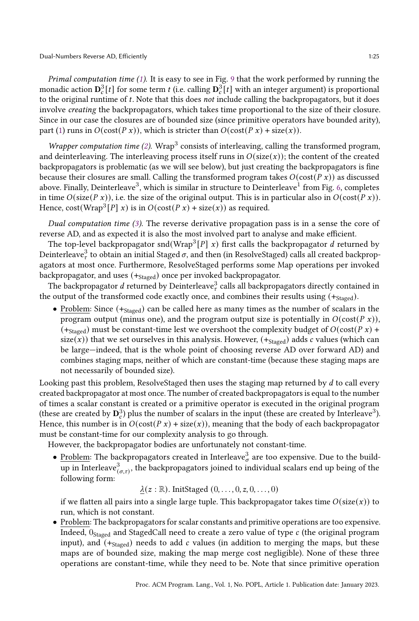Primal computation time [\(1\)](#page-23-3). It is easy to see in Fig. [9](#page-22-0) that the work performed by running the monadic action  $\mathbf{D}_c^3[t]$  for some term  $t$  (i.e. calling  $\mathbf{D}_c^3[t]$  with an integer argument) is proportional to the original runtime of  $t$ . Note that this does not include calling the backpropagators, but it does involve creating the backpropagators, which takes time proportional to the size of their closure. Since in our case the closures are of bounded size (since primitive operators have bounded arity), part [\(1\)](#page-23-3) runs in  $O(\text{cost}(P x))$ , which is stricter than  $O(\text{cost}(P x) + \text{size}(x))$ .

Wrapper computation time  $(2)$ . Wrap<sup>3</sup> consists of interleaving, calling the transformed program, and deinterleaving. The interleaving process itself runs in  $O(size(x))$ ; the content of the created backpropagators is problematic (as we will see below), but just creating the backpropagators is fine because their closures are small. Calling the transformed program takes  $O(\cos(f x))$  as discussed above. Finally, Deinterleave $^3$ , which is similar in structure to Deinterleave $^1$  from Fig. [6,](#page-14-0) completes in time  $O(size(P x))$ , i.e. the size of the original output. This is in particular also in  $O(cost(P x))$ . Hence, cost(Wrap<sup>3</sup>[*P*] *x*) is in  $O(\cot(P x) + \text{size}(x))$  as required.

Dual computation time [\(3\)](#page-23-5). The reverse derivative propagation pass is in a sense the core of reverse AD, and as expected it is also the most involved part to analyse and make efficient.

The top-level backpropagator snd(Wrap<sup>3</sup>[P] x) first calls the backpropagator d returned by Deinterleave $^3_{\tau}$  to obtain an initial Staged  $\sigma,$  and then (in ResolveStaged) calls all created backpropagators at most once. Furthermore, ResolveStaged performs some Map operations per invoked backpropagator, and uses  $(+_{\text{Staged}})$  once per invoked backpropagator.

The backpropagator  $d$  returned by Deinterleave $^3_{\tau}$  calls all backpropagators directly contained in the output of the transformed code exactly once, and combines their results using  $(+_{Staged})$ .

• Problem: Since  $(+_{\text{Staged}})$  can be called here as many times as the number of scalars in the program output (minus one), and the program output size is potentially in  $O(\text{cost}(P x))$ ,  $(+<sub>Staged</sub>)$  must be constant-time lest we overshoot the complexity budget of  $O(\text{cost}(P x) +$ size(x)) that we set ourselves in this analysis. However,  $(+_{\text{staged}})$  adds c values (which can be large—indeed, that is the whole point of choosing reverse AD over forward AD) and combines staging maps, neither of which are constant-time (because these staging maps are not necessarily of bounded size).

Looking past this problem, ResolveStaged then uses the staging map returned by  $d$  to call every created backpropagator at most once. The number of created backpropagators is equal to the number of times a scalar constant is created or a primitive operator is executed in the original program (these are created by  $\mathbf{D}_c^3$ ) plus the number of scalars in the input (these are created by Interleave<sup>3</sup>). Hence, this number is in  $O(\cos(P x) + \text{size}(x))$ , meaning that the body of each backpropagator must be constant-time for our complexity analysis to go through.

However, the backpropagator bodies are unfortunately not constant-time.

• Problem: The backpropagators created in Interleave $^3_\sigma$  are too expensive. Due to the buildup in Interleave $^3_{(\sigma,\tau)},$  the backpropagators joined to individual scalars end up being of the following form:

 $\lambda(z : \mathbb{R})$ . InitStaged  $(0, \ldots, 0, z, 0, \ldots, 0)$ 

if we flatten all pairs into a single large tuple. This backpropagator takes time  $O(size(x))$  to run, which is not constant.

• Problem: The backpropagators for scalar constants and primitive operations are too expensive. Indeed,  $0_{\text{Staged}}$  and StagedCall need to create a zero value of type  $c$  (the original program input), and  $(+_{Staged})$  needs to add c values (in addition to merging the maps, but these maps are of bounded size, making the map merge cost negligible). None of these three operations are constant-time, while they need to be. Note that since primitive operation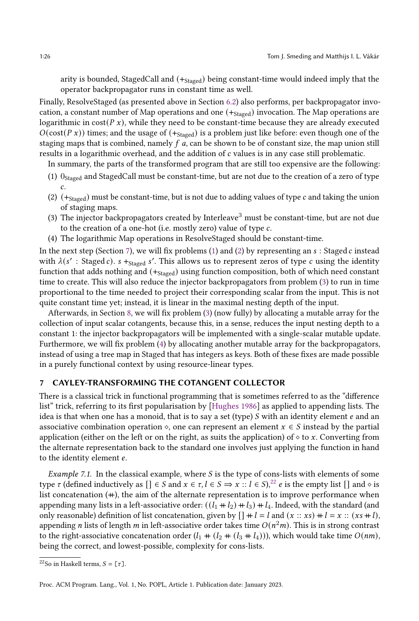arity is bounded, StagedCall and  $(+_{\text{Staged}})$  being constant-time would indeed imply that the operator backpropagator runs in constant time as well.

Finally, ResolveStaged (as presented above in Section [6.2\)](#page-20-1) also performs, per backpropagator invocation, a constant number of Map operations and one  $(+_{\text{Staged}})$  invocation. The Map operations are logarithmic in  $cost(P x)$ , while they need to be constant-time because they are already executed  $O(\text{cost}(P\text{ }x))$  times; and the usage of  $(+_{\text{stacked}})$  is a problem just like before: even though one of the staging maps that is combined, namely  $f$  a, can be shown to be of constant size, the map union still results in a logarithmic overhead, and the addition of c values is in any case still problematic.

In summary, the parts of the transformed program that are still too expensive are the following:

- <span id="page-25-1"></span>(1)  $0_{\text{Staged}}$  and StagedCall must be constant-time, but are not due to the creation of a zero of type  $\overline{c}$ .
- <span id="page-25-2"></span>(2)  $(+_{\text{Staged}})$  must be constant-time, but is not due to adding values of type  $c$  and taking the union of staging maps.
- <span id="page-25-3"></span>(3) The injector backpropagators created by Interleave<sup>3</sup> must be constant-time, but are not due to the creation of a one-hot (i.e. mostly zero) value of type  $c$ .
- <span id="page-25-4"></span>(4) The logarithmic Map operations in ResolveStaged should be constant-time.

In the next step (Section [7\)](#page-25-0), we will fix problems [\(1\)](#page-25-1) and [\(2\)](#page-25-2) by representing an  $s: Staged c$  instead with  $\lambda(s' : Staged c)$ .  $s +_{Staged} s'$ . This allows us to represent zeros of type c using the identity function that adds nothing and (+Staged) using function composition, both of which need constant time to create. This will also reduce the injector backpropagators from problem [\(3\)](#page-25-3) to run in time proportional to the time needed to project their corresponding scalar from the input. This is not quite constant time yet; instead, it is linear in the maximal nesting depth of the input.

Afterwards, in Section [8,](#page-29-0) we will fix problem [\(3\)](#page-25-3) (now fully) by allocating a mutable array for the collection of input scalar cotangents, because this, in a sense, reduces the input nesting depth to a constant 1: the injector backpropagators will be implemented with a single-scalar mutable update. Furthermore, we will fix problem [\(4\)](#page-25-4) by allocating another mutable array for the backpropagators, instead of using a tree map in Staged that has integers as keys. Both of these fixes are made possible in a purely functional context by using resource-linear types.

# <span id="page-25-0"></span>7 CAYLEY-TRANSFORMING THE COTANGENT COLLECTOR

There is a classical trick in functional programming that is sometimes referred to as the "difference list" trick, referring to its first popularisation by [\[Hughes](#page-42-5) [1986\]](#page-42-5) as applied to appending lists. The idea is that when one has a monoid, that is to say a set (type)  $S$  with an identity element  $e$  and an associative combination operation  $\circ$ , one can represent an element  $x \in S$  instead by the partial application (either on the left or on the right, as suits the application) of  $\diamond$  to x. Converting from the alternate representation back to the standard one involves just applying the function in hand to the identity element  $e$ .

*Example 7.1.* In the classical example, where  $S$  is the type of cons-lists with elements of some type  $\tau$  (defined inductively as  $[ \, ] \in S$  and  $x \in \tau, l \in S \Rightarrow x :: l \in S$ ),<sup>[22](#page-25-5)</sup> *e* is the empty list  $[ \, ]$  and  $\circ$  is list concatenation  $(+)$ , the aim of the alternate representation is to improve performance when appending many lists in a left-associative order:  $((1 + l_2) + l_3) + l_4$ . Indeed, with the standard (and only reasonable) definition of list concatenation, given by  $[$   $]+$   $l$  =  $l$  and  $(x:: x s) + l$  =  $x :: (x s + l)$ , appending  $n$  lists of length  $m$  in left-associative order takes time  $O(n^2m)$ . This is in strong contrast to the right-associative concatenation order  $(l_1 + (l_2 + (l_3 + l_4)))$ , which would take time  $O(nm)$ , being the correct, and lowest-possible, complexity for cons-lists.

<span id="page-25-5"></span> $\overline{^{22}}$ So in Haskell terms,  $S = [\tau]$ .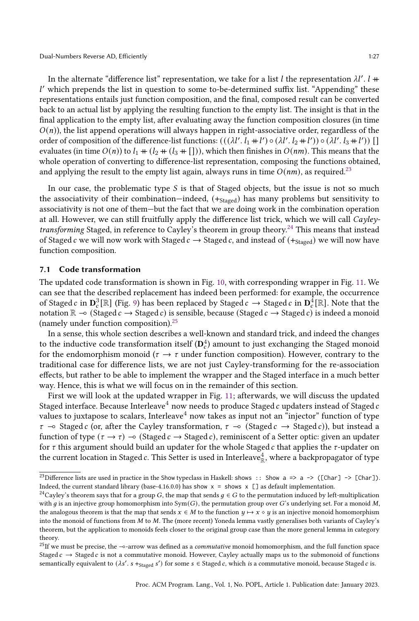Dual-Numbers Reverse AD, Efficiently 1:27

In the alternate "difference list" representation, we take for a list  $l$  the representation  $\lambda l'$ .  $l$  + ′ which prepends the list in question to some to-be-determined suffix list. "Appending" these representations entails just function composition, and the final, composed result can be converted back to an actual list by applying the resulting function to the empty list. The insight is that in the final application to the empty list, after evaluating away the function composition closures (in time  $O(n)$ , the list append operations will always happen in right-associative order, regardless of the order of composition of the difference-list functions:  $(((\lambda l' . l_1 + l') \circ (\lambda l' . l_2 + l')) \circ (\lambda l' . l_3 + l'))$ evaluates (in time  $O(n)$ ) to  $l_1 + (l_2 + (l_3 + \lceil$ )), which then finishes in  $O(nm)$ . This means that the whole operation of converting to difference-list representation, composing the functions obtained, and applying the result to the empty list again, always runs in time  $O(nm)$ , as required.<sup>[23](#page-26-0)</sup>

In our case, the problematic type  $S$  is that of Staged objects, but the issue is not so much the associativity of their combination—indeed, (+Staged) has many problems but sensitivity to associativity is not one of them—but the fact that we are doing work in the combination operation at all. However, we can still fruitfully apply the difference list trick, which we will call Cayley-transforming Staged, in reference to Cayley's theorem in group theory.<sup>[24](#page-26-1)</sup> This means that instead of Staged c we will now work with Staged  $c \rightarrow$  Staged c, and instead of (+ $_{Staged}$ ) we will now have function composition.

# 7.1 Code transformation

The updated code transformation is shown in Fig. [10,](#page-27-0) with corresponding wrapper in Fig. [11.](#page-28-0) We can see that the described replacement has indeed been performed: for example, the occurrence of Staged c in  $D_c^3[\mathbb{R}]$  (Fig. [9\)](#page-22-0) has been replaced by Staged  $c \to$  Staged c in  $D_c^4[\mathbb{R}]$ . Note that the notation  $\mathbb{R} \to$  (Staged  $c \to$  Staged c) is sensible, because (Staged  $c \to$  Staged c) is indeed a monoid (namely under function composition).[25](#page-26-2)

In a sense, this whole section describes a well-known and standard trick, and indeed the changes to the inductive code transformation itself ( $\mathbf{D}_c^4$ ) amount to just exchanging the Staged monoid for the endomorphism monoid ( $\tau \rightarrow \tau$  under function composition). However, contrary to the traditional case for difference lists, we are not just Cayley-transforming for the re-association effects, but rather to be able to implement the wrapper and the Staged interface in a much better way. Hence, this is what we will focus on in the remainder of this section.

First we will look at the updated wrapper in Fig. [11;](#page-28-0) afterwards, we will discuss the updated Staged interface. Because Interleave<sup>4</sup> now needs to produce Staged c updaters instead of Staged c values to juxtapose to scalars, Interleave<sup>4</sup> now takes as input not an "injector" function of type  $\tau \to$  Staged c (or, after the Cayley transformation,  $\tau \to$  (Staged  $c \to$  Staged c)), but instead a function of type ( $\tau \to \tau$ ) ⊸ (Staged  $c \to$  Staged  $c$ ), reminiscent of a Setter optic: given an updater for  $\tau$  this argument should build an updater for the whole Staged c that applies the  $\tau$ -updater on the current location in Staged c. This Setter is used in Interleave, where a backpropagator of type

<span id="page-26-0"></span><sup>&</sup>lt;sup>23</sup>Difference lists are used in practice in the Show typeclass in Haskell: shows :: Show a => a -> ([Char] -> [Char]). Indeed, the current standard library (base-4.16.0.0) has show  $x =$  shows  $x \in J$  as default implementation.

<span id="page-26-1"></span><sup>&</sup>lt;sup>24</sup>Cayley's theorem says that for a group G, the map that sends  $g \in G$  to the permutation induced by left-multiplication with  $g$  is an injective group homomorphism into Sym(G), the permutation group over G's underlying set. For a monoid  $M$ , the analogous theorem is that the map that sends  $x \in M$  to the function  $y \mapsto x \diamond y$  is an injective monoid homomorphism into the monoid of functions from  $M$  to  $M$ . The (more recent) Yoneda lemma vastly generalises both variants of Cayley's theorem, but the application to monoids feels closer to the original group case than the more general lemma in category theory.

<span id="page-26-2"></span><sup>&</sup>lt;sup>25</sup>If we must be precise, the ⊸-arrow was defined as a *commutative* monoid homomorphism, and the full function space Staged  $c \rightarrow$  Staged c is not a commutative monoid. However, Cayley actually maps us to the submonoid of functions semantically equivalent to  $(\lambda s'. s +_{Staged} s')$  for some  $s \in Staged c$ , which is a commutative monoid, because Staged c is.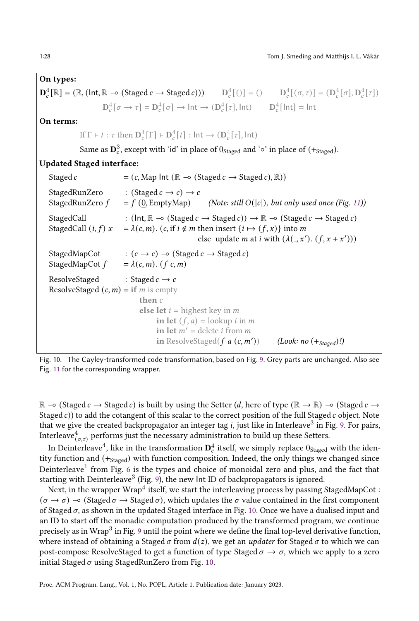# <span id="page-27-0"></span>On types:

 $\mathbf{D}_{c}^{4}[\mathbb{R}] = (\mathbb{R}, (\mathsf{Int}, \mathbb{R} \to (\mathsf{Staged}\,c \to \mathsf{Staged}\,c))) \qquad \mathbf{D}_{c}^{4}[(\cdot)] = (\cdot \qquad \mathbf{D}_{c}^{4}[(\sigma, \tau)] = (\mathbf{D}_{c}^{4}[\sigma], \mathbf{D}_{c}^{4}[\tau])$  $\mathbf{D}_c^4[\sigma \to \tau] = \mathbf{D}_c^4[\sigma] \to \textsf{Int} \to (\mathbf{D}_c^4[\tau], \textsf{Int}) \qquad \mathbf{D}_c^4[\textsf{Int}] = \textsf{Int}$ 

On terms:

If  $\Gamma \vdash t : \tau$  then  $\mathbf{D}_c^4[\Gamma] \vdash \mathbf{D}_c^4[t] : \mathsf{Int} \to (\mathbf{D}_c^4[\tau], \mathsf{Int})$ 

Same as  $\mathbf{D}_c^3$ , except with 'id' in place of  $0_{\text{Staged}}$  and '∘' in place of  $(\mathsf{+}_{\text{Staged}})$ .

### Updated Staged interface:

| Staged c                                                      | $=(c, Map Int (\mathbb{R} \rightarrow (Staged c \rightarrow Staged c), \mathbb{R}))$                                                                                                                                                                                                                                      |  |  |  |
|---------------------------------------------------------------|---------------------------------------------------------------------------------------------------------------------------------------------------------------------------------------------------------------------------------------------------------------------------------------------------------------------------|--|--|--|
| StagedRunZero<br>StagedRunZero f                              | : (Staged $c \rightarrow c$ ) $\rightarrow c$<br>$= f(0, \text{EmptyMap})$ (Note: still O( c ), but only used once (Fig. 11))                                                                                                                                                                                             |  |  |  |
| StagedCall<br>StagedCall $(i, f)$ x                           | : (Int, $\mathbb{R} \to (\text{Staged } c \to \text{Staged } c)$ ) $\to \mathbb{R} \to (\text{Staged } c \to \text{Staged } c)$<br>$= \lambda(c, m)$ . (c, if $i \notin m$ then insert $\{i \mapsto (f, x)\}$ into m<br>else update <i>m</i> at <i>i</i> with $(\lambda(\underline{\hspace{1ex}}, x') \cdot (f, x + x'))$ |  |  |  |
| StagedMapCot                                                  | : $(c \rightarrow c) \rightarrow (Staged \, c \rightarrow Staged \, c)$                                                                                                                                                                                                                                                   |  |  |  |
| StagedMapCot $f = \lambda(c, m)$ . (f c, m)                   |                                                                                                                                                                                                                                                                                                                           |  |  |  |
| ResolveStaged : Staged $c \rightarrow c$                      |                                                                                                                                                                                                                                                                                                                           |  |  |  |
| <b>ResolveStaged</b> $(c, m) = \text{if } m \text{ is empty}$ |                                                                                                                                                                                                                                                                                                                           |  |  |  |
|                                                               | then $c$                                                                                                                                                                                                                                                                                                                  |  |  |  |
| <b>else let</b> $i =$ highest key in m                        |                                                                                                                                                                                                                                                                                                                           |  |  |  |
|                                                               | in let $(f, a) =$ lookup <i>i</i> in <i>m</i>                                                                                                                                                                                                                                                                             |  |  |  |
|                                                               | in let $m' =$ delete <i>i</i> from m                                                                                                                                                                                                                                                                                      |  |  |  |
|                                                               | in ResolveStaged( $f \, a \, (c, m')$ )<br>(Look: no $(+_{Staged})!)$                                                                                                                                                                                                                                                     |  |  |  |

Fig. 10. The Cayley-transformed code transformation, based on Fig. [9.](#page-22-0) Grey parts are unchanged. Also see Fig. [11](#page-28-0) for the corresponding wrapper.

 $\mathbb{R}$  ⊸ (Staged  $c \rightarrow$  Staged  $c$ ) is built by using the Setter (d, here of type ( $\mathbb{R} \rightarrow \mathbb{R}$ ) ⊸ (Staged  $c \rightarrow$ Staged  $c$ )) to add the cotangent of this scalar to the correct position of the full Staged  $c$  object. Note that we give the created backpropagator an integer tag  $i$ , just like in Interleave $^3$  in Fig. [9.](#page-22-0) For pairs, Interleave $^4_{(\sigma,\tau)}$  performs just the necessary administration to build up these Setters.

In Deinterleave ${}^4$ , like in the transformation  ${\bf D}_c^4$  itself, we simply replace  $0_{\rm Staged}$  with the identity function and  $(+_{\text{Staged}})$  with function composition. Indeed, the only things we changed since Deinterleave $^1$  from Fig. [6](#page-14-0) is the types and choice of monoidal zero and plus, and the fact that starting with Deinterleave $^3$  (Fig. [9\)](#page-22-0), the new Int ID of backpropagators is ignored.

Next, in the wrapper Wrap $^4$  itself, we start the interleaving process by passing StagedMapCot :  $(\sigma \to \sigma) \to$  (Staged  $\sigma \to$  Staged  $\sigma$ ), which updates the  $\sigma$  value contained in the first component of Staged  $\sigma$ , as shown in the updated Staged interface in Fig. [10.](#page-27-0) Once we have a dualised input and an ID to start off the monadic computation produced by the transformed program, we continue precisely as in Wrap $^3$  in Fig. [9](#page-22-0) until the point where we define the final top-level derivative function, where instead of obtaining a Staged  $\sigma$  from  $d(z)$ , we get an updater for Staged  $\sigma$  to which we can post-compose ResolveStaged to get a function of type Staged  $\sigma \rightarrow \sigma$ , which we apply to a zero initial Staged  $\sigma$  using StagedRunZero from Fig. [10.](#page-27-0)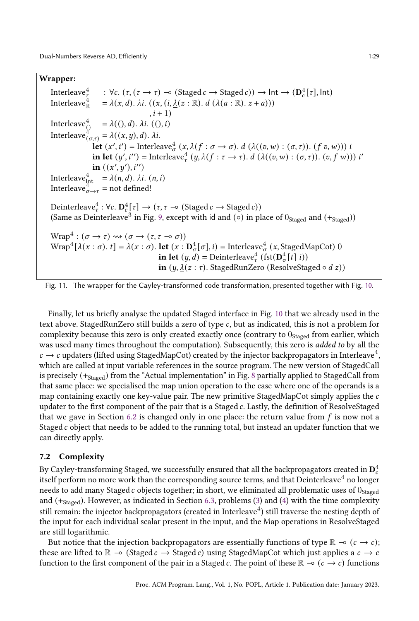# <span id="page-28-0"></span>Wrapper:

Interleave ${}^4_{\tau}$ :  $\forall c. (\tau, (\tau \to \tau) \to (\text{Staged } c \to \text{Staged } c)) \to \text{Int} \to (\mathbf{D}_c^4[\tau], \text{Int})$ Interleave $_{\mathbb{R}}^4$ =  $\lambda(x, d)$ .  $\lambda i$ .  $((x, (i, \lambda(z : \mathbb{R}), d (\lambda(a : \mathbb{R}), z + a)))$  $, i + 1)$ Interleave<sup>4</sup><sub>()</sub> =  $\lambda$ ((), d).  $\lambda$ *i*. ((), *i*) Interleave $_{(\sigma,\tau)}^{\hat{A}} = \lambda((x,y),d)$ .  $\lambda i$ . **let**  $(x', i')$  = Interleave<sup>4</sup><sub> $\sigma$ </sub>  $(x, \lambda(f : \sigma \to \sigma))$ .  $d$   $(\lambda((v, w) : (\sigma, \tau))$ .  $(f v, w))$  i in let  $(y', i'')$  = Interleave $^4_{\tau}(y, \lambda(f : \tau \to \tau)$ .  $d(\lambda((v, w) : (\sigma, \tau))$ .  $(v, f w))$  i' in  $((x', y'), i'')$ Interleave $_{\text{Int}}^4$  =  $\lambda(n, d)$ .  $\lambda i$ .  $(n, i)$ Interleave $_{\sigma\rightarrow\tau}^{4}$  = not defined! Deinterleave ${}_{\tau}^4$ : ∀c.  ${\bf D}_c^4[\tau] \rightarrow (\tau, \tau \rightarrow (Staged\,c \rightarrow Staged\,c))$ (Same as Deinterleave $^3$  in Fig. [9,](#page-22-0) except with id and  $(\circ)$  in place of  $0_{\text{Staged}}$  and  $(+_{\text{Staged}}))$  $\text{Wrap}^4 : (\sigma \to \tau) \rightsquigarrow (\sigma \to (\tau, \tau \to \sigma))$  $\text{Wrap}^4[\lambda(x:\sigma), t] = \lambda(x:\sigma)$ . **let**  $(x:\mathbf{D}^4_\sigma[\sigma], i) = \text{Interleave}^4_\sigma(x, \text{StagedMapCot})$  0 **in let**  $(y, d)$  = Deinterleave<sup>4</sup> (fst( $\mathbf{D}^4_{\sigma}[t]$  *i*)) in  $(y, \lambda(z : \tau)$ . StagedRunZero (ResolveStaged  $\circ d z$ ))

Fig. 11. The wrapper for the Cayley-transformed code transformation, presented together with Fig. [10.](#page-27-0)

Finally, let us briefly analyse the updated Staged interface in Fig. [10](#page-27-0) that we already used in the text above. StagedRunZero still builds a zero of type c, but as indicated, this is not a problem for complexity because this zero is only created exactly once (contrary to  $0_{\text{Stared}}$  from earlier, which was used many times throughout the computation). Subsequently, this zero is *added to* by all the  $c \to c$  updaters (lifted using StagedMapCot) created by the injector backpropagators in Interleave<sup>4</sup>, which are called at input variable references in the source program. The new version of StagedCall is precisely  $(+_{\text{staged}})$  from the "Actual implementation" in Fig. [8](#page-20-0) partially applied to StagedCall from that same place: we specialised the map union operation to the case where one of the operands is a map containing exactly one key-value pair. The new primitive StagedMapCot simply applies the  $c$ updater to the first component of the pair that is a Staged. Lastly, the definition of ResolveStaged that we gave in Section [6.2](#page-20-1) is changed only in one place: the return value from  $f$  is now not a Staged  $c$  object that needs to be added to the running total, but instead an updater function that we can directly apply.

# <span id="page-28-1"></span>7.2 Complexity

By Cayley-transforming Staged, we successfully ensured that all the backpropagators created in  ${\bf D}^4_c$ itself perform no more work than the corresponding source terms, and that Deinterleave<sup>4</sup> no longer needs to add many Staged  $c$  objects together; in short, we eliminated all problematic uses of  $0_{\text{Staced}}$ and  $(+_{\text{Staced}})$ . However, as indicated in Section [6.3,](#page-23-0) problems [\(3\)](#page-25-3) and [\(4\)](#page-25-4) with the time complexity still remain: the injector backpropagators (created in Interleave $^4$ ) still traverse the nesting depth of the input for each individual scalar present in the input, and the Map operations in ResolveStaged are still logarithmic.

But notice that the injection backpropagators are essentially functions of type  $\mathbb{R} \to (c \to c)$ ; these are lifted to  $\mathbb{R} \to$  (Staged  $c \to$  Staged  $c$ ) using StagedMapCot which just applies a  $c \to c$ function to the first component of the pair in a Staged c. The point of these  $\mathbb{R} \to (c \to c)$  functions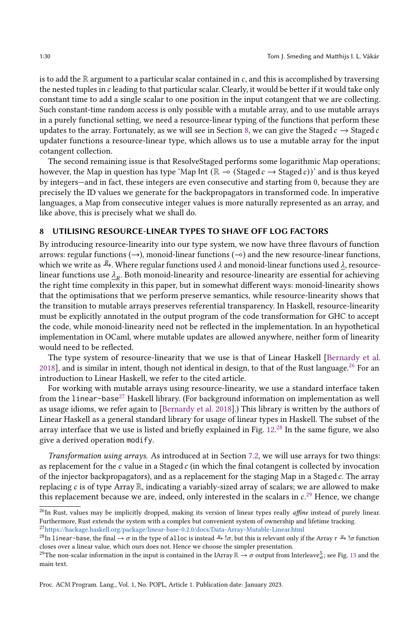is to add the  $\mathbb R$  argument to a particular scalar contained in  $c$ , and this is accomplished by traversing the nested tuples in c leading to that particular scalar. Clearly, it would be better if it would take only constant time to add a single scalar to one position in the input cotangent that we are collecting. Such constant-time random access is only possible with a mutable array, and to use mutable arrays in a purely functional setting, we need a resource-linear typing of the functions that perform these updates to the array. Fortunately, as we will see in Section [8,](#page-29-0) we can give the Staged  $c \rightarrow$  Staged  $c$ updater functions a resource-linear type, which allows us to use a mutable array for the input cotangent collection.

The second remaining issue is that ResolveStaged performs some logarithmic Map operations; however, the Map in question has type 'Map Int ( $\mathbb{R} \to$  (Staged  $c \to$  Staged  $c$ ))' and is thus keyed by integers—and in fact, these integers are even consecutive and starting from 0, because they are precisely the ID values we generate for the backpropagators in transformed code. In imperative languages, a Map from consecutive integer values is more naturally represented as an array, and like above, this is precisely what we shall do.

# <span id="page-29-0"></span>8 UTILISING RESOURCE-LINEAR TYPES TO SHAVE OFF LOG FACTORS

By introducing resource-linearity into our type system, we now have three flavours of function arrows: regular functions  $(\rightarrow)$ , monoid-linear functions  $(\neg$ ) and the new resource-linear functions, which we write as  $\mathcal{B}_\text{A}$ . Where regular functions used  $\lambda$  and monoid-linear functions used  $\lambda$ , resourcelinear functions use  ${\underline{\smash \lambda}}_R.$  Both monoid-linearity and resource-linearity are essential for achieving the right time complexity in this paper, but in somewhat different ways: monoid-linearity shows that the optimisations that we perform preserve semantics, while resource-linearity shows that the transition to mutable arrays preserves referential transparency. In Haskell, resource-linearity must be explicitly annotated in the output program of the code transformation for GHC to accept the code, while monoid-linearity need not be reflected in the implementation. In an hypothetical implementation in OCaml, where mutable updates are allowed anywhere, neither form of linearity would need to be reflected.

The type system of resource-linearity that we use is that of Linear Haskell [\[Bernardy et al.](#page-42-6) [2018\]](#page-42-6), and is similar in intent, though not identical in design, to that of the Rust language.<sup>[26](#page-29-1)</sup> For an introduction to Linear Haskell, we refer to the cited article.

For working with mutable arrays using resource-linearity, we use a standard interface taken from the linear-base<sup>[27](#page-29-2)</sup> Haskell library. (For background information on implementation as well as usage idioms, we refer again to [\[Bernardy et al.](#page-42-6) [2018\]](#page-42-6).) This library is written by the authors of Linear Haskell as a general standard library for usage of linear types in Haskell. The subset of the array interface that we use is listed and briefly explained in Fig.  $12.^{28}$  $12.^{28}$  $12.^{28}$  $12.^{28}$  In the same figure, we also give a derived operation modify.

Transformation using arrays. As introduced at in Section [7.2,](#page-28-1) we will use arrays for two things: as replacement for the  $c$  value in a Staged  $c$  (in which the final cotangent is collected by invocation of the injector backpropagators), and as a replacement for the staging Map in a Staged  $c$ . The array replacing  $c$  is of type Array  $\mathbb{R}$ , indicating a variably-sized array of scalars; we are allowed to make this replacement because we are, indeed, only interested in the scalars in  $c.^{29}$  $c.^{29}$  $c.^{29}$  Hence, we change

<span id="page-29-1"></span> $^{26}$ In Rust, values may be implicitly dropped, making its version of linear types really *affine* instead of purely linear. Furthermore, Rust extends the system with a complex but convenient system of ownership and lifetime tracking.

<span id="page-29-2"></span> $^{27}$ <https://hackage.haskell.org/package/linear-base-0.2.0/docs/Data-Array-Mutable-Linear.html>

<span id="page-29-3"></span><sup>&</sup>lt;sup>28</sup>In linear-base, the final  $\rightarrow \sigma$  in the type of alloc is instead  $\rightarrow R$ , but this is relevant only if the Array  $\tau \rightarrow R$  !  $\sigma$  function closes over a linear value, which ours does not. Hence we choose the simpler presentation.

<span id="page-29-4"></span> $^{29}$ The non-scalar information in the input is contained in the IArray  $\R\to\sigma$  output from Interleave $^5_\sigma$ ; see Fig. [13](#page-32-0) and the main text.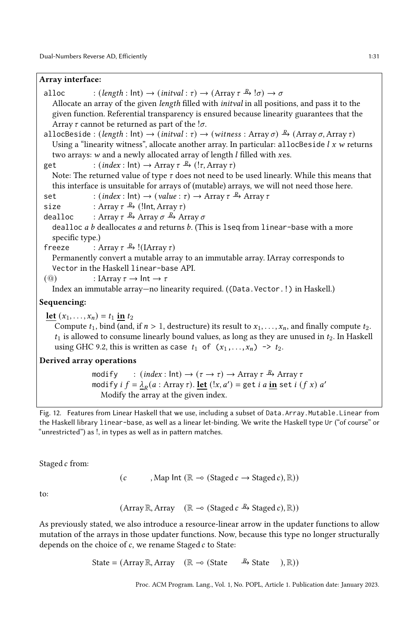<span id="page-30-0"></span>

| Array interface:                                                                                                                                                 |
|------------------------------------------------------------------------------------------------------------------------------------------------------------------|
| : $(\text{length}: \text{Int}) \rightarrow (\text{initial}: \tau) \rightarrow (\text{Array } \tau \overset{R}{\rightarrow} !\sigma) \rightarrow \sigma$<br>alloc |
| Allocate an array of the given length filled with initval in all positions, and pass it to the                                                                   |
| given function. Referential transparency is ensured because linearity guarantees that the                                                                        |
| Array $\tau$ cannot be returned as part of the $\sigma$ .                                                                                                        |
| allocBeside : $(length:Int) \rightarrow (initial: \tau) \rightarrow (witness: Array \sigma) \stackrel{R}{\rightarrow} (Array \sigma, Array \tau)$                |
| Using a "linearity witness", allocate another array. In particular: allocBeside $l x w$ returns                                                                  |
| two arrays: $w$ and a newly allocated array of length $l$ filled with xes.                                                                                       |
| : $(index:Int) \rightarrow Array \tau \rightarrow (!\tau, Array \tau)$<br>get                                                                                    |
| Note: The returned value of type $\tau$ does not need to be used linearly. While this means that                                                                 |
| this interface is unsuitable for arrays of (mutable) arrays, we will not need those here.                                                                        |
| : $(index:Int) \rightarrow (value: \tau) \rightarrow Array \tau \rightarrow Array \tau$<br>set                                                                   |
| : Array $\tau \xrightarrow{R}$ (!lnt, Array $\tau$ )<br>size                                                                                                     |
|                                                                                                                                                                  |
| dealloc : Array $\tau$ $\stackrel{R}{\rightarrow}$ Array $\sigma$ $\stackrel{R}{\rightarrow}$ Array $\sigma$                                                     |
| dealloc $a$ $b$ deallocates $a$ and returns $b$ . (This is 1seq from 1inear-base with a more                                                                     |
| specific type.)                                                                                                                                                  |
| : Array $\tau \xrightarrow{R}$ !(IArray $\tau$ )<br>freeze                                                                                                       |
| Permanently convert a mutable array to an immutable array. IArray corresponds to                                                                                 |
| Vector in the Haskell linear-base API.                                                                                                                           |
| : IArray $\tau \rightarrow \ln t \rightarrow \tau$<br>$\circ$ $\circ$                                                                                            |
| Index an immutable array—no linearity required. ((Data. Vector.!) in Haskell.)                                                                                   |
| Sequencing:                                                                                                                                                      |
| <b>let</b> $(x_1, , x_n) = t_1$ in $t_2$                                                                                                                         |
| Compute $t_1$ , bind (and, if $n > 1$ , destructure) its result to $x_1, \ldots, x_n$ , and finally compute $t_2$ .                                              |
| $t_1$ is allowed to consume linearly bound values, as long as they are unused in $t_2$ . In Haskell                                                              |
| using GHC 9.2, this is written as case $t_1$ of $(x_1,,x_n) \rightarrow t_2$ .                                                                                   |
| Derived array operations                                                                                                                                         |
| $modif$ (indee lat) $(=,-)$ $\wedge$ $l_{\text{max}} = R$ . $l_{\text{max}} =$                                                                                   |

modify :  $(index : Int) \rightarrow (\tau \rightarrow \tau) \rightarrow Array \tau \rightarrow Array \tau$ modify  $if = \underline{\lambda}_R(a : \text{Array } \tau)$ . <u>let</u>  $(!x, a') = \text{get } i a \underline{\text{in}} \text{ set } i (f x) a'$ Modify the array at the given index.

Fig. 12. Features from Linear Haskell that we use, including a subset of Data.Array.Mutable.Linear from the Haskell library linear-base, as well as a linear let-binding. We write the Haskell type Ur ("of course" or "unrestricted") as !, in types as well as in pattern matches.

Staged  $c$  from:

(*c* , Map Int ( $\mathbb{R}$  ⊸ (Staged *c* → Staged *c*),  $\mathbb{R}$ ))

to:

$$
(\text{Array R}, \text{Array } (\mathbb{R} \multimap (\text{Staged } c \xrightarrow{R} \text{Staged } c), \mathbb{R}))
$$

As previously stated, we also introduce a resource-linear arrow in the updater functions to allow mutation of the arrays in those updater functions. Now, because this type no longer structurally depends on the choice of  $c$ , we rename Staged  $c$  to State:

State =  $(Array \mathbb{R}, Array \mathbb{R} \rightarrow (State \rightarrow B)$  State  $), \mathbb{R})$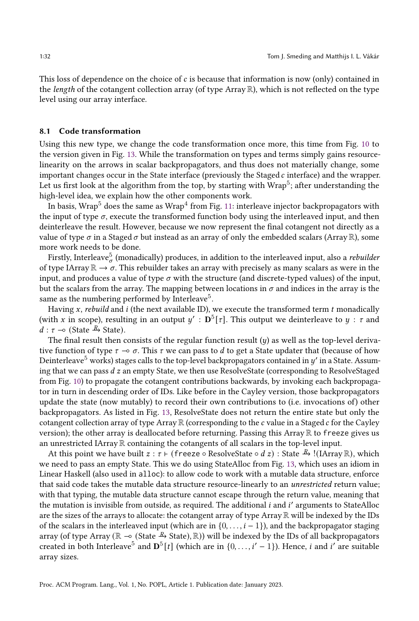This loss of dependence on the choice of  $c$  is because that information is now (only) contained in the *length* of the cotangent collection array (of type Array  $\mathbb{R}$ ), which is not reflected on the type level using our array interface.

# 8.1 Code transformation

Using this new type, we change the code transformation once more, this time from Fig. [10](#page-27-0) to the version given in Fig. [13.](#page-32-0) While the transformation on types and terms simply gains resourcelinearity on the arrows in scalar backpropagators, and thus does not materially change, some important changes occur in the State interface (previously the Staged  $c$  interface) and the wrapper. Let us first look at the algorithm from the top, by starting with Wrap $^5;$  after understanding the high-level idea, we explain how the other components work.

In basis, Wrap $^5$  does the same as Wrap $^4$  from Fig. [11:](#page-28-0) interleave injector backpropagators with the input of type  $\sigma$ , execute the transformed function body using the interleaved input, and then deinterleave the result. However, because we now represent the final cotangent not directly as a value of type  $\sigma$  in a Staged  $\sigma$  but instead as an array of only the embedded scalars (Array R), some more work needs to be done.

Firstly, Interleave $^5_{\sigma}$  (monadically) produces, in addition to the interleaved input, also a *rebuilder* of type IArray  $\mathbb{R} \to \sigma$ . This rebuilder takes an array with precisely as many scalars as were in the input, and produces a value of type  $\sigma$  with the structure (and discrete-typed values) of the input, but the scalars from the array. The mapping between locations in  $\sigma$  and indices in the array is the same as the numbering performed by Interleave $^5$ .

Having  $x$ , rebuild and  $i$  (the next available ID), we execute the transformed term  $t$  monadically (with x in scope), resulting in an output  $y':$   $\mathbf{D}^{5}[\tau].$  This output we deinterleave to  $y: \tau$  and  $d: \tau \rightarrow$  (State <sup>*R*</sup> State).

The final result then consists of the regular function result  $(y)$  as well as the top-level derivative function of type  $\tau \to \sigma$ . This  $\tau$  we can pass to d to get a State updater that (because of how Deinterleave  $^5$  works) stages calls to the top-level backpropagators contained in  $y^\prime$  in a State. Assuming that we can pass  $d z$  an empty State, we then use ResolveState (corresponding to ResolveStaged from Fig. [10\)](#page-27-0) to propagate the cotangent contributions backwards, by invoking each backpropagator in turn in descending order of IDs. Like before in the Cayley version, those backpropagators update the state (now mutably) to record their own contributions to (i.e. invocations of) other backpropagators. As listed in Fig. [13,](#page-32-0) ResolveState does not return the entire state but only the cotangent collection array of type Array  $\mathbb R$  (corresponding to the  $c$  value in a Staged  $c$  for the Cayley version); the other array is deallocated before returning. Passing this Array R to freeze gives us an unrestricted IArray  $\mathbb R$  containing the cotangents of all scalars in the top-level input.

At this point we have built  $z : \tau \vdash$  (freeze  $\circ$  ResolveState  $\circ d z$ ) : State  $\mathbb{A}$  ! (IArray R), which we need to pass an empty State. This we do using StateAlloc from Fig. [13,](#page-32-0) which uses an idiom in Linear Haskell (also used in alloc): to allow code to work with a mutable data structure, enforce that said code takes the mutable data structure resource-linearly to an unrestricted return value; with that typing, the mutable data structure cannot escape through the return value, meaning that the mutation is invisible from outside, as required. The additional  $i$  and  $i'$  arguments to StateAlloc are the sizes of the arrays to allocate: the cotangent array of type Array  $\mathbb R$  will be indexed by the IDs of the scalars in the interleaved input (which are in  $\{0, \ldots, i-1\}$ ), and the backpropagator staging array (of type Array ( $\mathbb{R} \to$  (State  $\mathbb{A}_5$  State),  $\mathbb{R}$ )) will be indexed by the IDs of all backpropagators created in both Interleave<sup>5</sup> and  $\mathbf{D}^{5}[t]$  (which are in {0, ..., *i'* - 1}). Hence, *i* and *i'* are suitable array sizes.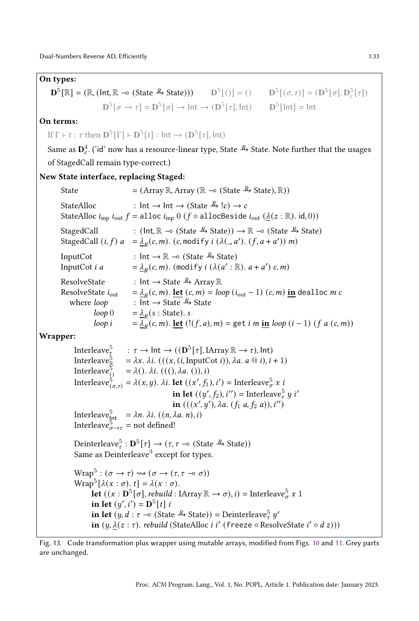<span id="page-32-0"></span>On types:

# $\mathbf{D}^{5}[\mathbb{R}] = (\mathbb{R}, (\mathsf{Int}, \mathbb{R} \to (\mathsf{State} \xrightarrow{\mathbf{R}} \mathsf{State}))) \qquad \mathbf{D}^{5}[(\mathbf{0}]) = (\mathbf{0} \qquad \mathbf{D}^{5}[(\sigma, \tau)] = (\mathbf{D}^{5}[\sigma], \mathbf{D}_{c}^{5}[\tau])$  $\mathbf{D}^{5}[\sigma\rightarrow\tau]=\mathbf{D}^{5}[\sigma]\rightarrow\mathsf{Int}\rightarrow(\mathbf{D}^{5}[\tau],\mathsf{Int})\qquad \mathbf{D}^{5}[\mathsf{Int}]=\mathsf{Int}$ On terms: If  $\Gamma \vdash t : \tau$  then  $\mathbf{D}^{5}[\Gamma] \vdash \mathbf{D}^{5}[t] : \mathsf{Int} \to (\mathbf{D}^{5}[\tau], \mathsf{Int})$ Same as  ${\bf D}^4_c$ . ('id' now has a resource-linear type, State  ${}^{I\! \! L\! s}$  State. Note further that the usages of StagedCall remain type-correct.) New State interface, replacing Staged: State  $= (Array \mathbb{R}, Array \mathbb{R} \rightarrow (State \mathbb{R}, State), \mathbb{R}))$ StateAlloc :  $\text{Int} \rightarrow \text{Int} \rightarrow (\text{State } \overset{R}{\rightarrow} !c) \rightarrow c$ StateAlloc  $i_{\text{inp}} i_{\text{out}} f = \text{alloc } i_{\text{inp}} 0 (f \circ \text{allocBestde } i_{\text{out}} (\underline{\lambda}(z : \mathbb{R}). \text{ id}, 0))$ StagedCall : (Int,  $\mathbb{R} \to (\text{State } \mathbb{A}) \to \mathbb{R} \to (\text{State } \mathbb{A}) \text{State})$ ) StagedCall  $(i, f)$   $a = \underline{\lambda}_R(c, m)$ .  $(c, \text{modify } i (\lambda(-, a'), (f, a + a'))$  m) InputCot : Int  $\rightarrow \mathbb{R}$  ⊸ (State  $\mathbb{A}$  State) InputCot  $i$   $a$  $(c, m)$ . (modify  $i (\lambda(a' : \mathbb{R})$ .  $a + a') c, m$ ) ResolveState :  $Int \rightarrow State \stackrel{R}{\rightarrow} Array \mathbb{R}$ ResolveState  $i_{\text{out}}$  $=\lambda_R(c,m)$ . **let**  $(c,m) = loop(i_{out} - 1)(c,m)$  in dealloc m c where  $loop$  : Int  $\rightarrow$  State  $\rightarrow$  State  $loop\ 0$  $=\underline{\lambda}_R(s : State)$ . s loop  $i = \frac{\lambda}{\lambda_R}(c,m)$ . <u>let</u>  $(l(f,a),m) =$  get  $i \, m \, \underline{\text{in}}$  loop  $(i-1)$  (f  $a \, (c,m)$ ) Wrapper: Interleave $_7^5$ :  $\tau \to \text{Int} \to ((\mathbf{D}^5[\tau], \text{IArray} \mathbb{R} \to \tau), \text{Int})$ Interleave $_{\mathbb{R}}^5$ =  $\lambda x$ .  $\lambda i$ .  $(((x, (i, InputCot i)), \lambda a. a @ i), i + 1)$ Interleave $\delta$  $= \lambda()$ .  $\lambda i$ .  $(((), \lambda a.))$ , i) Interleave $_{(\sigma,\tau)}^5 = \lambda(x,y)$ .  $\lambda i$ . **let**  $((x',f_1),i') = \text{Interleave}_\sigma^5 x$  i in let  $((y', f_2), i'')$  = Interleave $\frac{5}{\tau}$  y i' **in**  $(((x', y'), \lambda a. (f_1 a, f_2 a)), i'')$ Interleave $_{\text{Int}}^5$  =  $\lambda n$ .  $\lambda i$ .  $((n, \lambda a, n), i)$ Interleave $\int_{\sigma \to \tau}^{\sigma}$  = not defined! Deinterleave $\frac{5}{\tau}$ :  $\mathbf{D}^{5}[\tau] \rightarrow (\tau, \tau \rightarrow 0)$  (State  $^{R}_{\tau}$  State)) Same as Deinterleave $^3$  except for types.  $\text{Wrap}^5 : (\sigma \to \tau) \rightsquigarrow (\sigma \to (\tau, \tau \to \sigma))$  $\text{Wrap}^5[\lambda(x:\sigma), t] = \lambda(x:\sigma).$ **let**  $((x : \mathbf{D}^{5}[\sigma],$  *rebuild* : IArray  $\mathbb{R} \to \sigma$ ), *i*) = Interleave $\frac{5}{\sigma} x$  1 **in let**  $(y', i') = D^5[t]$  *i* **in let**  $(y, d : \tau \to (\text{State } \mathbb{A}) \text{ State})) = \text{Deinterleave}^5 \cdot y'$ in  $(y, \underline{\lambda}(z : \tau)$ . *rebuild* (StateAlloc *i i'* (freeze  $\circ$  ResolveState *i'*  $\circ$  *d z*)))

Fig. 13. Code transformation plus wrapper using mutable arrays, modified from Figs. [10](#page-27-0) and [11.](#page-28-0) Grey parts are unchanged.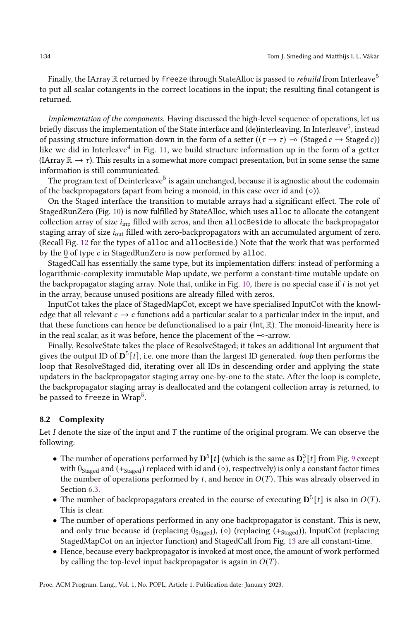Finally, the IArray  $\mathbb R$  returned by freeze through StateAlloc is passed to *rebuild* from Interleave<sup>5</sup> to put all scalar cotangents in the correct locations in the input; the resulting final cotangent is returned.

Implementation of the components. Having discussed the high-level sequence of operations, let us briefly discuss the implementation of the State interface and (de)interleaving. In Interleave $^5$ , instead of passing structure information down in the form of a setter  $((\tau \to \tau) \to (Staged \, c \to Staged \, c))$ like we did in Interleave $^4$  in Fig. [11,](#page-28-0) we build structure information up in the form of a getter (IArray  $\mathbb{R} \to \tau$ ). This results in a somewhat more compact presentation, but in some sense the same information is still communicated.

The program text of Deinterleave $^5$  is again unchanged, because it is agnostic about the codomain of the backpropagators (apart from being a monoid, in this case over id and (◦)).

On the Staged interface the transition to mutable arrays had a significant effect. The role of StagedRunZero (Fig. [10\)](#page-27-0) is now fulfilled by StateAlloc, which uses alloc to allocate the cotangent collection array of size  $i_{\text{inn}}$  filled with zeros, and then allocBeside to allocate the backpropagator staging array of size  $i_{\text{out}}$  filled with zero-backpropagators with an accumulated argument of zero. (Recall Fig. [12](#page-30-0) for the types of alloc and allocBeside.) Note that the work that was performed by the  $0$  of type  $c$  in StagedRunZero is now performed by alloc.

StagedCall has essentially the same type, but its implementation differs: instead of performing a logarithmic-complexity immutable Map update, we perform a constant-time mutable update on the backpropagator staging array. Note that, unlike in Fig. [10,](#page-27-0) there is no special case if is not yet in the array, because unused positions are already filled with zeros.

InputCot takes the place of StagedMapCot, except we have specialised InputCot with the knowledge that all relevant  $c \rightarrow c$  functions add a particular scalar to a particular index in the input, and that these functions can hence be defunctionalised to a pair ( $Int, \mathbb{R}$ ). The monoid-linearity here is in the real scalar, as it was before, hence the placement of the ⊸-arrow.

Finally, ResolveState takes the place of ResolveStaged; it takes an additional Int argument that gives the output ID of  $\mathbf{D}^{5}[t]$ , i.e. one more than the largest ID generated. *loop* then performs the loop that ResolveStaged did, iterating over all IDs in descending order and applying the state updaters in the backpropagator staging array one-by-one to the state. After the loop is complete, the backpropagator staging array is deallocated and the cotangent collection array is returned, to be passed to <code>freeze</code> in Wrap $^5.$ 

### 8.2 Complexity

Let  $I$  denote the size of the input and  $T$  the runtime of the original program. We can observe the following:

- The number of operations performed by  $\mathbf{D}^{5}[t]$  (which is the same as  $\mathbf{D}_{c}^{3}[t]$  from Fig. [9](#page-22-0) except with  $0_{\text{Staged}}$  and  $(+_{\text{Staged}})$  replaced with id and  $(\circ)$ , respectively) is only a constant factor times the number of operations performed by t, and hence in  $O(T)$ . This was already observed in Section [6.3.](#page-23-0)
- The number of backpropagators created in the course of executing  $\mathbf{D}^{5}[t]$  is also in  $O(T)$ . This is clear.
- The number of operations performed in any one backpropagator is constant. This is new, and only true because id (replacing  $0_{Staged}$ ), ( $\circ$ ) (replacing (+ $Staged)$ ), InputCot (replacing StagedMapCot on an injector function) and StagedCall from Fig. [13](#page-32-0) are all constant-time.
- Hence, because every backpropagator is invoked at most once, the amount of work performed by calling the top-level input backpropagator is again in  $O(T)$ .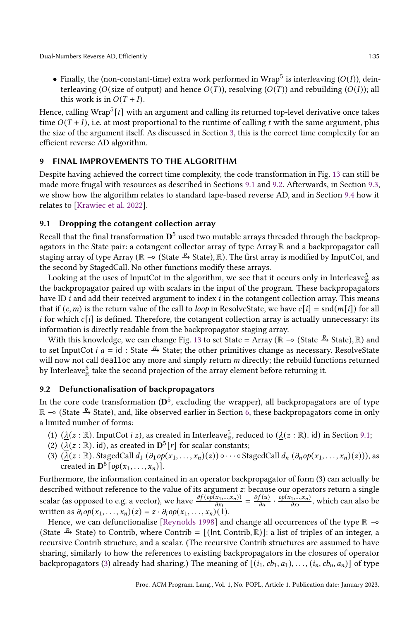Dual-Numbers Reverse AD, Efficiently 1:35

• Finally, the (non-constant-time) extra work performed in Wrap<sup>5</sup> is interleaving  $(O(I))$ , deinterleaving (O(size of output) and hence  $O(T)$ ), resolving ( $O(T)$ ) and rebuilding ( $O(I)$ ); all this work is in  $O(T + I)$ .

Hence, calling Wrap $^{5}[t]$  with an argument and calling its returned top-level derivative once takes time  $O(T + I)$ , i.e. at most proportional to the runtime of calling t with the same argument, plus the size of the argument itself. As discussed in Section [3,](#page-5-0) this is the correct time complexity for an efficient reverse AD algorithm.

### <span id="page-34-0"></span>9 FINAL IMPROVEMENTS TO THE ALGORITHM

Despite having achieved the correct time complexity, the code transformation in Fig. [13](#page-32-0) can still be made more frugal with resources as described in Sections [9.1](#page-34-2) and [9.2.](#page-34-1) Afterwards, in Section [9.3,](#page-35-0) we show how the algorithm relates to standard tape-based reverse AD, and in Section [9.4](#page-35-1) how it relates to [\[Krawiec et al.](#page-43-5) [2022\]](#page-43-5).

# <span id="page-34-2"></span>9.1 Dropping the cotangent collection array

Recall that the final transformation  $\mathbf{D}^5$  used two mutable arrays threaded through the backpropagators in the State pair: a cotangent collector array of type Array  $\mathbb R$  and a backpropagator call staging array of type Array ( $\mathbb{R} \to$  (State  $\mathbb{A}$ ) State),  $\mathbb{R}$ ). The first array is modified by InputCot, and the second by StagedCall. No other functions modify these arrays.

Looking at the uses of InputCot in the algorithm, we see that it occurs only in Interleave $^5_\mathbb{R}$  as the backpropagator paired up with scalars in the input of the program. These backpropagators have ID  $i$  and add their received argument to index  $i$  in the cotangent collection array. This means that if  $(c, m)$  is the return value of the call to *loop* in ResolveState, we have  $c[i] = \text{snd}(m[i])$  for all *i* for which  $c[i]$  is defined. Therefore, the cotangent collection array is actually unnecessary: its information is directly readable from the backpropagator staging array.

With this knowledge, we can change Fig. [13](#page-32-0) to set State = Array ( $\mathbb{R} \to$  (State  $\mathbb{A}_P$  State),  $\mathbb{R}$ ) and to set InputCot *i*  $a = id$ : State  $\frac{R_2}{R_1}$  State; the other primitives change as necessary. ResolveState will now not call dealloc any more and simply return  $m$  directly; the rebuild functions returned by Interleave $^5_\mathbb{R}$  take the second projection of the array element before returning it.

# <span id="page-34-1"></span>9.2 Defunctionalisation of backpropagators

In the core code transformation ( $\mathbf{D}^{5}$ , excluding the wrapper), all backpropagators are of type R → (State <sup>R</sup> State), and, like observed earlier in Section [6,](#page-16-0) these backpropagators come in only a limited number of forms:

- <span id="page-34-4"></span>(1)  $(\underline{\lambda}(z:\mathbb{R}).$  InputCot  $i$   $z$ ), as created in Interleave $^5_\mathbb{R}$ , reduced to  $(\underline{\lambda}(z:\mathbb{R}).$  id) in Section [9.1;](#page-34-2)
- <span id="page-34-5"></span>(2)  $(\overline{\lambda}(z:\mathbb{R})$ . id), as created in  $\mathbf{D}^{5}[r]$  for scalar constants;
- <span id="page-34-3"></span>(3)  $(\lambda(z : \mathbb{R})$ . StagedCall  $d_1$   $(\partial_1 op(x_1, \ldots, x_n)(z)) \circ \cdots \circ$  StagedCall  $d_n$   $(\partial_n op(x_1, \ldots, x_n)(z)))$ , as created in  $\mathbf{D}^{5}[\mathit{op}(x_1,\ldots,x_n)]$ .

Furthermore, the information contained in an operator backpropagator of form (3) can actually be described without reference to the value of its argument z: because our operators return a single scalar (as opposed to e.g. a vector), we have  $\frac{\partial f(\circ p(x_1,...,x_n))}{\partial x_i} = \frac{\partial f(u)}{\partial u} \cdot \frac{\circ p(x_1,...,x_n)}{\partial x_i}$ , which can also be written as  $\partial_i op(x_1, \ldots, x_n)(z) = z \cdot \partial_i op(x_1, \ldots, x_n)(1)$ .

Hence, we can defunctionalise [\[Reynolds](#page-43-12) [1998\]](#page-43-12) and change all occurrences of the type  $\mathbb{R} \rightarrow$ (State  $\mathbb{A}_h$  State) to Contrib, where Contrib =  $[(\text{Int}, \text{Contrib}, \mathbb{R})]$ : a list of triples of an integer, a recursive Contrib structure, and a scalar. (The recursive Contrib structures are assumed to have sharing, similarly to how the references to existing backpropagators in the closures of operator backpropagators [\(3\)](#page-34-3) already had sharing.) The meaning of  $[(i_1, cb_1, a_1), \ldots, (i_n, cb_n, a_n)]$  of type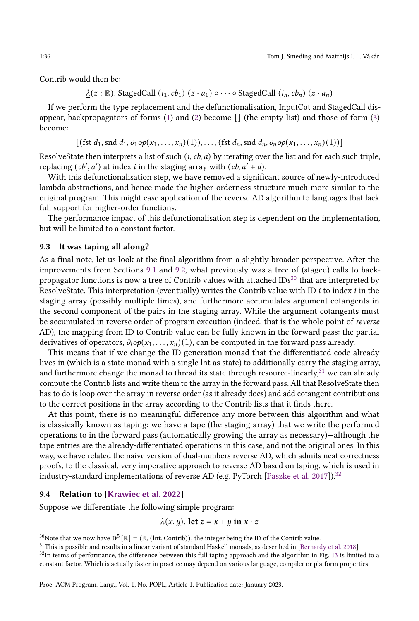Contrib would then be:

 $\lambda(z : \mathbb{R})$ . StagedCall  $(i_1, cb_1)$   $(z \cdot a_1) \circ \cdots \circ$  StagedCall  $(i_n, cb_n)$   $(z \cdot a_n)$ 

If we perform the type replacement and the defunctionalisation, InputCot and StagedCall disappear, backpropagators of forms [\(1\)](#page-34-4) and [\(2\)](#page-34-5) become [] (the empty list) and those of form [\(3\)](#page-34-3) become:

$$
[(\text{fst } d_1, \text{snd } d_1, \partial_1 \text{ op}(x_1, \ldots, x_n)(1)), \ldots, (\text{fst } d_n, \text{snd } d_n, \partial_n \text{ op}(x_1, \ldots, x_n)(1))]
$$

ResolveState then interprets a list of such  $(i, cb, a)$  by iterating over the list and for each such triple, replacing  $(cb', a')$  at index *i* in the staging array with  $(cb, a' + a)$ .

With this defunctionalisation step, we have removed a significant source of newly-introduced lambda abstractions, and hence made the higher-orderness structure much more similar to the original program. This might ease application of the reverse AD algorithm to languages that lack full support for higher-order functions.

The performance impact of this defunctionalisation step is dependent on the implementation, but will be limited to a constant factor.

# <span id="page-35-0"></span>9.3 It was taping all along?

As a final note, let us look at the final algorithm from a slightly broader perspective. After the improvements from Sections [9.1](#page-34-2) and [9.2,](#page-34-1) what previously was a tree of (staged) calls to backpropagator functions is now a tree of Contrib values with attached  $\text{IDs}^{30}$  $\text{IDs}^{30}$  $\text{IDs}^{30}$  that are interpreted by ResolveState. This interpretation (eventually) writes the Contrib value with ID  $i$  to index  $i$  in the staging array (possibly multiple times), and furthermore accumulates argument cotangents in the second component of the pairs in the staging array. While the argument cotangents must be accumulated in reverse order of program execution (indeed, that is the whole point of reverse AD), the mapping from ID to Contrib value can be fully known in the forward pass: the partial derivatives of operators,  $\partial_i \rho p(x_1, \ldots, x_n)$  (1), can be computed in the forward pass already.

This means that if we change the ID generation monad that the differentiated code already lives in (which is a state monad with a single Int as state) to additionally carry the staging array, and furthermore change the monad to thread its state through resource-linearly, $31$  we can already compute the Contrib lists and write them to the array in the forward pass. All that ResolveState then has to do is loop over the array in reverse order (as it already does) and add cotangent contributions to the correct positions in the array according to the Contrib lists that it finds there.

At this point, there is no meaningful difference any more between this algorithm and what is classically known as taping: we have a tape (the staging array) that we write the performed operations to in the forward pass (automatically growing the array as necessary)—although the tape entries are the already-differentiated operations in this case, and not the original ones. In this way, we have related the naive version of dual-numbers reverse AD, which admits neat correctness proofs, to the classical, very imperative approach to reverse AD based on taping, which is used in industry-standard implementations of reverse AD (e.g. PyTorch [\[Paszke et al.](#page-43-0) [2017\]](#page-43-0)).<sup>[32](#page-35-4)</sup>

### <span id="page-35-1"></span>9.4 Relation to [\[Krawiec et al.](#page-43-5) [2022\]](#page-43-5)

Suppose we differentiate the following simple program:

$$
\lambda(x, y). \text{ let } z = x + y \text{ in } x \cdot z
$$

<span id="page-35-2"></span><sup>&</sup>lt;sup>30</sup>Note that we now have  $\mathbf{D}^5[\mathbb{R}] = (\mathbb{R}, (\mathsf{Int}, \mathsf{Contrib})),$  the integer being the ID of the Contrib value.

<span id="page-35-3"></span> $^{31}\rm{This}$  is possible and results in a linear variant of standard Haskell monads, as described in [\[Bernardy et al.](#page-42-6) [2018\]](#page-42-6).

<span id="page-35-4"></span> $32$ In terms of performance, the difference between this full taping approach and the algorithm in Fig. [13](#page-32-0) is limited to a constant factor. Which is actually faster in practice may depend on various language, compiler or platform properties.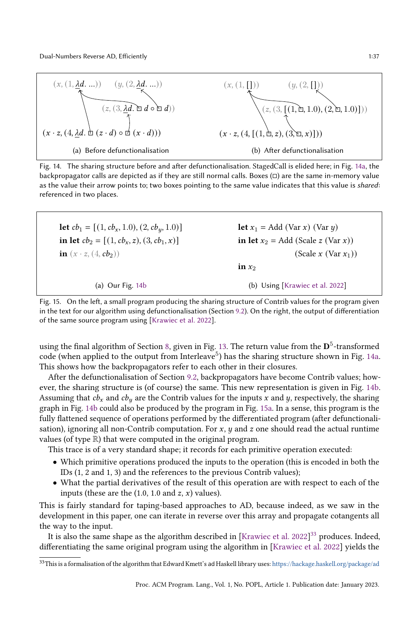

<span id="page-36-1"></span><span id="page-36-0"></span>Fig. 14. The sharing structure before and after defunctionalisation. StagedCall is elided here; in Fig. [14a,](#page-36-0) the backpropagator calls are depicted as if they are still normal calls. Boxes  $\Box$ ) are the same in-memory value as the value their arrow points to; two boxes pointing to the same value indicates that this value is shared: referenced in two places.

| <b>let</b> $cb_1 = [(1, cb_x, 1.0), (2, cb_y, 1.0)]$ | <b>let</b> $x_1$ = Add (Var x) (Var y) |
|------------------------------------------------------|----------------------------------------|
| in let $cb_2 = [(1, cb_x, z), (3, cb_1, x)]$         | in let $x_2$ = Add (Scale z (Var x))   |
| <b>in</b> $(x \cdot z, (4, cb_2))$                   | $(Scale x (Var x_1))$                  |
|                                                      | in $x_2$                               |
| (a) Our Fig. $14b$                                   | (b) Using [Krawiec et al. 2022]        |

<span id="page-36-4"></span><span id="page-36-2"></span>Fig. 15. On the left, a small program producing the sharing structure of Contrib values for the program given in the text for our algorithm using defunctionalisation (Section [9.2\)](#page-34-1). On the right, the output of differentiation of the same source program using [\[Krawiec et al.](#page-43-5) [2022\]](#page-43-5).

using the final algorithm of Section [8,](#page-29-0) given in Fig. [13.](#page-32-0) The return value from the  $\mathbf{D}^5$ -transformed code (when applied to the output from Interleave $^5$ ) has the sharing structure shown in Fig. [14a.](#page-36-0) This shows how the backpropagators refer to each other in their closures.

After the defunctionalisation of Section [9.2,](#page-34-1) backpropagators have become Contrib values; however, the sharing structure is (of course) the same. This new representation is given in Fig. [14b.](#page-36-1) Assuming that  $cb_x$  and  $cb_y$  are the Contrib values for the inputs x and y, respectively, the sharing graph in Fig. [14b](#page-36-1) could also be produced by the program in Fig. [15a.](#page-36-2) In a sense, this program is the fully flattened sequence of operations performed by the differentiated program (after defunctionalisation), ignoring all non-Contrib computation. For  $x$ ,  $y$  and  $z$  one should read the actual runtime values (of type R) that were computed in the original program.

This trace is of a very standard shape; it records for each primitive operation executed:

- Which primitive operations produced the inputs to the operation (this is encoded in both the IDs (1, 2 and 1, 3) and the references to the previous Contrib values);
- What the partial derivatives of the result of this operation are with respect to each of the inputs (these are the  $(1.0, 1.0 \text{ and } z, x)$  values).

This is fairly standard for taping-based approaches to AD, because indeed, as we saw in the development in this paper, one can iterate in reverse over this array and propagate cotangents all the way to the input.

It is also the same shape as the algorithm described in [\[Krawiec et al.](#page-43-5) [2022\]](#page-43-5) $^{33}$  $^{33}$  $^{33}$  produces. Indeed, differentiating the same original program using the algorithm in [\[Krawiec et al.](#page-43-5) [2022\]](#page-43-5) yields the

<span id="page-36-3"></span> $^{33}$ This is a formalisation of the algorithm that Edward Kmett's ad Haskell library uses: <https://hackage.haskell.org/package/ad>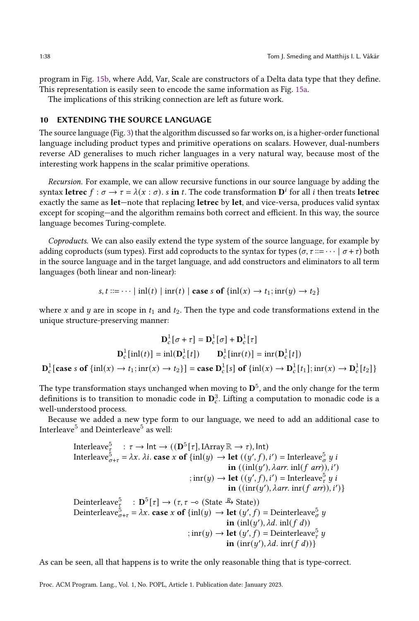program in Fig. [15b,](#page-36-4) where Add, Var, Scale are constructors of a Delta data type that they define. This representation is easily seen to encode the same information as Fig. [15a.](#page-36-2)

The implications of this striking connection are left as future work.

### <span id="page-37-0"></span>10 EXTENDING THE SOURCE LANGUAGE

The source language (Fig. [3\)](#page-11-0) that the algorithm discussed so far works on, is a higher-order functional language including product types and primitive operations on scalars. However, dual-numbers reverse AD generalises to much richer languages in a very natural way, because most of the interesting work happens in the scalar primitive operations.

Recursion. For example, we can allow recursive functions in our source language by adding the syntax letrec  $f : \sigma \to \tau = \lambda(x : \sigma)$ . *s* in *t*. The code transformation  $D^i$  for all *i* then treats letrec exactly the same as let—note that replacing letrec by let, and vice-versa, produces valid syntax except for scoping—and the algorithm remains both correct and efficient. In this way, the source language becomes Turing-complete.

Coproducts. We can also easily extend the type system of the source language, for example by adding coproducts (sum types). First add coproducts to the syntax for types  $(\sigma, \tau ::= \cdots | \sigma + \tau)$  both in the source language and in the target language, and add constructors and eliminators to all term languages (both linear and non-linear):

s, 
$$
t ::= \cdots | \text{inl}(t) | \text{inr}(t) | \text{case } s \text{ of } \{\text{inl}(x) \rightarrow t_1, \text{inr}(y) \rightarrow t_2\}
$$

where x and y are in scope in  $t_1$  and  $t_2$ . Then the type and code transformations extend in the unique structure-preserving manner:

$$
\mathbf{D}_{c}^{1}[\sigma + \tau] = \mathbf{D}_{c}^{1}[\sigma] + \mathbf{D}_{c}^{1}[\tau]
$$

$$
\mathbf{D}_{c}^{1}[\text{inl}(t)] = \text{inl}(\mathbf{D}_{c}^{1}[t]) \qquad \mathbf{D}_{c}^{1}[\text{inr}(t)] = \text{inr}(\mathbf{D}_{c}^{1}[t])
$$

$$
\mathbf{D}_{c}^{1}[\text{case s of } \{\text{inl}(x) \to t_{1}; \text{inr}(x) \to t_{2}\}] = \text{case } \mathbf{D}_{c}^{1}[s] \text{ of } \{\text{inl}(x) \to \mathbf{D}_{c}^{1}[t_{1}]; \text{inr}(x) \to \mathbf{D}_{c}^{1}[t_{2}]\}
$$

The type transformation stays unchanged when moving to  ${\bf D}^5,$  and the only change for the term definitions is to transition to monadic code in  $\mathbf{D}_c^3.$  Lifting a computation to monadic code is a well-understood process.

Because we added a new type form to our language, we need to add an additional case to Interleave $^5$  and Deinterleave $^5$  as well:

| \n        Interleave <sup>5</sup><br>\n $:\tau \to \text{Int} \to ((\mathbf{D}^{5}[\tau], \text{Array } \mathbb{R} \to \tau), \text{Int})$<br>\n        Interleave <sup>5</sup><br>\n $:\tau \to \lambda i.$ <b>case</b> $x$ <b>of</b> $\{\text{inl}(y) \to \text{let } ((y', f), i') = \text{Interleave}^{5}_{\sigma} y \text{ } i$<br>\n $\text{in } ((\text{inl}(y'), \lambda arr, \text{inl}(f \text{ } arr)), i')$<br>\n $\{\text{inr}(y) \to \text{let } ((y', f), i') = \text{Interleave}^{5}_{\tau} y \text{ } i$<br>\n $\text{in } ((\text{inr}(y'), \lambda arr, \text{inr}(f \text{ } arr)), i')\}$ \n |
|-------------------------------------------------------------------------------------------------------------------------------------------------------------------------------------------------------------------------------------------------------------------------------------------------------------------------------------------------------------------------------------------------------------------------------------------------------------------------------------------------------------------------------------------------------------------------------------------------------------------|
| \n        Deinterleave <sup>5</sup><br>\n $:\mathbf{D}^{5}[\tau] \to (\tau, \tau \to (\text{State } \mathbb{A}, \text{State}))$<br>\n $\text{Deinterleave}^{5}_{\sigma + \tau} = \lambda x.$ <b>case</b> $x$ <b>of</b> $\{\text{inl}(y) \to \text{let } (y', f) = \text{Deinterleave}^{5}_{\sigma} y$<br>\n $\text{in } (\text{inl}(y'), \lambda d. \text{ inl}(f \text{ } d))$<br>\n $\{\text{inr}(y'), \lambda d. \text{ inr}(f \text{ } d)\}$ \n                                                                                                                                                               |

As can be seen, all that happens is to write the only reasonable thing that is type-correct.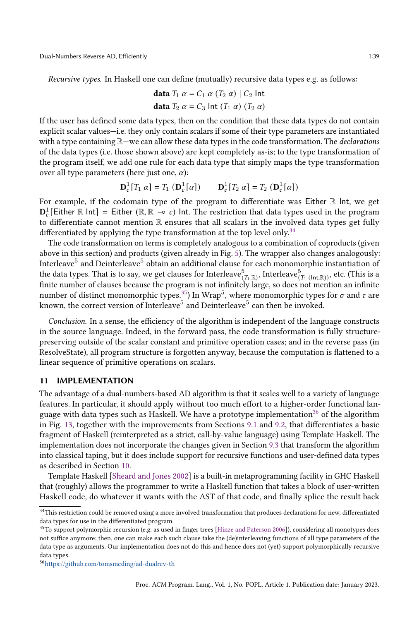Recursive types. In Haskell one can define (mutually) recursive data types e.g. as follows:

$$
\text{data } T_1 \ \alpha = C_1 \ \alpha \ (T_2 \ \alpha) \ | \ C_2 \ \text{Int}
$$
\n
$$
\text{data } T_2 \ \alpha = C_3 \ \text{Int } (T_1 \ \alpha) \ (T_2 \ \alpha)
$$

If the user has defined some data types, then on the condition that these data types do not contain explicit scalar values—i.e. they only contain scalars if some of their type parameters are instantiated with a type containing  $\mathbb{R}-\mathbf{w}$  can allow these data types in the code transformation. The *declarations* of the data types (i.e. those shown above) are kept completely as-is; to the type transformation of the program itself, we add one rule for each data type that simply maps the type transformation over all type parameters (here just one,  $\alpha$ ):

$$
\mathbf{D}_{c}^{1}[T_{1} \alpha] = T_{1} \left( \mathbf{D}_{c}^{1}[\alpha] \right) \qquad \mathbf{D}_{c}^{1}[T_{2} \alpha] = T_{2} \left( \mathbf{D}_{c}^{1}[\alpha] \right)
$$

For example, if the codomain type of the program to differentiate was Either R Int, we get  $\mathbf{D}_c^1$ [Either R Int] = Either (R, R – c) Int. The restriction that data types used in the program to differentiate cannot mention R ensures that all scalars in the involved data types get fully differentiated by applying the type transformation at the top level only.<sup>[34](#page-38-1)</sup>

The code transformation on terms is completely analogous to a combination of coproducts (given above in this section) and products (given already in Fig. [5\)](#page-13-0). The wrapper also changes analogously: Interleave $^5$  and Deinterleave $^5$  obtain an additional clause for each monomorphic instantiation of the data types. That is to say, we get clauses for Interleave $^5_{(T_1\;\R)},$  Interleave $^5_{(T_1\;(\sf{Int},\R))},$  etc. (This is a finite number of clauses because the program is not infinitely large, so does not mention an infinite number of distinct monomorphic types. $^{35})$  $^{35})$  $^{35})$  In Wrap $^5$ , where monomorphic types for  $\sigma$  and  $\tau$  are known, the correct version of Interleave $^5$  and Deinterleave $^5$  can then be invoked.

Conclusion. In a sense, the efficiency of the algorithm is independent of the language constructs in the source language. Indeed, in the forward pass, the code transformation is fully structurepreserving outside of the scalar constant and primitive operation cases; and in the reverse pass (in ResolveState), all program structure is forgotten anyway, because the computation is flattened to a linear sequence of primitive operations on scalars.

#### <span id="page-38-0"></span>11 IMPLEMENTATION

The advantage of a dual-numbers-based AD algorithm is that it scales well to a variety of language features. In particular, it should apply without too much effort to a higher-order functional lan-guage with data types such as Haskell. We have a prototype implementation<sup>[36](#page-38-3)</sup> of the algorithm in Fig. [13,](#page-32-0) together with the improvements from Sections [9.1](#page-34-2) and [9.2,](#page-34-1) that differentiates a basic fragment of Haskell (reinterpreted as a strict, call-by-value language) using Template Haskell. The implementation does not incorporate the changes given in Section [9.3](#page-35-0) that transform the algorithm into classical taping, but it does include support for recursive functions and user-defined data types as described in Section [10.](#page-37-0)

Template Haskell [\[Sheard and Jones](#page-43-13) [2002\]](#page-43-13) is a built-in metaprogramming facility in GHC Haskell that (roughly) allows the programmer to write a Haskell function that takes a block of user-written Haskell code, do whatever it wants with the AST of that code, and finally splice the result back

<span id="page-38-1"></span><sup>&</sup>lt;sup>34</sup>This restriction could be removed using a more involved transformation that produces declarations for new, differentiated data types for use in the differentiated program.

<span id="page-38-2"></span><sup>&</sup>lt;sup>35</sup>To support polymorphic recursion (e.g. as used in finger trees [\[Hinze and Paterson](#page-42-9) [2006\]](#page-42-9)), considering all monotypes does not suffice anymore; then, one can make each such clause take the (de)interleaving functions of all type parameters of the data type as arguments. Our implementation does not do this and hence does not (yet) support polymorphically recursive data types.

<span id="page-38-3"></span><sup>36</sup><https://github.com/tomsmeding/ad-dualrev-th>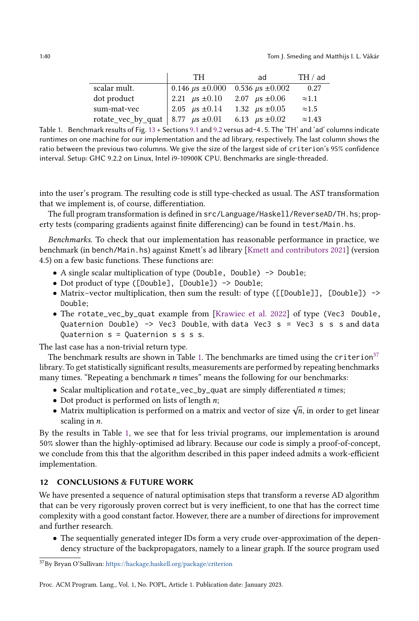<span id="page-39-1"></span>

|                                         | TH.                  | ad                   | TH / ad        |
|-----------------------------------------|----------------------|----------------------|----------------|
| scalar mult.                            | 0.146 $\mu$ s ±0.000 | 0.536 $\mu$ s ±0.002 | 0.27           |
| dot product                             | 2.21 $\mu$ s ±0.10   | 2.07 $\mu$ s ±0.06   | $\approx 1.1$  |
| sum-mat-vec                             | 2.05 $\mu$ s ±0.14   | 1.32 $\mu$ s ±0.05   | $\approx 1.5$  |
| rotate_vec_by_quat   8.77 $\mu$ s ±0.01 |                      | 6.13 $\mu$ s ±0.02   | $\approx 1.43$ |

Table 1. Benchmark results of Fig. [13](#page-32-0) + Sections [9.1](#page-34-2) and [9.2](#page-34-1) versus ad-4.5. The 'TH' and 'ad' columns indicate runtimes on one machine for our implementation and the ad library, respectively. The last column shows the ratio between the previous two columns. We give the size of the largest side of criterion's 95% confidence interval. Setup: GHC 9.2.2 on Linux, Intel i9-10900K CPU. Benchmarks are single-threaded.

into the user's program. The resulting code is still type-checked as usual. The AST transformation that we implement is, of course, differentiation.

The full program transformation is defined in src/Language/Haskell/ReverseAD/TH.hs; property tests (comparing gradients against finite differencing) can be found in test/Main.hs.

Benchmarks. To check that our implementation has reasonable performance in practice, we benchmark (in bench/Main.hs) against Kmett's ad library [\[Kmett and contributors](#page-43-1) [2021\]](#page-43-1) (version 4.5) on a few basic functions. These functions are:

- A single scalar multiplication of type (Double, Double) -> Double;
- Dot product of type ([Double], [Double]) -> Double;
- Matrix–vector multiplication, then sum the result: of type ([[Double]], [Double]) -> Double;
- The rotate\_vec\_by\_quat example from [\[Krawiec et al.](#page-43-5) [2022\]](#page-43-5) of type (Vec3 Double, Quaternion Double)  $\rightarrow$  Vec3 Double, with data Vec3 s = Vec3 s s s and data Quaternion  $s =$  Quaternion  $s$  s s s.

The last case has a non-trivial return type.

The benchmark results are shown in Table [1.](#page-39-1) The benchmarks are timed using the criterion<sup>[37](#page-39-2)</sup> library. To get statistically significant results, measurements are performed by repeating benchmarks many times. "Repeating a benchmark  $n$  times" means the following for our benchmarks:

- Scalar multiplication and  $rotate\_vec_by_quad$  are simply differentiated  $n$  times;
- Dot product is performed on lists of length  $n$ ;
- Dot product is performed on fists of length *n*;<br>• Matrix multiplication is performed on a matrix and vector of size  $\sqrt{n}$ , in order to get linear scaling in  $n$ .

By the results in Table [1,](#page-39-1) we see that for less trivial programs, our implementation is around 50% slower than the highly-optimised ad library. Because our code is simply a proof-of-concept, we conclude from this that the algorithm described in this paper indeed admits a work-efficient implementation.

# <span id="page-39-0"></span>12 CONCLUSIONS & FUTURE WORK

We have presented a sequence of natural optimisation steps that transform a reverse AD algorithm that can be very rigorously proven correct but is very inefficient, to one that has the correct time complexity with a good constant factor. However, there are a number of directions for improvement and further research.

• The sequentially generated integer IDs form a very crude over-approximation of the dependency structure of the backpropagators, namely to a linear graph. If the source program used

<span id="page-39-2"></span><sup>37</sup>By Bryan O'Sullivan: <https://hackage.haskell.org/package/criterion>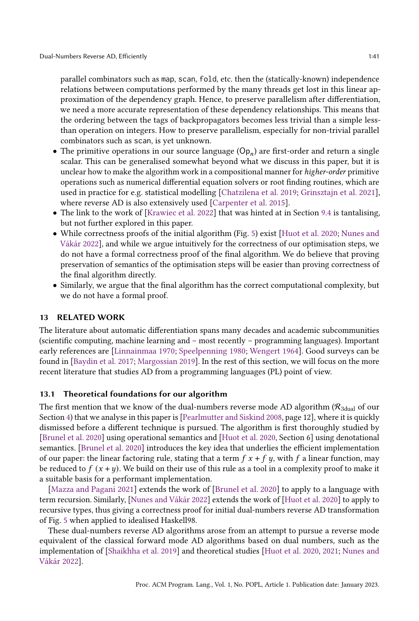parallel combinators such as map, scan, fold, etc. then the (statically-known) independence relations between computations performed by the many threads get lost in this linear approximation of the dependency graph. Hence, to preserve parallelism after differentiation, we need a more accurate representation of these dependency relationships. This means that the ordering between the tags of backpropagators becomes less trivial than a simple lessthan operation on integers. How to preserve parallelism, especially for non-trivial parallel combinators such as scan, is yet unknown.

- The primitive operations in our source language  $(\mathsf{Op}_n)$  are first-order and return a single scalar. This can be generalised somewhat beyond what we discuss in this paper, but it is unclear how to make the algorithm work in a compositional manner for *higher-order* primitive operations such as numerical differential equation solvers or root finding routines, which are used in practice for e.g. statistical modelling [\[Chatzilena et al.](#page-42-10) [2019;](#page-42-10) [Grinsztajn et al.](#page-42-11) [2021\]](#page-42-11), where reverse AD is also extensively used [\[Carpenter et al.](#page-42-12) [2015\]](#page-42-12).
- The link to the work of [\[Krawiec et al.](#page-43-5) [2022\]](#page-43-5) that was hinted at in Section [9.4](#page-35-1) is tantalising, but not further explored in this paper.
- While correctness proofs of the initial algorithm (Fig. [5\)](#page-13-0) exist [\[Huot et al.](#page-42-3) [2020;](#page-42-3) [Nunes and](#page-43-8) [Vákár](#page-43-8) [2022\]](#page-43-8), and while we argue intuitively for the correctness of our optimisation steps, we do not have a formal correctness proof of the final algorithm. We do believe that proving preservation of semantics of the optimisation steps will be easier than proving correctness of the final algorithm directly.
- Similarly, we argue that the final algorithm has the correct computational complexity, but we do not have a formal proof.

# <span id="page-40-0"></span>13 RELATED WORK

The literature about automatic differentiation spans many decades and academic subcommunities (scientific computing, machine learning and – most recently – programming languages). Important early references are [\[Linnainmaa](#page-43-14) [1970;](#page-43-14) [Speelpenning](#page-43-15) [1980;](#page-43-15) [Wengert](#page-43-16) [1964\]](#page-43-16). Good surveys can be found in [\[Baydin et al.](#page-42-2) [2017;](#page-42-2) [Margossian](#page-43-6) [2019\]](#page-43-6). In the rest of this section, we will focus on the more recent literature that studies AD from a programming languages (PL) point of view.

### 13.1 Theoretical foundations for our algorithm

The first mention that we know of the dual-numbers reverse mode AD algorithm ( $\mathcal{R}_{3dual}$  of our Section [4\)](#page-6-0) that we analyse in this paper is [\[Pearlmutter and Siskind](#page-43-17) [2008,](#page-43-17) page 12], where it is quickly dismissed before a different technique is pursued. The algorithm is first thoroughly studied by [\[Brunel et al.](#page-42-1) [2020\]](#page-42-1) using operational semantics and [\[Huot et al.](#page-42-3) [2020,](#page-42-3) Section 6] using denotational semantics. [\[Brunel et al.](#page-42-1) [2020\]](#page-42-1) introduces the key idea that underlies the efficient implementation of our paper: the linear factoring rule, stating that a term  $f x + f y$ , with f a linear function, may be reduced to  $f(x + y)$ . We build on their use of this rule as a tool in a complexity proof to make it a suitable basis for a performant implementation.

[\[Mazza and Pagani](#page-43-7) [2021\]](#page-43-7) extends the work of [\[Brunel et al.](#page-42-1) [2020\]](#page-42-1) to apply to a language with term recursion. Similarly, [\[Nunes and Vákár](#page-43-8) [2022\]](#page-43-8) extends the work of [\[Huot et al.](#page-42-3) [2020\]](#page-42-3) to apply to recursive types, thus giving a correctness proof for initial dual-numbers reverse AD transformation of Fig. [5](#page-13-0) when applied to idealised Haskell98.

These dual-numbers reverse AD algorithms arose from an attempt to pursue a reverse mode equivalent of the classical forward mode AD algorithms based on dual numbers, such as the implementation of [\[Shaikhha et al.](#page-43-18) [2019\]](#page-43-18) and theoretical studies [\[Huot et al.](#page-42-3) [2020,](#page-42-3) [2021;](#page-42-13) [Nunes and](#page-43-8) [Vákár](#page-43-8) [2022\]](#page-43-8).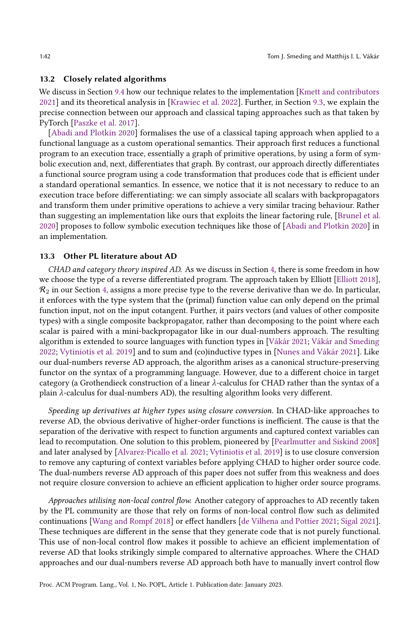# 13.2 Closely related algorithms

We discuss in Section [9.4](#page-35-1) how our technique relates to the implementation [\[Kmett and contributors](#page-43-1) [2021\]](#page-43-1) and its theoretical analysis in [\[Krawiec et al.](#page-43-5) [2022\]](#page-43-5). Further, in Section [9.3,](#page-35-0) we explain the precise connection between our approach and classical taping approaches such as that taken by PyTorch [\[Paszke et al.](#page-43-0) [2017\]](#page-43-0).

[\[Abadi and Plotkin](#page-42-0) [2020\]](#page-42-0) formalises the use of a classical taping approach when applied to a functional language as a custom operational semantics. Their approach first reduces a functional program to an execution trace, essentially a graph of primitive operations, by using a form of symbolic execution and, next, differentiates that graph. By contrast, our approach directly differentiates a functional source program using a code transformation that produces code that is efficient under a standard operational semantics. In essence, we notice that it is not necessary to reduce to an execution trace before differentiating: we can simply associate all scalars with backpropagators and transform them under primitive operations to achieve a very similar tracing behaviour. Rather than suggesting an implementation like ours that exploits the linear factoring rule, [\[Brunel et al.](#page-42-1) [2020\]](#page-42-1) proposes to follow symbolic execution techniques like those of [\[Abadi and Plotkin](#page-42-0) [2020\]](#page-42-0) in an implementation.

# 13.3 Other PL literature about AD

CHAD and category theory inspired AD. As we discuss in Section [4,](#page-6-0) there is some freedom in how we choose the type of a reverse differentiated program. The approach taken by Elliott [\[Elliott](#page-42-8) [2018\]](#page-42-8),  $\mathcal{R}_2$  in our Section [4,](#page-6-0) assigns a more precise type to the reverse derivative than we do. In particular, it enforces with the type system that the (primal) function value can only depend on the primal function input, not on the input cotangent. Further, it pairs vectors (and values of other composite types) with a single composite backpropagator, rather than decomposing to the point where each scalar is paired with a mini-backpropagator like in our dual-numbers approach. The resulting algorithm is extended to source languages with function types in [\[Vákár](#page-43-10) [2021;](#page-43-10) [Vákár and Smeding](#page-43-4) [2022;](#page-43-4) [Vytiniotis et al.](#page-43-19) [2019\]](#page-43-19) and to sum and (co)inductive types in [\[Nunes and Vákár](#page-43-11) [2021\]](#page-43-11). Like our dual-numbers reverse AD approach, the algorithm arises as a canonical structure-preserving functor on the syntax of a programming language. However, due to a different choice in target category (a Grothendieck construction of a linear  $\lambda$ -calculus for CHAD rather than the syntax of a plain  $\lambda$ -calculus for dual-numbers AD), the resulting algorithm looks very different.

Speeding up derivatives at higher types using closure conversion. In CHAD-like approaches to reverse AD, the obvious derivative of higher-order functions is inefficient. The cause is that the separation of the derivative with respect to function arguments and captured context variables can lead to recomputation. One solution to this problem, pioneered by [\[Pearlmutter and Siskind](#page-43-17) [2008\]](#page-43-17) and later analysed by [\[Alvarez-Picallo et al.](#page-42-14) [2021;](#page-42-14) [Vytiniotis et al.](#page-43-19) [2019\]](#page-43-19) is to use closure conversion to remove any capturing of context variables before applying CHAD to higher order source code. The dual-numbers reverse AD approach of this paper does not suffer from this weakness and does not require closure conversion to achieve an efficient application to higher order source programs.

Approaches utilising non-local control flow. Another category of approaches to AD recently taken by the PL community are those that rely on forms of non-local control flow such as delimited continuations [\[Wang and Rompf](#page-43-20) [2018\]](#page-43-20) or effect handlers [\[de Vilhena and Pottier](#page-42-15) [2021;](#page-42-15) [Sigal](#page-43-21) [2021\]](#page-43-21). These techniques are different in the sense that they generate code that is not purely functional. This use of non-local control flow makes it possible to achieve an efficient implementation of reverse AD that looks strikingly simple compared to alternative approaches. Where the CHAD approaches and our dual-numbers reverse AD approach both have to manually invert control flow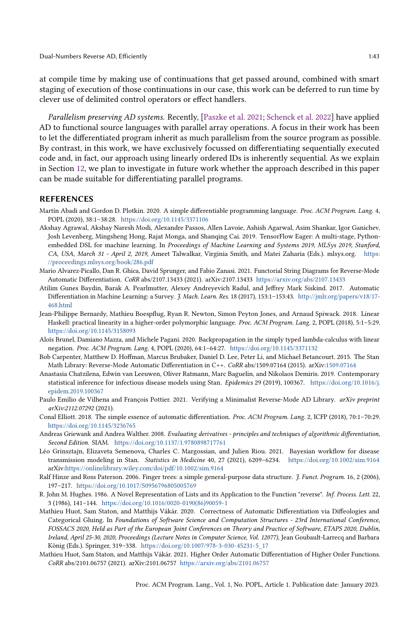at compile time by making use of continuations that get passed around, combined with smart staging of execution of those continuations in our case, this work can be deferred to run time by clever use of delimited control operators or effect handlers.

Parallelism preserving AD systems. Recently, [\[Paszke et al.](#page-43-2) [2021;](#page-43-2) [Schenck et al.](#page-43-3) [2022\]](#page-43-3) have applied AD to functional source languages with parallel array operations. A focus in their work has been to let the differentiated program inherit as much parallelism from the source program as possible. By contrast, in this work, we have exclusively focussed on differentiating sequentially executed code and, in fact, our approach using linearly ordered IDs is inherently sequential. As we explain in Section [12,](#page-39-0) we plan to investigate in future work whether the approach described in this paper can be made suitable for differentiating parallel programs.

#### REFERENCES

- <span id="page-42-0"></span>Martín Abadi and Gordon D. Plotkin. 2020. A simple differentiable programming language. Proc. ACM Program. Lang. 4, POPL (2020), 38:1–38:28. <https://doi.org/10.1145/3371106>
- <span id="page-42-4"></span>Akshay Agrawal, Akshay Naresh Modi, Alexandre Passos, Allen Lavoie, Ashish Agarwal, Asim Shankar, Igor Ganichev, Josh Levenberg, Mingsheng Hong, Rajat Monga, and Shanqing Cai. 2019. TensorFlow Eager: A multi-stage, Pythonembedded DSL for machine learning. In Proceedings of Machine Learning and Systems 2019, MLSys 2019, Stanford, CA, USA, March 31 - April 2, 2019, Ameet Talwalkar, Virginia Smith, and Matei Zaharia (Eds.). mlsys.org. [https:](https://proceedings.mlsys.org/book/286.pdf) [//proceedings.mlsys.org/book/286.pdf](https://proceedings.mlsys.org/book/286.pdf)
- <span id="page-42-14"></span>Mario Alvarez-Picallo, Dan R. Ghica, David Sprunger, and Fabio Zanasi. 2021. Functorial String Diagrams for Reverse-Mode Automatic Differentiation. CoRR abs/2107.13433 (2021). arXiv:2107.13433 <https://arxiv.org/abs/2107.13433>
- <span id="page-42-2"></span>Atilim Gunes Baydin, Barak A. Pearlmutter, Alexey Andreyevich Radul, and Jeffrey Mark Siskind. 2017. Automatic Differentiation in Machine Learning: a Survey. J. Mach. Learn. Res. 18 (2017), 153:1–153:43. [http://jmlr.org/papers/v18/17-](http://jmlr.org/papers/v18/17-468.html) [468.html](http://jmlr.org/papers/v18/17-468.html)
- <span id="page-42-6"></span>Jean-Philippe Bernardy, Mathieu Boespflug, Ryan R. Newton, Simon Peyton Jones, and Arnaud Spiwack. 2018. Linear Haskell: practical linearity in a higher-order polymorphic language. Proc. ACM Program. Lang. 2, POPL (2018), 5:1–5:29. <https://doi.org/10.1145/3158093>
- <span id="page-42-1"></span>Aloïs Brunel, Damiano Mazza, and Michele Pagani. 2020. Backpropagation in the simply typed lambda-calculus with linear negation. Proc. ACM Program. Lang. 4, POPL (2020), 64:1–64:27. <https://doi.org/10.1145/3371132>
- <span id="page-42-12"></span>Bob Carpenter, Matthew D. Hoffman, Marcus Brubaker, Daniel D. Lee, Peter Li, and Michael Betancourt. 2015. The Stan Math Library: Reverse-Mode Automatic Differentiation in C++. CoRR abs/1509.07164 (2015). arXiv[:1509.07164](https://arxiv.org/abs/1509.07164)
- <span id="page-42-10"></span>Anastasia Chatzilena, Edwin van Leeuwen, Oliver Ratmann, Marc Baguelin, and Nikolaos Demiris. 2019. Contemporary statistical inference for infectious disease models using Stan. Epidemics 29 (2019), 100367. [https://doi.org/10.1016/j.](https://doi.org/10.1016/j.epidem.2019.100367) [epidem.2019.100367](https://doi.org/10.1016/j.epidem.2019.100367)
- <span id="page-42-15"></span>Paulo Emílio de Vilhena and François Pottier. 2021. Verifying a Minimalist Reverse-Mode AD Library. arXiv preprint arXiv:2112.07292 (2021).
- <span id="page-42-8"></span>Conal Elliott. 2018. The simple essence of automatic differentiation. Proc. ACM Program. Lang. 2, ICFP (2018), 70:1–70:29. <https://doi.org/10.1145/3236765>
- <span id="page-42-7"></span>Andreas Griewank and Andrea Walther. 2008. Evaluating derivatives - principles and techniques of algorithmic differentiation, Second Edition. SIAM. <https://doi.org/10.1137/1.9780898717761>
- <span id="page-42-11"></span>Léo Grinsztajn, Elizaveta Semenova, Charles C. Margossian, and Julien Riou. 2021. Bayesian workflow for disease transmission modeling in Stan. Statistics in Medicine 40, 27 (2021), 6209–6234. <https://doi.org/10.1002/sim.9164> arXiv[:https://onlinelibrary.wiley.com/doi/pdf/10.1002/sim.9164](https://arxiv.org/abs/https://onlinelibrary.wiley.com/doi/pdf/10.1002/sim.9164)
- <span id="page-42-9"></span>Ralf Hinze and Ross Paterson. 2006. Finger trees: a simple general-purpose data structure. J. Funct. Program. 16, 2 (2006), 197–217. <https://doi.org/10.1017/S0956796805005769>
- <span id="page-42-5"></span>R. John M. Hughes. 1986. A Novel Representation of Lists and its Application to the Function "reverse". Inf. Process. Lett. 22, 3 (1986), 141–144. [https://doi.org/10.1016/0020-0190\(86\)90059-1](https://doi.org/10.1016/0020-0190(86)90059-1)
- <span id="page-42-3"></span>Mathieu Huot, Sam Staton, and Matthijs Vákár. 2020. Correctness of Automatic Differentiation via Diffeologies and Categorical Gluing. In Foundations of Software Science and Computation Structures - 23rd International Conference, FOSSACS 2020, Held as Part of the European Joint Conferences on Theory and Practice of Software, ETAPS 2020, Dublin, Ireland, April 25-30, 2020, Proceedings (Lecture Notes in Computer Science, Vol. 12077), Jean Goubault-Larrecq and Barbara König (Eds.). Springer, 319–338. [https://doi.org/10.1007/978-3-030-45231-5\\_17](https://doi.org/10.1007/978-3-030-45231-5_17)
- <span id="page-42-13"></span>Mathieu Huot, Sam Staton, and Matthijs Vákár. 2021. Higher Order Automatic Differentiation of Higher Order Functions. CoRR abs/2101.06757 (2021). arXiv:2101.06757 <https://arxiv.org/abs/2101.06757>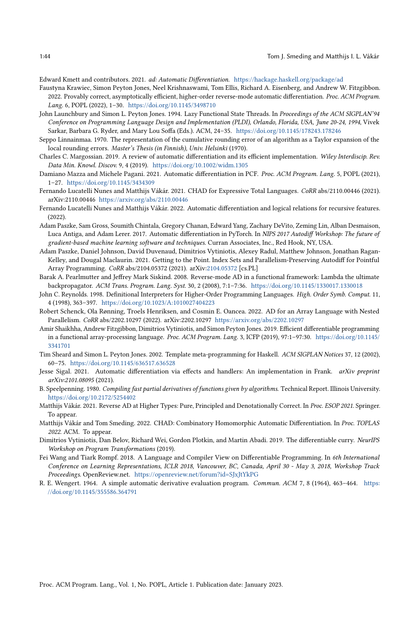<span id="page-43-1"></span>Edward Kmett and contributors. 2021. ad: Automatic Differentiation. <https://hackage.haskell.org/package/ad>

- <span id="page-43-5"></span>Faustyna Krawiec, Simon Peyton Jones, Neel Krishnaswami, Tom Ellis, Richard A. Eisenberg, and Andrew W. Fitzgibbon. 2022. Provably correct, asymptotically efficient, higher-order reverse-mode automatic differentiation. Proc. ACM Program. Lang. 6, POPL (2022), 1–30. <https://doi.org/10.1145/3498710>
- <span id="page-43-9"></span>John Launchbury and Simon L. Peyton Jones. 1994. Lazy Functional State Threads. In Proceedings of the ACM SIGPLAN'94 Conference on Programming Language Design and Implementation (PLDI), Orlando, Florida, USA, June 20-24, 1994, Vivek Sarkar, Barbara G. Ryder, and Mary Lou Soffa (Eds.). ACM, 24–35. <https://doi.org/10.1145/178243.178246>
- <span id="page-43-14"></span>Seppo Linnainmaa. 1970. The representation of the cumulative rounding error of an algorithm as a Taylor expansion of the local rounding errors. Master's Thesis (in Finnish), Univ. Helsinki (1970).
- <span id="page-43-6"></span>Charles C. Margossian. 2019. A review of automatic differentiation and its efficient implementation. Wiley Interdiscip. Rev. Data Min. Knowl. Discov. 9, 4 (2019). <https://doi.org/10.1002/widm.1305>
- <span id="page-43-7"></span>Damiano Mazza and Michele Pagani. 2021. Automatic differentiation in PCF. Proc. ACM Program. Lang. 5, POPL (2021), 1–27. <https://doi.org/10.1145/3434309>
- <span id="page-43-11"></span>Fernando Lucatelli Nunes and Matthijs Vákár. 2021. CHAD for Expressive Total Languages. CoRR abs/2110.00446 (2021). arXiv:2110.00446 <https://arxiv.org/abs/2110.00446>
- <span id="page-43-8"></span>Fernando Lucatelli Nunes and Matthijs Vákár. 2022. Automatic differentiation and logical relations for recursive features. (2022).
- <span id="page-43-0"></span>Adam Paszke, Sam Gross, Soumith Chintala, Gregory Chanan, Edward Yang, Zachary DeVito, Zeming Lin, Alban Desmaison, Luca Antiga, and Adam Lerer. 2017. Automatic differentiation in PyTorch. In NIPS 2017 Autodiff Workshop: The future of gradient-based machine learning software and techniques. Curran Associates, Inc., Red Hook, NY, USA.
- <span id="page-43-2"></span>Adam Paszke, Daniel Johnson, David Duvenaud, Dimitrios Vytiniotis, Alexey Radul, Matthew Johnson, Jonathan Ragan-Kelley, and Dougal Maclaurin. 2021. Getting to the Point. Index Sets and Parallelism-Preserving Autodiff for Pointful Array Programming. CoRR abs/2104.05372 (2021). arXiv[:2104.05372](https://arxiv.org/abs/2104.05372) [cs.PL]
- <span id="page-43-17"></span>Barak A. Pearlmutter and Jeffrey Mark Siskind. 2008. Reverse-mode AD in a functional framework: Lambda the ultimate backpropagator. ACM Trans. Program. Lang. Syst. 30, 2 (2008), 7:1–7:36. <https://doi.org/10.1145/1330017.1330018>
- <span id="page-43-12"></span>John C. Reynolds. 1998. Definitional Interpreters for Higher-Order Programming Languages. High. Order Symb. Comput. 11, 4 (1998), 363–397. <https://doi.org/10.1023/A:1010027404223>
- <span id="page-43-3"></span>Robert Schenck, Ola Rønning, Troels Henriksen, and Cosmin E. Oancea. 2022. AD for an Array Language with Nested Parallelism. CoRR abs/2202.10297 (2022). arXiv:2202.10297 <https://arxiv.org/abs/2202.10297>
- <span id="page-43-18"></span>Amir Shaikhha, Andrew Fitzgibbon, Dimitrios Vytiniotis, and Simon Peyton Jones. 2019. Efficient differentiable programming in a functional array-processing language. Proc. ACM Program. Lang. 3, ICFP (2019), 97:1–97:30. [https://doi.org/10.1145/](https://doi.org/10.1145/3341701) [3341701](https://doi.org/10.1145/3341701)
- <span id="page-43-13"></span>Tim Sheard and Simon L. Peyton Jones. 2002. Template meta-programming for Haskell. ACM SIGPLAN Notices 37, 12 (2002), 60–75. <https://doi.org/10.1145/636517.636528>
- <span id="page-43-21"></span>Jesse Sigal. 2021. Automatic differentiation via effects and handlers: An implementation in Frank. arXiv preprint arXiv:2101.08095 (2021).
- <span id="page-43-15"></span>B. Speelpenning. 1980. Compiling fast partial derivatives of functions given by algorithms. Technical Report. Illinois University. <https://doi.org/10.2172/5254402>
- <span id="page-43-10"></span>Matthijs Vákár. 2021. Reverse AD at Higher Types: Pure, Principled and Denotationally Correct. In Proc. ESOP 2021. Springer. To appear.
- <span id="page-43-4"></span>Matthijs Vákár and Tom Smeding. 2022. CHAD: Combinatory Homomorphic Automatic Differentiation. In Proc. TOPLAS 2022. ACM. To appear.
- <span id="page-43-19"></span>Dimitrios Vytiniotis, Dan Belov, Richard Wei, Gordon Plotkin, and Martin Abadi. 2019. The differentiable curry. NeurIPS Workshop on Program Transformations (2019).
- <span id="page-43-20"></span>Fei Wang and Tiark Rompf. 2018. A Language and Compiler View on Differentiable Programming. In 6th International Conference on Learning Representations, ICLR 2018, Vancouver, BC, Canada, April 30 - May 3, 2018, Workshop Track Proceedings. OpenReview.net. <https://openreview.net/forum?id=SJxJtYkPG>
- <span id="page-43-16"></span>R. E. Wengert. 1964. A simple automatic derivative evaluation program. Commun. ACM 7, 8 (1964), 463–464. [https:](https://doi.org/10.1145/355586.364791) [//doi.org/10.1145/355586.364791](https://doi.org/10.1145/355586.364791)